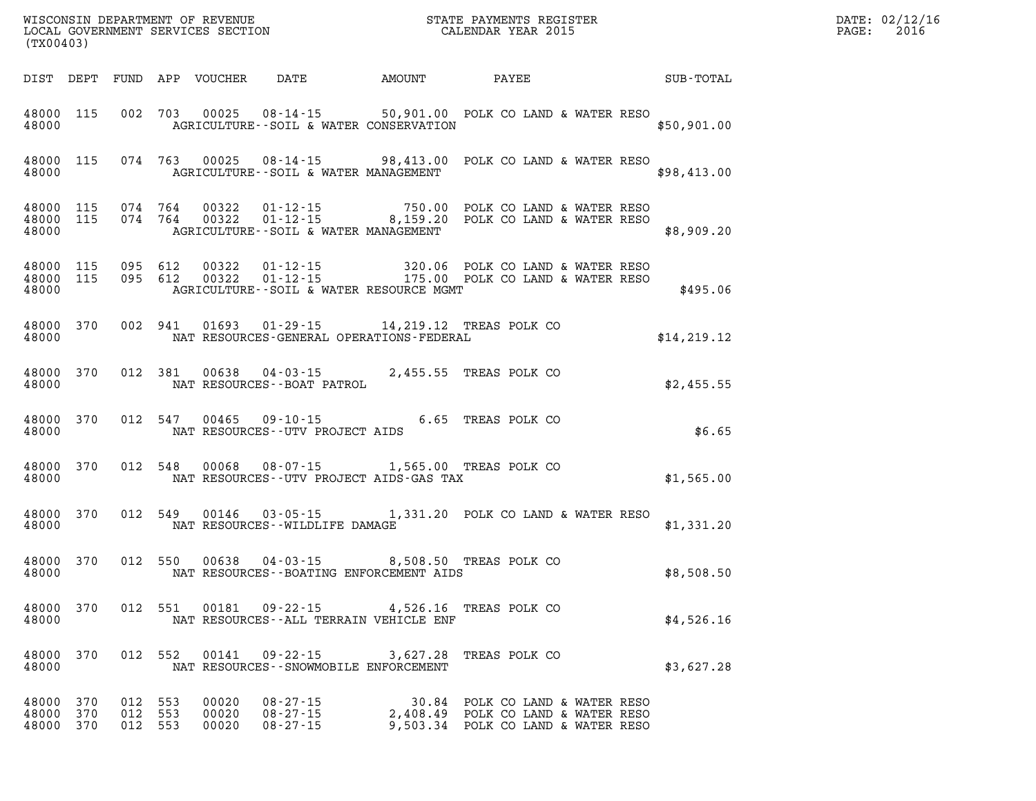| DATE: | 02/12/16 |
|-------|----------|
| PAGE: | 2016     |

| WISCONSIN DEPARTMENT OF REVENUE<br>LOCAL GOVERNMENT SERVICES SECTION<br>(my00403)<br>(TX00403) |  |                    |  |                |                                               |                                                                                                                                          |  | DATE: 02/12/1<br>$\mathtt{PAGE:}$<br>2016 |  |
|------------------------------------------------------------------------------------------------|--|--------------------|--|----------------|-----------------------------------------------|------------------------------------------------------------------------------------------------------------------------------------------|--|-------------------------------------------|--|
|                                                                                                |  |                    |  |                |                                               | DIST DEPT FUND APP VOUCHER DATE AMOUNT PAYEE SUB-TOTAL                                                                                   |  |                                           |  |
|                                                                                                |  |                    |  |                |                                               | 48000 115 002 703 00025 08-14-15 50,901.00 POLK CO LAND & WATER RESO<br>48000 AGRICULTURE--SOIL & WATER CONSERVATION                     |  | \$50,901.00                               |  |
|                                                                                                |  |                    |  |                |                                               | 48000 115 074 763 00025 08-14-15 98,413.00 POLK CO LAND & WATER RESO<br>48000 AGRICULTURE--SOIL & WATER MANAGEMENT                       |  | \$98,413.00                               |  |
|                                                                                                |  |                    |  |                | 48000 AGRICULTURE--SOIL & WATER MANAGEMENT    | 48000 115 074 764 00322 01-12-15 750.00 POLK CO LAND & WATER RESO<br>48000 115 074 764 00322 01-12-15 8,159.20 POLK CO LAND & WATER RESO |  | \$8,909.20                                |  |
|                                                                                                |  |                    |  |                | 48000 AGRICULTURE--SOIL & WATER RESOURCE MGMT | 48000 115 095 612 00322 01-12-15 320.06 POLK CO LAND & WATER RESO<br>48000 115 095 612 00322 01-12-15 175.00 POLK CO LAND & WATER RESO   |  | \$495.06                                  |  |
|                                                                                                |  |                    |  |                |                                               | 48000 370 002 941 01693 01-29-15 14,219.12 TREAS POLK CO<br>48000 NAT RESOURCES-GENERAL OPERATIONS-FEDERAL                               |  | \$14,219.12                               |  |
|                                                                                                |  |                    |  |                |                                               | 48000 370 012 381 00638 04-03-15 2,455.55 TREAS POLK CO 48000                                                                            |  | \$2,455.55                                |  |
|                                                                                                |  |                    |  |                | 48000 NAT RESOURCES--UTV PROJECT AIDS         | 48000 370 012 547 00465 09-10-15 6.65 TREAS POLK CO                                                                                      |  | \$6.65                                    |  |
|                                                                                                |  |                    |  |                |                                               | 48000 370 012 548 00068 08-07-15 1,565.00 TREAS POLK CO<br>48000 NAT RESOURCES - UTV PROJECT AIDS - GAS TAX                              |  | \$1,565.00                                |  |
|                                                                                                |  |                    |  |                | 48000 NAT RESOURCES - WILDLIFE DAMAGE         | 48000 370 012 549 00146 03-05-15 1,331.20 POLK CO LAND & WATER RESO                                                                      |  | \$1,331.20                                |  |
|                                                                                                |  |                    |  |                |                                               | 48000 370 012 550 00638 04-03-15 8,508.50 TREAS POLK CO<br>48000 NAT RESOURCES--BOATING ENFORCEMENT AIDS                                 |  | \$8,508.50                                |  |
| 48000 370<br>48000                                                                             |  |                    |  | 012 551 00181  | NAT RESOURCES -- ALL TERRAIN VEHICLE ENF      | 09-22-15 4,526.16 TREAS POLK CO                                                                                                          |  | \$4,526.16                                |  |
| 48000 370<br>48000                                                                             |  |                    |  |                | NAT RESOURCES - - SNOWMOBILE ENFORCEMENT      | 012 552 00141 09-22-15 3,627.28 TREAS POLK CO                                                                                            |  | \$3,627.28                                |  |
| 48000 370<br>48000 370                                                                         |  | 012 553<br>012 553 |  | 00020<br>00020 | 08-27-15<br>$08 - 27 - 15$                    | 30.84 POLK CO LAND & WATER RESO<br>2,408.49 POLK CO LAND & WATER RESO                                                                    |  |                                           |  |

**48000 370 012 553 00020 08-27-15 9,503.34 POLK CO LAND & WATER RESO**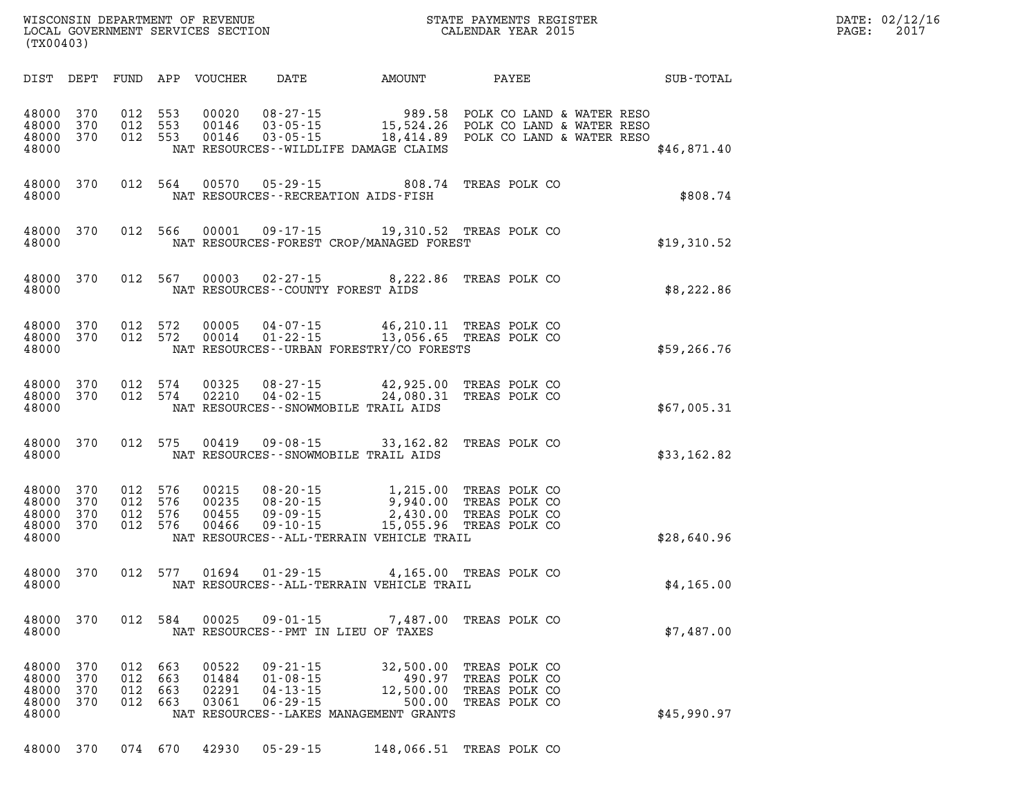| $\mathtt{DATE}$ : | 02/12/16 |
|-------------------|----------|
| PAGE:             | 2017     |

| WISCONSIN DEPARTMENT OF REVENUE<br>LOCAL GOVERNMENT SERVICES SECTION CALENDAR YEAR 2015<br>(TX00403) |                          |                          |                          |                                  |                                                                      |                                                                                                                                                                                                                                               |                                                                  | TER EXECUTIVE TERM IN THE RESERVE OF THE RESERVE OF THE RESERVE OF THE RESERVE OF THE RESERVE OF THE RESERVE O | DATE: 02/12/1<br>$\mathtt{PAGE}$ :<br>2017 |
|------------------------------------------------------------------------------------------------------|--------------------------|--------------------------|--------------------------|----------------------------------|----------------------------------------------------------------------|-----------------------------------------------------------------------------------------------------------------------------------------------------------------------------------------------------------------------------------------------|------------------------------------------------------------------|----------------------------------------------------------------------------------------------------------------|--------------------------------------------|
|                                                                                                      |                          |                          |                          |                                  |                                                                      |                                                                                                                                                                                                                                               |                                                                  | DIST DEPT FUND APP VOUCHER DATE AMOUNT PAYEE TOTAL SUB-TOTAL                                                   |                                            |
| 48000 370<br>48000 370<br>48000 370<br>48000                                                         |                          |                          |                          |                                  |                                                                      | 012 553 00020 08-27-15 989.58 POLK CO LAND & WATER RESO<br>012 553 00146 03-05-15 15,524.26 POLK CO LAND & WATER RESO<br>012 553 00146 03-05-15 18,414.89 POLK CO LAND & WATER RESO<br>NAT RESOURCES--WILDLIFE DAMAGE CLAIMS                  |                                                                  | \$46,871.40                                                                                                    |                                            |
| 48000                                                                                                |                          |                          |                          |                                  |                                                                      | 48000 370 012 564 00570 05-29-15 808.74 TREAS POLK CO<br>NAT RESOURCES - - RECREATION AIDS - FISH                                                                                                                                             |                                                                  | \$808.74                                                                                                       |                                            |
| 48000                                                                                                |                          |                          |                          |                                  |                                                                      | 48000 370 012 566 00001 09-17-15 19,310.52 TREAS POLK CO<br>NAT RESOURCES-FOREST CROP/MANAGED FOREST                                                                                                                                          |                                                                  | \$19,310.52                                                                                                    |                                            |
|                                                                                                      |                          |                          |                          |                                  | 48000 NAT RESOURCES--COUNTY FOREST AIDS                              | 48000 370 012 567 00003 02-27-15 8,222.86 TREAS POLK CO                                                                                                                                                                                       |                                                                  | \$8,222.86                                                                                                     |                                            |
| 48000                                                                                                |                          |                          |                          |                                  |                                                                      | 48000 370 012 572 00005 04-07-15 46,210.11 TREAS POLK CO 48000 370 012 572 00014 01-22-15 13,056.65 TREAS POLK CO<br>NAT RESOURCES - URBAN FORESTRY/CO FORESTS                                                                                |                                                                  | \$59,266.76                                                                                                    |                                            |
| 48000 370<br>48000                                                                                   | 48000 370                |                          |                          |                                  |                                                                      | 012 574 00325 08-27-15 42,925.00 TREAS POLK CO<br>012 574 02210 04-02-15 24,080.31 TREAS POLK CO<br>NAT RESOURCES--SNOWMOBILE TRAIL AIDS                                                                                                      |                                                                  | \$67,005.31                                                                                                    |                                            |
| 48000                                                                                                |                          |                          |                          |                                  |                                                                      | 48000 370 012 575 00419 09-08-15 33,162.82 TREAS POLK CO<br>NAT RESOURCES--SNOWMOBILE TRAIL AIDS                                                                                                                                              |                                                                  | \$33,162.82                                                                                                    |                                            |
| 48000 370<br>48000 370<br>48000 370<br>48000 370<br>48000                                            |                          |                          |                          | 012 576 00466                    |                                                                      | 012 576 00215 08-20-15 1,215.00 TREAS POLK CO<br>012 576 00235 08-20-15 9,940.00 TREAS POLK CO<br>012 576 00455 09-09-15 2,430.00 TREAS POLK CO<br>012 576 00466 09-10-15 15,055.96 TREAS POLK CO<br>NAT RESOURCES--ALL-TERRAIN VEHICLE TRAIL |                                                                  | \$28,640.96                                                                                                    |                                            |
| 48000 370<br>48000                                                                                   |                          |                          |                          |                                  |                                                                      | 012 577 01694 01-29-15 4,165.00 TREAS POLK CO<br>NAT RESOURCES--ALL-TERRAIN VEHICLE TRAIL                                                                                                                                                     |                                                                  | \$4,165.00                                                                                                     |                                            |
| 48000<br>48000                                                                                       | 370                      |                          | 012 584                  | 00025                            | 09-01-15<br>NAT RESOURCES - PMT IN LIEU OF TAXES                     | 7,487.00                                                                                                                                                                                                                                      | TREAS POLK CO                                                    | \$7,487.00                                                                                                     |                                            |
| 48000<br>48000<br>48000<br>48000<br>48000                                                            | 370<br>370<br>370<br>370 | 012<br>012<br>012<br>012 | 663<br>663<br>663<br>663 | 00522<br>01484<br>02291<br>03061 | $09 - 21 - 15$<br>$01 - 08 - 15$<br>$04 - 13 - 15$<br>$06 - 29 - 15$ | 32,500.00<br>490.97<br>12,500.00<br>500.00<br>NAT RESOURCES--LAKES MANAGEMENT GRANTS                                                                                                                                                          | TREAS POLK CO<br>TREAS POLK CO<br>TREAS POLK CO<br>TREAS POLK CO | \$45,990.97                                                                                                    |                                            |

**48000 370 074 670 42930 05-29-15 148,066.51 TREAS POLK CO**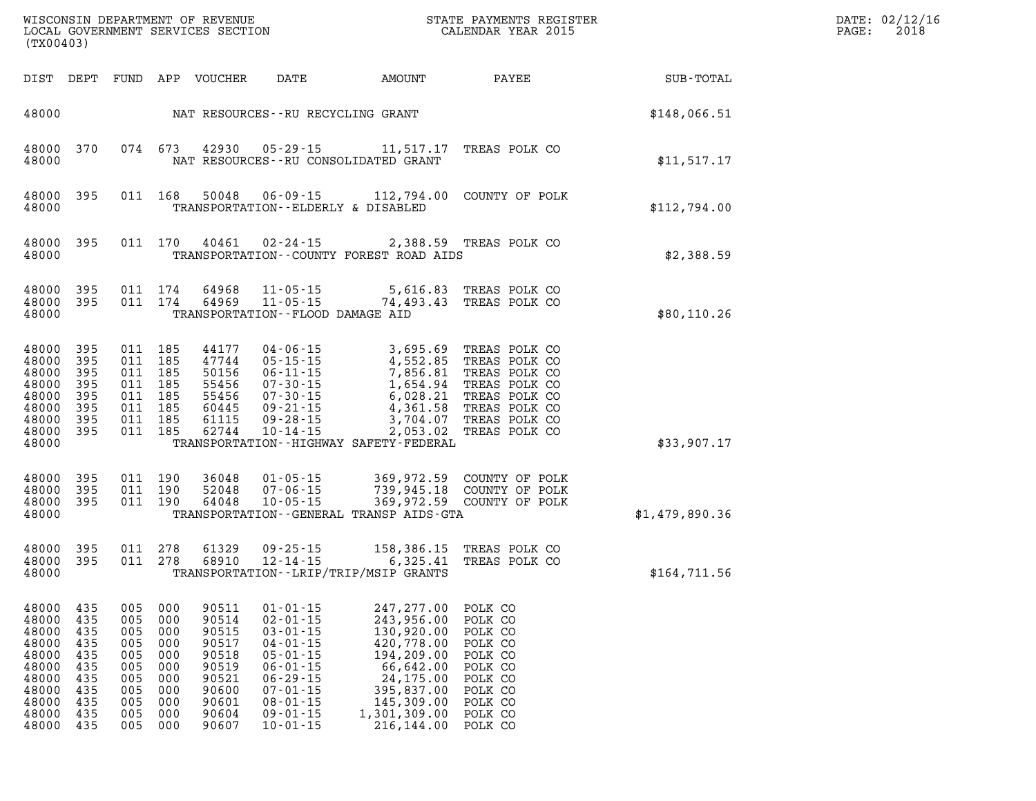| (TX00403)                                                                              |                                                                    |                                                             |                                                                        |                                                                                        |                                                                                                                                                                                  |                                                                                                                                                                                                                                                                                              |                                                                                                                                           |                | DATE: 02/12/16<br>PAGE: 2018 |
|----------------------------------------------------------------------------------------|--------------------------------------------------------------------|-------------------------------------------------------------|------------------------------------------------------------------------|----------------------------------------------------------------------------------------|----------------------------------------------------------------------------------------------------------------------------------------------------------------------------------|----------------------------------------------------------------------------------------------------------------------------------------------------------------------------------------------------------------------------------------------------------------------------------------------|-------------------------------------------------------------------------------------------------------------------------------------------|----------------|------------------------------|
|                                                                                        |                                                                    |                                                             |                                                                        | DIST DEPT FUND APP VOUCHER DATE                                                        |                                                                                                                                                                                  |                                                                                                                                                                                                                                                                                              | AMOUNT PAYEE                                                                                                                              | SUB-TOTAL      |                              |
| 48000                                                                                  |                                                                    |                                                             |                                                                        |                                                                                        | NAT RESOURCES--RU RECYCLING GRANT                                                                                                                                                |                                                                                                                                                                                                                                                                                              |                                                                                                                                           | \$148,066.51   |                              |
| 48000                                                                                  |                                                                    |                                                             |                                                                        |                                                                                        |                                                                                                                                                                                  | 48000 370 074 673 42930 05-29-15 11,517.17 TREAS POLK CO<br>NAT RESOURCES - - RU CONSOLIDATED GRANT                                                                                                                                                                                          |                                                                                                                                           | \$11,517.17    |                              |
| 48000                                                                                  | 48000 395                                                          |                                                             |                                                                        |                                                                                        | TRANSPORTATION--ELDERLY & DISABLED                                                                                                                                               | 011  168  50048  06-09-15  112,794.00  COUNTY OF POLK                                                                                                                                                                                                                                        |                                                                                                                                           | \$112,794.00   |                              |
| 48000                                                                                  |                                                                    |                                                             |                                                                        |                                                                                        | 48000 395 011 170 40461 02-24-15                                                                                                                                                 | TRANSPORTATION--COUNTY FOREST ROAD AIDS                                                                                                                                                                                                                                                      | 2,388.59 TREAS POLK CO                                                                                                                    | \$2,388.59     |                              |
| 48000                                                                                  |                                                                    |                                                             |                                                                        |                                                                                        | TRANSPORTATION -- FLOOD DAMAGE AID                                                                                                                                               | 48000 395 011 174 64968 11-05-15 5,616.83 TREASPOLK CO<br>48000 395 011 174 64969 11-05-15 74,493.43 TREASPOLK CO                                                                                                                                                                            |                                                                                                                                           | \$80,110.26    |                              |
| 48000<br>48000<br>48000<br>48000<br>48000<br>48000<br>48000<br>48000<br>48000          | 395<br>395<br>395<br>395<br>395<br>395<br>395<br>395               | 011 185<br>011 185<br>011 185<br>011 185                    | 011 185<br>011 185<br>011 185<br>011 185                               |                                                                                        | $62744$ $10 - 14 - 15$                                                                                                                                                           | 44177 04-06-15 3,695.69 TREAS POLK CO<br>47744 05-15-15 4,552.85 TREAS POLK CO<br>50156 06-11-15 7,856.81 TREAS POLK CO<br>55456 07-30-15 1,654.94 TREAS POLK CO<br>60445 09-21-15 4,361.58 TREAS POLK CO<br>61415 09-21-15 4,361.58 TREAS PO<br>TRANSPORTATION - - HIGHWAY SAFETY - FEDERAL | 2,053.02 TREAS POLK CO                                                                                                                    | \$33,907.17    |                              |
| 48000<br>48000<br>48000                                                                | 48000 395<br>395<br>-395                                           |                                                             | 011 190<br>011 190                                                     |                                                                                        | 011 190 64048 10-05-15                                                                                                                                                           | TRANSPORTATION--GENERAL TRANSP AIDS-GTA                                                                                                                                                                                                                                                      | 36048  01-05-15  369,972.59  COUNTY OF POLK<br>52048  07-06-15  739,945.18  COUNTY OF POLK<br>64048  10-05-15  369,972.59  COUNTY OF POLK | \$1,479,890.36 |                              |
| 48000<br>48000                                                                         | 48000 395 011 278<br>395                                           |                                                             |                                                                        |                                                                                        |                                                                                                                                                                                  | 011  278  61329  09-25-15  158,386.15  TREAS  POLK  CO  011  278  68910  12-14-15  6,325.41  TREAS  POLK  CO<br>TRANSPORTATION - - LRIP/TRIP/MSIP GRANTS                                                                                                                                     |                                                                                                                                           | \$164,711.56   |                              |
| 48000<br>48000<br>48000<br>48000<br>48000<br>48000<br>48000<br>48000<br>48000<br>48000 | 435<br>435<br>435<br>435<br>435<br>435<br>435<br>435<br>435<br>435 | 005<br>005<br>005<br>005<br>005<br>005<br>005<br>005<br>005 | 000<br>000<br>000<br>000<br>000<br>000<br>000<br>000<br>000<br>005 000 | 90511<br>90514<br>90515<br>90517<br>90518<br>90519<br>90521<br>90600<br>90601<br>90604 | $01 - 01 - 15$<br>$02 - 01 - 15$<br>$03 - 01 - 15$<br>$04 - 01 - 15$<br>$05 - 01 - 15$<br>$06 - 01 - 15$<br>$06 - 29 - 15$<br>$07 - 01 - 15$<br>$08 - 01 - 15$<br>$09 - 01 - 15$ | 247, 277.00<br>243,956.00<br>130,920.00<br>420,778.00<br>194,209.00<br>66,642.00<br>24,175.00<br>395,837.00<br>145,309.00<br>1,301,309.00                                                                                                                                                    | POLK CO<br>POLK CO<br>POLK CO<br>POLK CO<br>POLK CO<br>POLK CO<br>POLK CO<br>POLK CO<br>POLK CO<br>POLK CO                                |                |                              |

**48000 435 005 000 90607 10-01-15 216,144.00 POLK CO**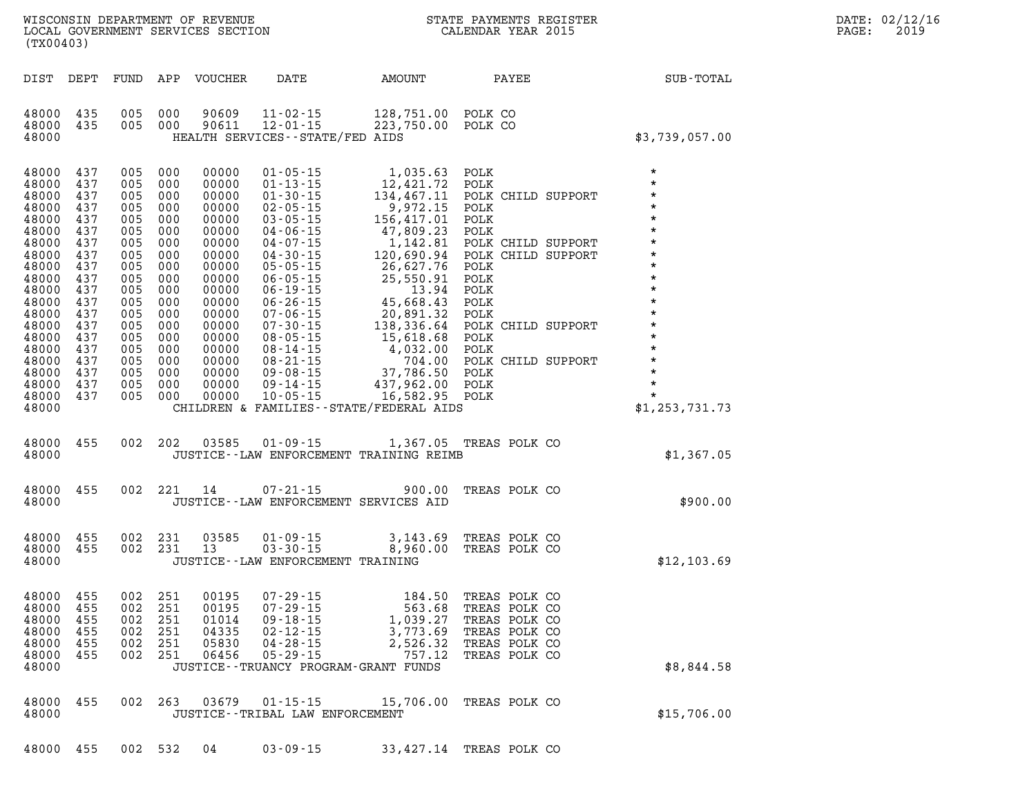| WISCONSIN DEPARTMENT OF REVENUE   | PAYMENTS REGISTER<br>3TATE | DATE: | 02/12/16 |
|-----------------------------------|----------------------------|-------|----------|
| LOCAL GOVERNMENT SERVICES SECTION | CALENDAR YEAR 2015         | PAGE  | 2019     |

**(TX00403) DIST DEPT FUND APP VOUCHER DATE AMOUNT PAYEE SUB-TOTAL 48000 435 005 000 90609 11-02-15 128,751.00 POLK CO 48000 435 005 000 90611 12-01-15 223,750.00 POLK CO 48000 HEALTH SERVICES--STATE/FED AIDS \$3,739,057.00 48000 437 005 000 00000 01-05-15 1,035.63 POLK \* 48000 437 005 000 00000 01-13-15 12,421.72 POLK \* 48000 437 005 000 00000 01-30-15 134,467.11 POLK CHILD SUPPORT \* 48000 437 005 000 00000 02-05-15 9,972.15 POLK \* 48000 437 005 000 00000 03-05-15 156,417.01 POLK \* 48000 437 005 000 00000 04-06-15 47,809.23 POLK \* 48000 437 005 000 00000 04-07-15 1,142.81 POLK CHILD SUPPORT \* 48000 437 005 000 00000 04-30-15 120,690.94 POLK CHILD SUPPORT \* 48000 437 005 000 00000 05-05-15 26,627.76 POLK \* 48000 437 005 000 00000 06-05-15 25,550.91 POLK \* 48000 437 005 000 00000 06-19-15 13.94 POLK \* 48000 437 005 000 00000 06-26-15 45,668.43 POLK \* 48000 437 005 000 00000 07-06-15 20,891.32 POLK \* 48000 437 005 000 00000 07-30-15 138,336.64 POLK CHILD SUPPORT \* 48000 437 005 000 00000 08-05-15 15,618.68 POLK \* 48000 437 005 000 00000 08-14-15 4,032.00 POLK \* 48000 437 005 000 00000 08-21-15 704.00 POLK CHILD SUPPORT \* 48000 437 005 000 00000 09-08-15 37,786.50 POLK \* 48000 437 005 000 00000 09-14-15 437,962.00 POLK \* 48000 437 005 000 00000 10-05-15 16,582.95 POLK \* 48000 CHILDREN & FAMILIES--STATE/FEDERAL AIDS \$1,253,731.73 48000 455 002 202 03585 01-09-15 1,367.05 TREAS POLK CO 48000 JUSTICE--LAW ENFORCEMENT TRAINING REIMB \$1,367.05 48000 455 002 221 14 07-21-15 900.00 TREAS POLK CO 48000 JUSTICE--LAW ENFORCEMENT SERVICES AID \$900.00 48000 455 002 231 03585 01-09-15 3,143.69 TREAS POLK CO 48000 455 002 231 13 03-30-15 8,960.00 TREAS POLK CO**  48000 455 002 231 03585 01-09-15 3,143.69 TREAS POLK CO<br>48000 455 002 231 13 03-30-15 8,960.00 TREAS POLK CO<br>48000 JUSTICE--LAW ENFORCEMENT TRAINING \$12,103.69 **48000 455 002 251 00195 07-29-15 184.50 TREAS POLK CO 48000 455 002 251 00195 07-29-15 563.68 TREAS POLK CO 48000 455 002 251 01014 09-18-15 1,039.27 TREAS POLK CO 48000 455 002 251 04335 02-12-15 3,773.69 TREAS POLK CO 48000 455 002 251 05830 04-28-15 2,526.32 TREAS POLK CO 48000 455 002 251 06456 05-29-15 757.12 TREAS POLK CO**  48000 155 002 251 06456 05-29-15<br>48000 455 002 251 06456 05-29-15 757.12 TREAS POLK CO<br>48000 JUSTICE--TRUANCY PROGRAM-GRANT FUNDS \$8,844.58 **48000 455 002 263 03679 01-15-15 15,706.00 TREAS POLK CO 455** 002 263 03679 01-15-15 15,706.00 TREAS POLK CO 3600 \$15,706.00

**48000 455 002 532 04 03-09-15 33,427.14 TREAS POLK CO**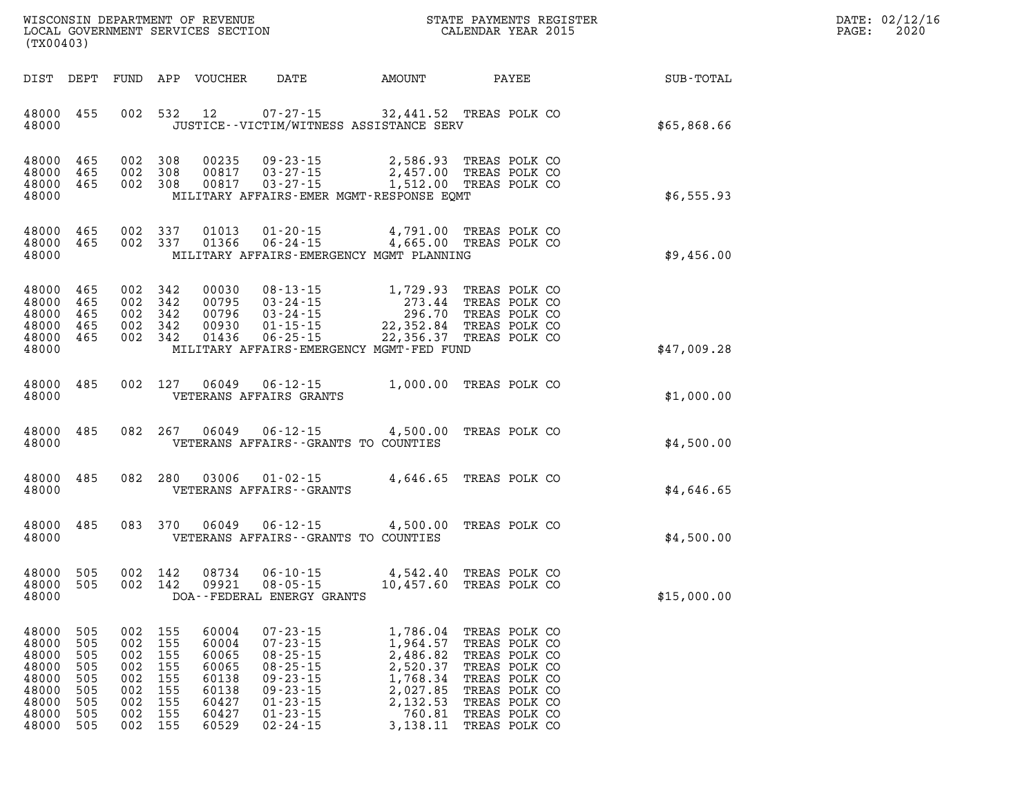| $\mathtt{DATE}$ : | 02/12/16 |
|-------------------|----------|
| $\mathtt{PAGE}$ : | 2020     |

| WISCONSIN DEPARTMENT OF REVENUE<br>LOCAL GOVERNMENT SERVICES SECTION<br>(TX00403)                                                                                                    |                                                                                                                                                                                                                                                                              | STATE PAYMENTS REGISTER<br>CALENDAR YEAR 2015                                                                                                                                                                                      |             |
|--------------------------------------------------------------------------------------------------------------------------------------------------------------------------------------|------------------------------------------------------------------------------------------------------------------------------------------------------------------------------------------------------------------------------------------------------------------------------|------------------------------------------------------------------------------------------------------------------------------------------------------------------------------------------------------------------------------------|-------------|
| DIST<br>DEPT<br>FUND                                                                                                                                                                 | APP<br>VOUCHER<br>DATE                                                                                                                                                                                                                                                       | AMOUNT<br>PAYEE                                                                                                                                                                                                                    | SUB-TOTAL   |
| 002<br>455<br>48000<br>48000                                                                                                                                                         | 532<br>12<br>JUSTICE - - VICTIM/WITNESS ASSISTANCE SERV                                                                                                                                                                                                                      | 07-27-15 32,441.52 TREAS POLK CO                                                                                                                                                                                                   | \$65,868.66 |
| 465<br>002<br>48000<br>002<br>48000<br>465<br>48000<br>002<br>465<br>48000                                                                                                           | 308<br>00235<br>$09 - 23 - 15$<br>308<br>00817<br>$03 - 27 - 15$<br>$03 - 27 - 15$<br>308<br>00817<br>MILITARY AFFAIRS-EMER MGMT-RESPONSE EQMT                                                                                                                               | 2,586.93<br>TREAS POLK CO<br>2,457.00<br>TREAS POLK CO<br>1,512.00 TREAS POLK CO                                                                                                                                                   | \$6,555.93  |
| 465<br>002<br>48000<br>002<br>465<br>48000<br>48000                                                                                                                                  | 337<br>$01 - 20 - 15$<br>01013<br>01366<br>$06 - 24 - 15$<br>337<br>MILITARY AFFAIRS-EMERGENCY MGMT PLANNING                                                                                                                                                                 | 4,791.00<br>TREAS POLK CO<br>4,665.00<br>TREAS POLK CO                                                                                                                                                                             | \$9,456.00  |
| 465<br>002<br>48000<br>48000<br>465<br>002<br>48000<br>002<br>465<br>002<br>48000<br>465<br>002<br>48000<br>465<br>48000                                                             | 342<br>00030<br>$08 - 13 - 15$<br>342<br>00795<br>$03 - 24 - 15$<br>342<br>00796<br>$03 - 24 - 15$<br>342<br>00930<br>$01 - 15 - 15$<br>342<br>01436<br>$06 - 25 - 15$<br>MILITARY AFFAIRS-EMERGENCY MGMT-FED FUND                                                           | 1,729.93<br>TREAS POLK CO<br>273.44<br>TREAS POLK CO<br>296.70<br>TREAS POLK CO<br>22,352.84<br>TREAS POLK CO<br>22,356.37 TREAS POLK CO                                                                                           | \$47,009.28 |
| 002<br>485<br>48000<br>48000                                                                                                                                                         | 127<br>06049<br>$06 - 12 - 15$<br>VETERANS AFFAIRS GRANTS                                                                                                                                                                                                                    | 1,000.00<br>TREAS POLK CO                                                                                                                                                                                                          | \$1,000.00  |
| 082<br>485<br>48000<br>48000                                                                                                                                                         | 267<br>06049<br>$06 - 12 - 15$<br>VETERANS AFFAIRS -- GRANTS TO COUNTIES                                                                                                                                                                                                     | 4,500.00<br>TREAS POLK CO                                                                                                                                                                                                          | \$4,500.00  |
| 485<br>082<br>48000<br>48000                                                                                                                                                         | 280<br>03006<br>$01 - 02 - 15$<br>VETERANS AFFAIRS - - GRANTS                                                                                                                                                                                                                | 4,646.65<br>TREAS POLK CO                                                                                                                                                                                                          | \$4,646.65  |
| 485<br>083<br>48000<br>48000                                                                                                                                                         | 370<br>06049<br>$06 - 12 - 15$<br>VETERANS AFFAIRS -- GRANTS TO COUNTIES                                                                                                                                                                                                     | 4,500.00<br>TREAS POLK CO                                                                                                                                                                                                          | \$4,500.00  |
| 505<br>002<br>48000<br>505<br>002<br>48000<br>48000                                                                                                                                  | 08734<br>$06 - 10 - 15$<br>142<br>142<br>09921<br>$08 - 05 - 15$<br>DOA--FEDERAL ENERGY GRANTS                                                                                                                                                                               | 4,542.40<br>TREAS POLK CO<br>10,457.60<br>TREAS POLK CO                                                                                                                                                                            | \$15,000.00 |
| 505<br>002<br>48000<br>505<br>002<br>48000<br>505<br>002<br>48000<br>48000<br>505<br>002<br>48000<br>505<br>002<br>48000<br>505<br>002<br>505<br>002<br>48000<br>002<br>48000<br>505 | $07 - 23 - 15$<br>155<br>60004<br>155<br>60004<br>$07 - 23 - 15$<br>155<br>$08 - 25 - 15$<br>60065<br>155<br>$08 - 25 - 15$<br>60065<br>155<br>$09 - 23 - 15$<br>60138<br>155<br>$09 - 23 - 15$<br>60138<br>155<br>60427<br>$01 - 23 - 15$<br>155<br>60427<br>$01 - 23 - 15$ | 1,786.04<br>TREAS POLK CO<br>1,964.57<br>TREAS POLK CO<br>2,486.82<br>TREAS POLK CO<br>2,520.37<br>TREAS POLK CO<br>1,768.34<br>TREAS POLK CO<br>2,027.85<br>TREAS POLK CO<br>2,132.53<br>TREAS POLK CO<br>760.81<br>TREAS POLK CO |             |

**48000 505 002 155 60529 02-24-15 3,138.11 TREAS POLK CO**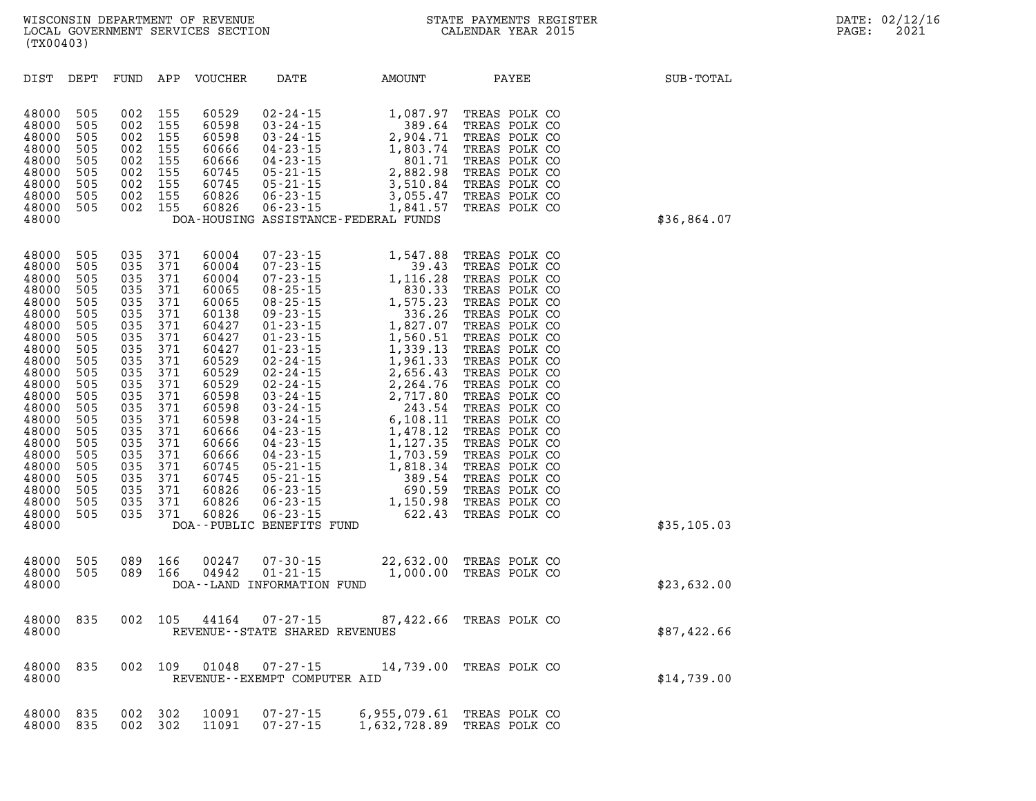| DIST                                                                                                                                                                                                                 | DEPT                                                                                                                                                          | FUND                                                                                                                                                          | APP                                                                                                                                                           | <b>VOUCHER</b>                                                                                                                                                                                              | DATE                                                           | AMOUNT                                                                                                                                                                                                                                                                                                                   | PAYEE                                                                                                                                                                                                                                                                                                                                                                                               | SUB-TOTAL   |
|----------------------------------------------------------------------------------------------------------------------------------------------------------------------------------------------------------------------|---------------------------------------------------------------------------------------------------------------------------------------------------------------|---------------------------------------------------------------------------------------------------------------------------------------------------------------|---------------------------------------------------------------------------------------------------------------------------------------------------------------|-------------------------------------------------------------------------------------------------------------------------------------------------------------------------------------------------------------|----------------------------------------------------------------|--------------------------------------------------------------------------------------------------------------------------------------------------------------------------------------------------------------------------------------------------------------------------------------------------------------------------|-----------------------------------------------------------------------------------------------------------------------------------------------------------------------------------------------------------------------------------------------------------------------------------------------------------------------------------------------------------------------------------------------------|-------------|
| 48000<br>48000<br>48000<br>48000<br>48000<br>48000<br>48000<br>48000<br>48000<br>48000                                                                                                                               | 505<br>505<br>505<br>505<br>505<br>505<br>505<br>505<br>505                                                                                                   | 002<br>002<br>002<br>002<br>002<br>002<br>002<br>002<br>002                                                                                                   | 155<br>155<br>155<br>155<br>155<br>155<br>155<br>155<br>155                                                                                                   | 60529<br>60598<br>60598<br>60666<br>60666<br>60745<br>60745<br>60826<br>60826                                                                                                                               | 02 - 24 - 15<br>03 - 24 - 15                                   | 1,087.97<br>02-24-15<br>03-24-15<br>03-24-15<br>03-24-15<br>04-23-15<br>04-23-15<br>05-21-15<br>05-21-15<br>06-23-15<br>06-23-15<br>06-23-15<br>06-23-15<br>06-23-15<br>06-23-15<br>06-23-15<br>06-23-15<br>06-23-15<br>06-23-15<br>06-23-15<br>06-23-15<br>06-23-15<br>06-23-15<br>DOA-HOUSING ASSISTANCE-FEDERAL FUNDS | TREAS POLK CO<br>TREAS POLK CO<br>TREAS POLK CO<br>TREAS POLK CO<br>TREAS POLK CO<br>TREAS POLK CO<br>TREAS POLK CO<br>TREAS POLK CO<br>TREAS POLK CO                                                                                                                                                                                                                                               | \$36,864.07 |
| 48000<br>48000<br>48000<br>48000<br>48000<br>48000<br>48000<br>48000<br>48000<br>48000<br>48000<br>48000<br>48000<br>48000<br>48000<br>48000<br>48000<br>48000<br>48000<br>48000<br>48000<br>48000<br>48000<br>48000 | 505<br>505<br>505<br>505<br>505<br>505<br>505<br>505<br>505<br>505<br>505<br>505<br>505<br>505<br>505<br>505<br>505<br>505<br>505<br>505<br>505<br>505<br>505 | 035<br>035<br>035<br>035<br>035<br>035<br>035<br>035<br>035<br>035<br>035<br>035<br>035<br>035<br>035<br>035<br>035<br>035<br>035<br>035<br>035<br>035<br>035 | 371<br>371<br>371<br>371<br>371<br>371<br>371<br>371<br>371<br>371<br>371<br>371<br>371<br>371<br>371<br>371<br>371<br>371<br>371<br>371<br>371<br>371<br>371 | 60004<br>60004<br>60004<br>60065<br>60065<br>60138<br>60427<br>60427<br>60427<br>60529<br>60529<br>60529<br>60598<br>60598<br>60598<br>60666<br>60666<br>60666<br>60745<br>60745<br>60826<br>60826<br>60826 | $07 - 23 - 15$<br>$07 - 23 - 15$<br>DOA--PUBLIC BENEFITS FUND  | 1,547.88<br>39.43<br>07-23-15<br>07-23-15<br>07-23-15<br>08-25-15<br>08-25-15<br>08-25-15<br>08-25-15<br>08-25-15<br>08-25-15<br>08-25-15<br>1,575.23<br>08-25-15<br>08-25-15<br>1,575.23<br>030.33<br>08-25-15<br>1,575.23<br>336.26<br>01-23-15<br>1,539.13<br>02-24-15<br>02-24-15<br>02-24-                          | TREAS POLK CO<br>TREAS POLK CO<br>TREAS POLK CO<br>TREAS POLK CO<br>TREAS POLK CO<br>TREAS POLK CO<br>TREAS POLK CO<br>TREAS POLK CO<br>TREAS POLK CO<br>TREAS POLK CO<br>TREAS POLK CO<br>TREAS POLK CO<br>TREAS POLK CO<br>TREAS POLK CO<br>TREAS POLK CO<br>TREAS POLK CO<br>TREAS POLK CO<br>TREAS POLK CO<br>TREAS POLK CO<br>TREAS POLK CO<br>TREAS POLK CO<br>TREAS POLK CO<br>TREAS POLK CO | \$35,105.03 |
| 48000<br>48000<br>48000                                                                                                                                                                                              | 505<br>505                                                                                                                                                    | 089<br>089                                                                                                                                                    | 166<br>166                                                                                                                                                    | 00247<br>04942                                                                                                                                                                                              | $07 - 30 - 15$<br>$01 - 21 - 15$<br>DOA--LAND INFORMATION FUND | 22,632.00<br>1,000.00                                                                                                                                                                                                                                                                                                    | TREAS POLK CO<br>TREAS POLK CO                                                                                                                                                                                                                                                                                                                                                                      | \$23,632.00 |
| 48000<br>48000                                                                                                                                                                                                       | 835                                                                                                                                                           | 002                                                                                                                                                           | 105                                                                                                                                                           | 44164                                                                                                                                                                                                       | $07 - 27 - 15$<br>REVENUE - - STATE SHARED REVENUES            | 87,422.66                                                                                                                                                                                                                                                                                                                | TREAS POLK CO                                                                                                                                                                                                                                                                                                                                                                                       | \$87,422.66 |
| 48000<br>48000                                                                                                                                                                                                       | 835                                                                                                                                                           | 002                                                                                                                                                           | 109                                                                                                                                                           | 01048                                                                                                                                                                                                       | $07 - 27 - 15$<br>REVENUE - - EXEMPT COMPUTER AID              | 14,739.00                                                                                                                                                                                                                                                                                                                | TREAS POLK CO                                                                                                                                                                                                                                                                                                                                                                                       | \$14,739.00 |
| 48000<br>48000                                                                                                                                                                                                       | 835<br>835                                                                                                                                                    | 002<br>002                                                                                                                                                    | 302<br>302                                                                                                                                                    | 10091<br>11091                                                                                                                                                                                              | $07 - 27 - 15$<br>$07 - 27 - 15$                               | 6,955,079.61<br>1,632,728.89                                                                                                                                                                                                                                                                                             | TREAS POLK CO<br>TREAS POLK CO                                                                                                                                                                                                                                                                                                                                                                      |             |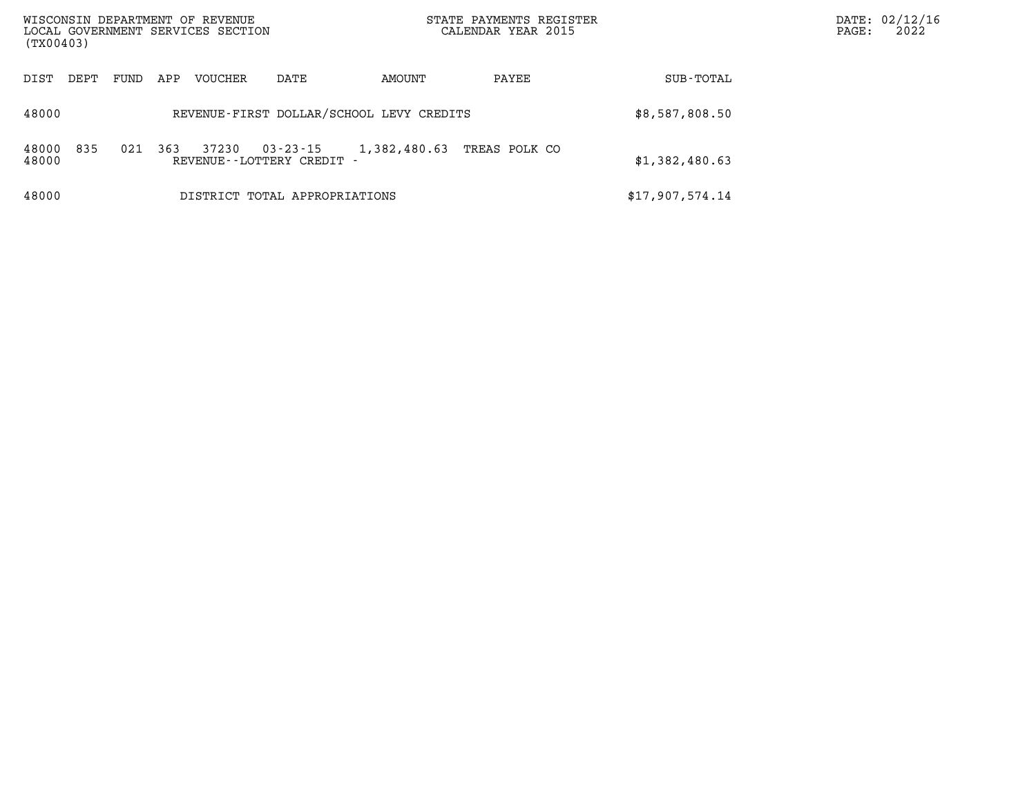| WISCONSIN DEPARTMENT OF REVENUE<br>(TX00403) |      |     | LOCAL GOVERNMENT SERVICES SECTION |                                           |              | STATE PAYMENTS REGISTER<br>CALENDAR YEAR 2015 |                 | PAGE: | DATE: 02/12/16<br>2022 |
|----------------------------------------------|------|-----|-----------------------------------|-------------------------------------------|--------------|-----------------------------------------------|-----------------|-------|------------------------|
| DIST<br>DEPT                                 | FUND | APP | <b>VOUCHER</b>                    | DATE                                      | AMOUNT       | PAYEE                                         | SUB-TOTAL       |       |                        |
| 48000                                        |      |     |                                   | REVENUE-FIRST DOLLAR/SCHOOL LEVY CREDITS  |              |                                               | \$8,587,808.50  |       |                        |
| 835<br>48000<br>48000                        | 021  | 363 | 37230                             | $03 - 23 - 15$<br>REVENUE--LOTTERY CREDIT | 1,382,480.63 | TREAS POLK CO                                 | \$1,382,480.63  |       |                        |
| 48000                                        |      |     |                                   | DISTRICT TOTAL APPROPRIATIONS             |              |                                               | \$17,907,574.14 |       |                        |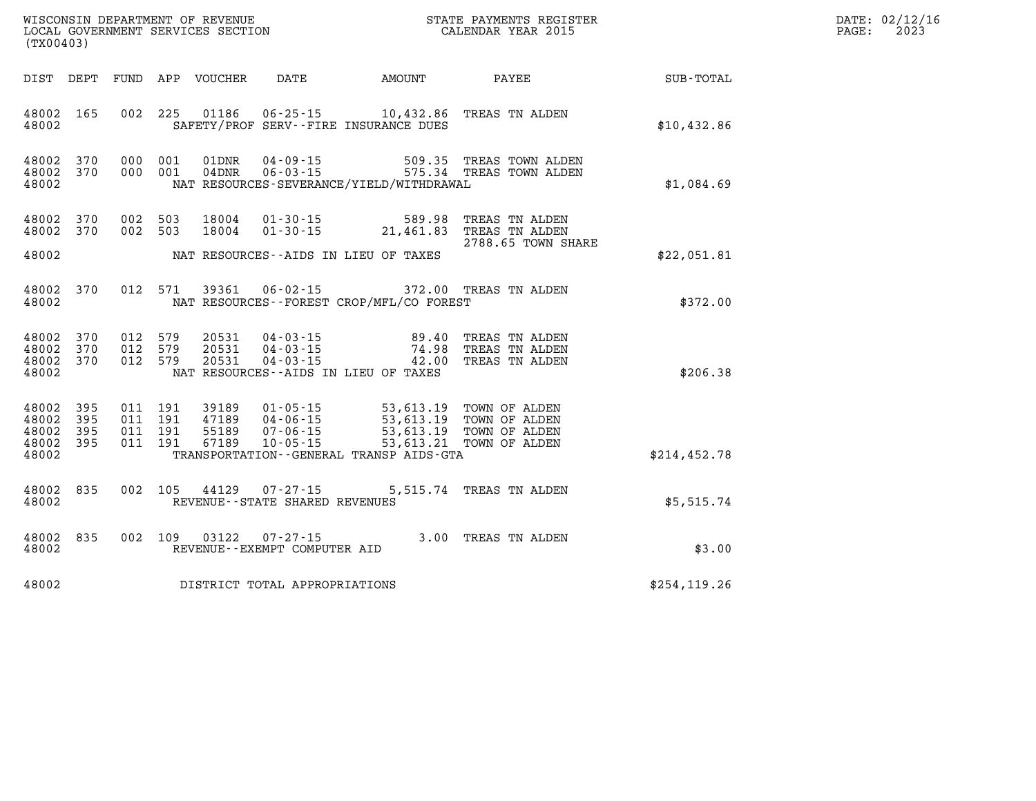| DATE: | 02/12/16 |
|-------|----------|
| PAGE: | 2023     |

| WISCONSIN DEPARTMENT OF REVENUE<br>LOCAL GOVERNMENT SERVICES SECTION<br>(TYOO403)<br>(TX00403) |                   |                    |                    |                            |                                                             |                                                                                                                                                                                                    | STATE PAYMENTS REGISTER                                                              |               | DATE: 02/12/1<br>2023<br>PAGE: |
|------------------------------------------------------------------------------------------------|-------------------|--------------------|--------------------|----------------------------|-------------------------------------------------------------|----------------------------------------------------------------------------------------------------------------------------------------------------------------------------------------------------|--------------------------------------------------------------------------------------|---------------|--------------------------------|
|                                                                                                |                   |                    |                    | DIST DEPT FUND APP VOUCHER | $\Box$                                                      |                                                                                                                                                                                                    |                                                                                      |               |                                |
| 48002 165<br>48002                                                                             |                   |                    |                    |                            |                                                             | 002 225 01186 06-25-15 10,432.86 TREAS TN ALDEN<br>SAFETY/PROF SERV--FIRE INSURANCE DUES                                                                                                           |                                                                                      | \$10,432.86   |                                |
| 48002 370<br>48002 370<br>48002                                                                |                   |                    | 000 001<br>000 001 |                            |                                                             | NAT RESOURCES-SEVERANCE/YIELD/WITHDRAWAL                                                                                                                                                           | 01DNR  04-09-15  509.35 TREAS TOWN ALDEN<br>04DNR  06-03-15  575.34 TREAS TOWN ALDEN | \$1,084.69    |                                |
| 48002 370<br>48002 370<br>48002                                                                |                   | 002 503<br>002 503 |                    | 18004<br>18004             | $01 - 30 - 15$                                              | 01-30-15 589.98 TREAS TN ALDEN                                                                                                                                                                     | 21,461.83 TREAS TN ALDEN<br>2788.65 TOWN SHARE                                       |               |                                |
|                                                                                                |                   |                    |                    |                            |                                                             | NAT RESOURCES--AIDS IN LIEU OF TAXES                                                                                                                                                               |                                                                                      | \$22,051.81   |                                |
| 48002 370<br>48002                                                                             |                   |                    | 012 571            | 39361                      |                                                             | 06-02-15 372.00 TREAS TN ALDEN<br>NAT RESOURCES - - FOREST CROP/MFL/CO FOREST                                                                                                                      |                                                                                      | \$372.00      |                                |
| 48002 370<br>48002 370<br>48002 370<br>48002                                                   |                   | 012 579<br>012 579 | 012 579            |                            |                                                             | 20531  04-03-15  89.40 TREAS TN ALDEN<br>20531  04-03-15  74.98 TREAS TN ALDEN<br>20531  04-03-15  42.00 TREAS TN ALDEN<br>NAT RESOURCES--AIDS IN LIEU OF TAXES                                    |                                                                                      | \$206.38      |                                |
| 48002<br>48002<br>48002<br>48002 395<br>48002                                                  | 395<br>395<br>395 |                    | 011 191            | 67189                      | $10 - 05 - 15$                                              | 011 191 39189 01-05-15 53,613.19 TOWN OF ALDEN<br>011 191 47189 04-06-15 53,613.19 TOWN OF ALDEN<br>011 191 55189 07-06-15 53,613.19 TOWN OF ALDEN<br>TRANSPORTATION - - GENERAL TRANSP AIDS - GTA | 53,613.21 TOWN OF ALDEN                                                              | \$214,452.78  |                                |
| 48002 835<br>48002                                                                             |                   |                    |                    |                            | 002 105 44129 07-27-15<br>REVENUE - - STATE SHARED REVENUES | 5,515.74 TREAS TN ALDEN                                                                                                                                                                            |                                                                                      | \$5,515.74    |                                |
| 48002<br>48002                                                                                 | 835               |                    | 002 109            |                            | 03122 07-27-15<br>REVENUE--EXEMPT COMPUTER AID              | 3.00 TREAS TN ALDEN                                                                                                                                                                                |                                                                                      | \$3.00        |                                |
| 48002                                                                                          |                   |                    |                    |                            | DISTRICT TOTAL APPROPRIATIONS                               |                                                                                                                                                                                                    |                                                                                      | \$254, 119.26 |                                |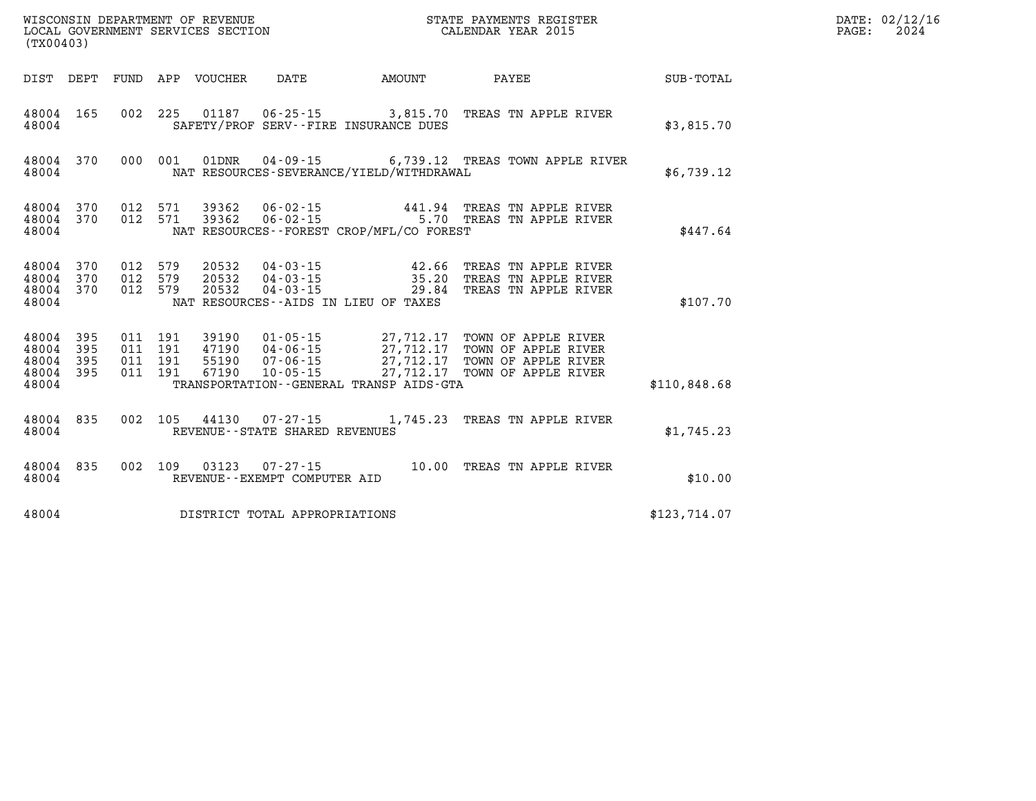| $\texttt{DATE}$ : | 02/12/16 |
|-------------------|----------|
| PAGE:             | 2024     |

| (TX00403)                                 |                          |                          |                          | WISCONSIN DEPARTMENT OF REVENUE<br>LOCAL GOVERNMENT SERVICES SECTION |                                                                      |                                                                                             | STATE PAYMENTS REGISTER<br>CALENDAR YEAR 2015                                            |                  |  |  |
|-------------------------------------------|--------------------------|--------------------------|--------------------------|----------------------------------------------------------------------|----------------------------------------------------------------------|---------------------------------------------------------------------------------------------|------------------------------------------------------------------------------------------|------------------|--|--|
| DIST                                      | DEPT                     | FUND                     | APP                      | VOUCHER                                                              | DATE                                                                 | AMOUNT                                                                                      | PAYEE                                                                                    | <b>SUB-TOTAL</b> |  |  |
| 48004<br>48004                            | 165                      | 002                      | 225                      |                                                                      |                                                                      | SAFETY/PROF SERV--FIRE INSURANCE DUES                                                       | 01187   06-25-15   3,815.70   TREAS TN APPLE RIVER                                       | \$3,815.70       |  |  |
| 48004<br>48004                            | 370                      | 000                      | 001                      | 01DNR                                                                | 04-09-15                                                             | NAT RESOURCES-SEVERANCE/YIELD/WITHDRAWAL                                                    | 6,739.12 TREAS TOWN APPLE RIVER                                                          | \$6,739.12       |  |  |
| 48004<br>48004<br>48004                   | 370<br>370               | 012<br>012               | 571<br>571               | 39362<br>39362                                                       |                                                                      | NAT RESOURCES - - FOREST CROP/MFL/CO FOREST                                                 | 06-02-15 441.94 TREAS TN APPLE RIVER<br>06-02-15 5.70 TREAS TN APPLE RIVER               | \$447.64         |  |  |
| 48004<br>48004<br>48004<br>48004          | 370<br>370<br>370        | 012<br>012<br>012        | 579<br>579<br>579        | 20532<br>20532<br>20532                                              | $04 - 03 - 15$<br>$04 - 03 - 15$                                     | $04 - 03 - 15$ 42.66<br>35.20<br>29.84<br>NAT RESOURCES--AIDS IN LIEU OF TAXES              | TREAS TN APPLE RIVER<br>TREAS TN APPLE RIVER<br>TREAS TN APPLE RIVER                     | \$107.70         |  |  |
| 48004<br>48004<br>48004<br>48004<br>48004 | 395<br>395<br>395<br>395 | 011<br>011<br>011<br>011 | 191<br>191<br>191<br>191 | 39190<br>47190<br>55190<br>67190                                     | $01 - 05 - 15$<br>$04 - 06 - 15$<br>$07 - 06 - 15$<br>$10 - 05 - 15$ | 27,712.17<br>27,712.17<br>27,712.17<br>27,712.17<br>TRANSPORTATION--GENERAL TRANSP AIDS-GTA | TOWN OF APPLE RIVER<br>TOWN OF APPLE RIVER<br>TOWN OF APPLE RIVER<br>TOWN OF APPLE RIVER | \$110,848.68     |  |  |
| 48004<br>48004                            | 835                      | 002                      | 105                      | 44130                                                                | 07-27-15<br>REVENUE - - STATE SHARED REVENUES                        | 1,745.23                                                                                    | TREAS TN APPLE RIVER                                                                     | \$1,745.23       |  |  |
| 48004<br>48004                            | 835                      | 002                      | 109                      | 03123                                                                | $07 - 27 - 15$<br>REVENUE--EXEMPT COMPUTER AID                       | 10.00                                                                                       | TREAS TN APPLE RIVER                                                                     | \$10.00          |  |  |
| 48004                                     |                          |                          |                          |                                                                      | DISTRICT TOTAL APPROPRIATIONS                                        |                                                                                             |                                                                                          | \$123,714.07     |  |  |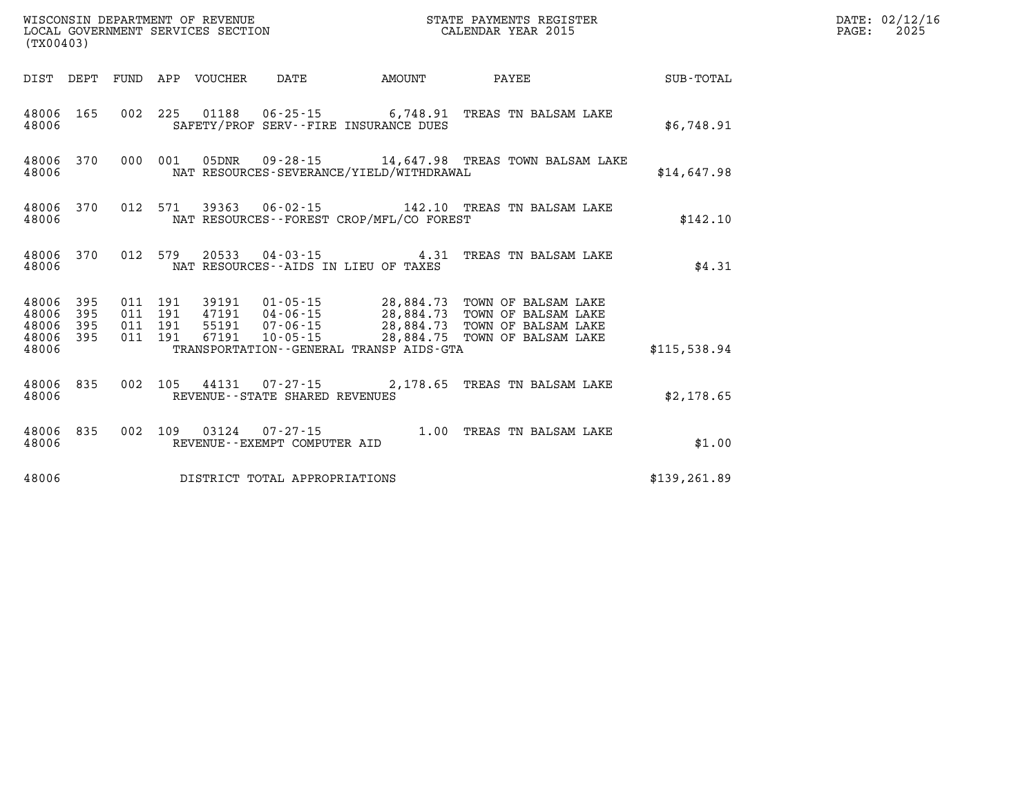| (TX00403)                                 |                          |                          |                          | WISCONSIN DEPARTMENT OF REVENUE<br>LOCAL GOVERNMENT SERVICES SECTION |                                                                | STATE PAYMENTS REGISTER<br>CALENDAR YEAR 2015                                               |                                                                                          |               |
|-------------------------------------------|--------------------------|--------------------------|--------------------------|----------------------------------------------------------------------|----------------------------------------------------------------|---------------------------------------------------------------------------------------------|------------------------------------------------------------------------------------------|---------------|
| DIST                                      | DEPT                     | FUND                     | APP                      | <b>VOUCHER</b>                                                       | DATE                                                           | <b>AMOUNT</b>                                                                               | PAYEE                                                                                    | SUB-TOTAL     |
| 48006<br>48006                            | 165                      | 002                      | 225                      | 01188                                                                |                                                                | 06-25-15 6,748.91<br>SAFETY/PROF SERV--FIRE INSURANCE DUES                                  | TREAS TN BALSAM LAKE                                                                     | \$6,748.91    |
| 48006<br>48006                            | 370                      | 000                      | 001                      | 05DNR                                                                | $09 - 28 - 15$                                                 | NAT RESOURCES-SEVERANCE/YIELD/WITHDRAWAL                                                    | 14,647.98 TREAS TOWN BALSAM LAKE                                                         | \$14,647.98   |
| 48006<br>48006                            | 370                      | 012                      | 571                      | 39363                                                                | $06 - 02 - 15$                                                 | NAT RESOURCES - - FOREST CROP/MFL/CO FOREST                                                 | 142.10 TREAS TN BALSAM LAKE                                                              | \$142.10      |
| 48006<br>48006                            | 370                      | 012                      | 579                      | 20533                                                                |                                                                | $04 - 03 - 15$ 4.31<br>NAT RESOURCES -- AIDS IN LIEU OF TAXES                               | TREAS TN BALSAM LAKE                                                                     | \$4.31        |
| 48006<br>48006<br>48006<br>48006<br>48006 | 395<br>395<br>395<br>395 | 011<br>011<br>011<br>011 | 191<br>191<br>191<br>191 | 39191<br>47191<br>55191<br>67191                                     | $01 - 05 - 15$<br>04-06-15<br>$07 - 06 - 15$<br>$10 - 05 - 15$ | 28,884.73<br>28,884.73<br>28,884.73<br>28,884.75<br>TRANSPORTATION--GENERAL TRANSP AIDS-GTA | TOWN OF BALSAM LAKE<br>TOWN OF BALSAM LAKE<br>TOWN OF BALSAM LAKE<br>TOWN OF BALSAM LAKE | \$115,538.94  |
| 48006<br>48006                            | 835                      | 002                      | 105                      | 44131                                                                | 07-27-15<br>REVENUE - - STATE SHARED REVENUES                  |                                                                                             | 2,178.65 TREAS TN BALSAM LAKE                                                            | \$2,178.65    |
| 48006<br>48006                            | 835                      | 002                      | 109                      | 03124                                                                | $07 - 27 - 15$<br>REVENUE--EXEMPT COMPUTER AID                 | 1.00                                                                                        | TREAS TN BALSAM LAKE                                                                     | \$1.00        |
| 48006                                     |                          |                          |                          |                                                                      | DISTRICT TOTAL APPROPRIATIONS                                  |                                                                                             |                                                                                          | \$139, 261.89 |

**DATE: 02/12/16<br>PAGE: 2025**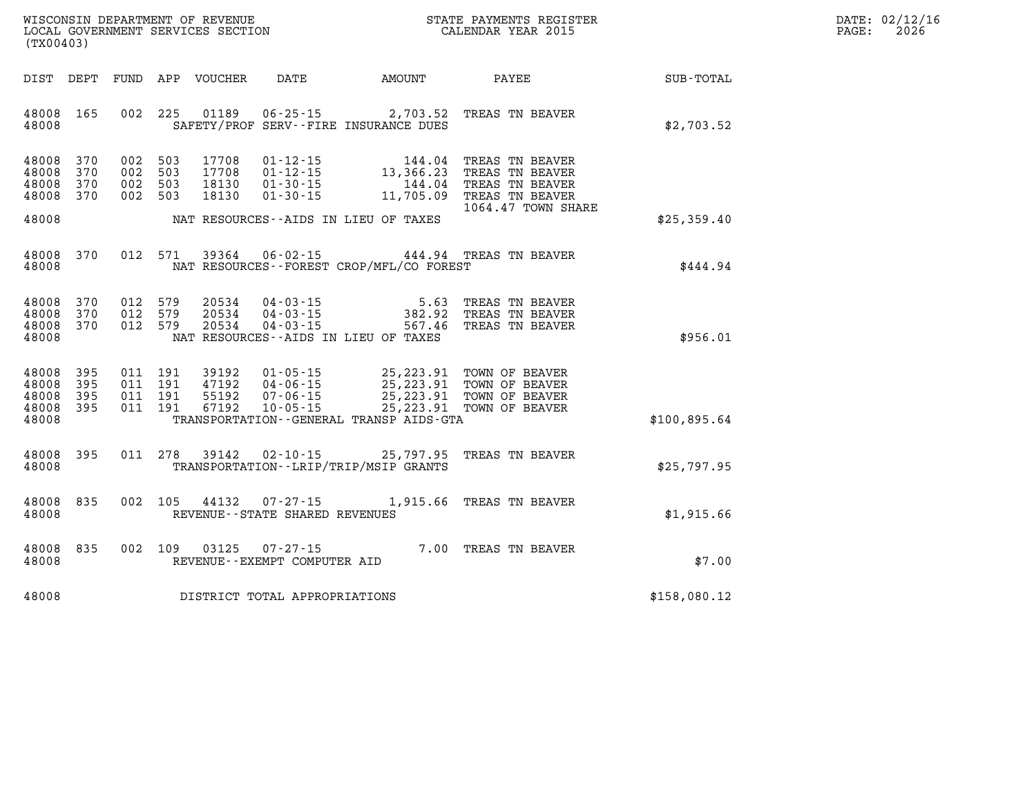| WISCONSIN DEPARTMENT OF REVENUE   | PAYMENTS REGISTER<br>3TATE | DATE: | 02/12/16 |
|-----------------------------------|----------------------------|-------|----------|
| LOCAL GOVERNMENT SERVICES SECTION | CALENDAR YEAR 2015         | PAGE  | 2026     |

|                                               | LOCAL GOVERNMENT SERVICES SECTION<br>(TX00403) |                                          |                               |                                  |                                                                                   | CALENDAR YEAR 2015                           |                                                                                                                                                             |              | PAGE: | 2026 |
|-----------------------------------------------|------------------------------------------------|------------------------------------------|-------------------------------|----------------------------------|-----------------------------------------------------------------------------------|----------------------------------------------|-------------------------------------------------------------------------------------------------------------------------------------------------------------|--------------|-------|------|
| DIST DEPT                                     |                                                |                                          |                               | FUND APP VOUCHER                 |                                                                                   |                                              | DATE AMOUNT PAYEE                                                                                                                                           | SUB-TOTAL    |       |      |
| 48008 165<br>48008                            |                                                |                                          | 002 225                       |                                  |                                                                                   | SAFETY/PROF SERV--FIRE INSURANCE DUES        | 01189   06-25-15   2,703.52   TREAS TN BEAVER                                                                                                               | \$2,703.52   |       |      |
| 48008<br>48008<br>48008<br>48008 370<br>48008 | 370<br>370<br>370                              | 002 503<br>002 503<br>002 503<br>002 503 |                               | 17708<br>17708<br>18130<br>18130 | $01 - 30 - 15$                                                                    | NAT RESOURCES--AIDS IN LIEU OF TAXES         | 01-12-15 144.04 TREAS TN BEAVER<br>01-12-15 13,366.23 TREAS TN BEAVER<br>01-30-15 144.04 TREAS TN BEAVER<br>11,705.09 TREAS TN BEAVER<br>1064.47 TOWN SHARE | \$25,359.40  |       |      |
| 48008<br>48008                                | 370                                            |                                          | 012 571                       | 39364                            |                                                                                   | NAT RESOURCES - - FOREST CROP/MFL/CO FOREST  | 06-02-15 444.94 TREAS TN BEAVER                                                                                                                             | \$444.94     |       |      |
| 48008 370<br>48008<br>48008 370<br>48008      | 370                                            | 012 579<br>012 579<br>012 579            |                               |                                  |                                                                                   | NAT RESOURCES -- AIDS IN LIEU OF TAXES       | 20534  04-03-15  5.63  TREAS TN BEAVER<br>20534  04-03-15  382.92  TREAS TN BEAVER<br>20534  04-03-15  567.46  TREAS TN BEAVER                              | \$956.01     |       |      |
| 48008<br>48008<br>48008<br>48008<br>48008     | 395<br>395<br>395<br>395                       | 011 191                                  | 011 191<br>011 191<br>011 191 | 39192<br>55192<br>67192          | 01 - 05 - 15<br>04 - 06 - 15<br>07 - 06 - 15<br>47192  04-06-15<br>$10 - 05 - 15$ | TRANSPORTATION - - GENERAL TRANSP AIDS - GTA | 25,223.91 TOWN OF BEAVER<br>25, 223.91 TOWN OF BEAVER<br>25, 223.91 TOWN OF BEAVER<br>25, 223.91 TOWN OF BEAVER                                             | \$100,895.64 |       |      |
| 48008<br>48008                                | 395                                            |                                          |                               | 011 278 39142                    |                                                                                   | TRANSPORTATION - - LRIP/TRIP/MSIP GRANTS     | 02-10-15 25,797.95 TREAS TN BEAVER                                                                                                                          | \$25,797.95  |       |      |
| 48008<br>48008                                | 835                                            |                                          | 002 105                       | 44132                            | REVENUE - - STATE SHARED REVENUES                                                 |                                              | 07-27-15 1,915.66 TREAS TN BEAVER                                                                                                                           | \$1,915.66   |       |      |
| 48008<br>48008                                | 835                                            |                                          | 002 109                       | 03125                            | $07 - 27 - 15$<br>REVENUE--EXEMPT COMPUTER AID                                    |                                              | 7.00 TREAS TN BEAVER                                                                                                                                        | \$7.00       |       |      |
| 48008                                         |                                                |                                          |                               |                                  | DISTRICT TOTAL APPROPRIATIONS                                                     |                                              |                                                                                                                                                             | \$158,080.12 |       |      |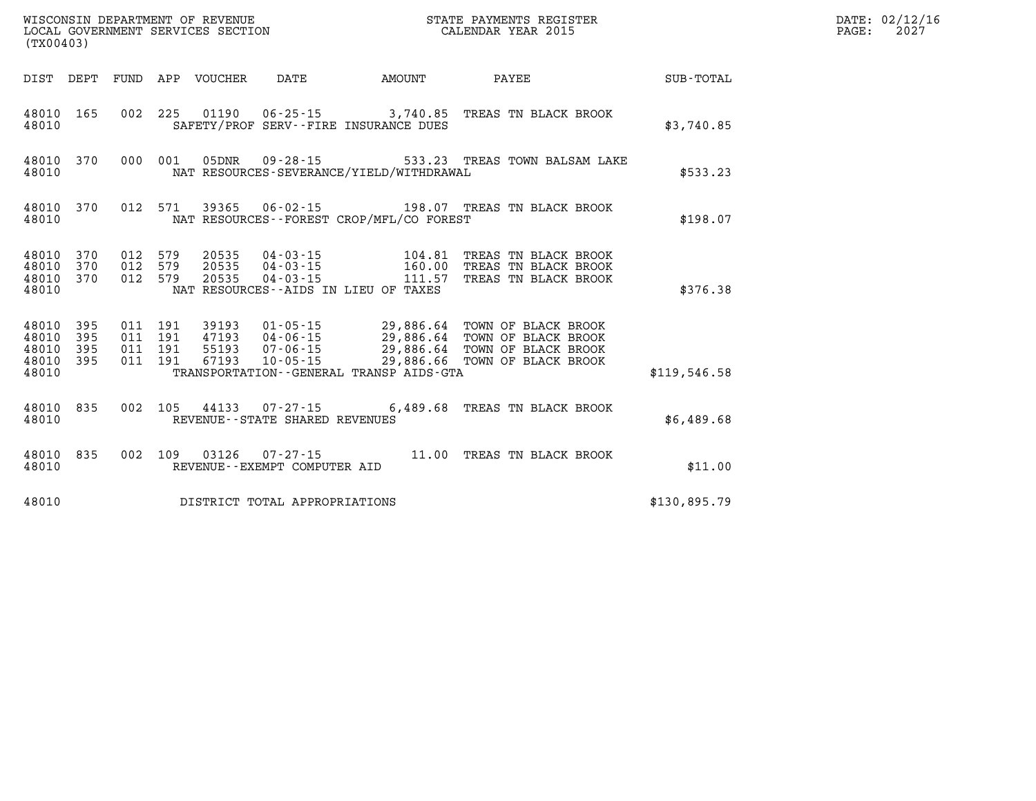| (TX00403)                                 |                          |                          |                          | WISCONSIN DEPARTMENT OF REVENUE<br>LOCAL GOVERNMENT SERVICES SECTION |                                                                      |                                                                                             | STATE PAYMENTS REGISTER<br>CALENDAR YEAR 2015                                            |                  |  |  |
|-------------------------------------------|--------------------------|--------------------------|--------------------------|----------------------------------------------------------------------|----------------------------------------------------------------------|---------------------------------------------------------------------------------------------|------------------------------------------------------------------------------------------|------------------|--|--|
| DIST                                      | DEPT                     | FUND                     | APP                      | VOUCHER                                                              | <b>DATE</b>                                                          | AMOUNT                                                                                      | PAYEE                                                                                    | <b>SUB-TOTAL</b> |  |  |
| 48010<br>48010                            | 165                      | 002                      | 225                      | 01190                                                                | $06 - 25 - 15$                                                       | 3,740.85<br>SAFETY/PROF SERV--FIRE INSURANCE DUES                                           | TREAS TN BLACK BROOK                                                                     | \$3,740.85       |  |  |
| 48010<br>48010                            | 370                      | 000                      | 001                      | 05DNR                                                                | $09 - 28 - 15$                                                       | NAT RESOURCES-SEVERANCE/YIELD/WITHDRAWAL                                                    | 533.23 TREAS TOWN BALSAM LAKE                                                            | \$533.23         |  |  |
| 48010<br>48010                            | 370                      | 012                      | 571                      | 39365                                                                | $06 - 02 - 15$                                                       | NAT RESOURCES - - FOREST CROP/MFL/CO FOREST                                                 | 198.07 TREAS TN BLACK BROOK                                                              | \$198.07         |  |  |
| 48010<br>48010<br>48010<br>48010          | 370<br>370<br>370        | 012<br>012<br>012        | 579<br>579<br>579        | 20535<br>20535<br>20535                                              | $04 - 03 - 15$<br>$04 - 03 - 15$<br>$04 - 03 - 15$                   | 104.81<br>160.00<br>111.57<br>NAT RESOURCES -- AIDS IN LIEU OF TAXES                        | TREAS TN BLACK BROOK<br>TREAS TN BLACK BROOK<br>TREAS TN BLACK BROOK                     | \$376.38         |  |  |
| 48010<br>48010<br>48010<br>48010<br>48010 | 395<br>395<br>395<br>395 | 011<br>011<br>011<br>011 | 191<br>191<br>191<br>191 | 39193<br>47193<br>55193<br>67193                                     | $01 - 05 - 15$<br>$04 - 06 - 15$<br>$07 - 06 - 15$<br>$10 - 05 - 15$ | 29,886.64<br>29,886.64<br>29,886.64<br>29,886.66<br>TRANSPORTATION--GENERAL TRANSP AIDS-GTA | TOWN OF BLACK BROOK<br>TOWN OF BLACK BROOK<br>TOWN OF BLACK BROOK<br>TOWN OF BLACK BROOK | \$119,546.58     |  |  |
| 48010<br>48010                            | 835                      | 002                      | 105                      | 44133                                                                | $07 - 27 - 15$<br>REVENUE - - STATE SHARED REVENUES                  | 6,489.68                                                                                    | TREAS TN BLACK BROOK                                                                     | \$6,489.68       |  |  |
| 48010<br>48010                            | 835                      | 002                      | 109                      | 03126                                                                | $07 - 27 - 15$<br>REVENUE--EXEMPT COMPUTER AID                       | 11.00                                                                                       | TREAS TN BLACK BROOK                                                                     | \$11.00          |  |  |
| 48010                                     |                          |                          |                          |                                                                      | DISTRICT TOTAL APPROPRIATIONS                                        |                                                                                             |                                                                                          | \$130,895.79     |  |  |

**DATE: 02/12/16<br>PAGE: 2027**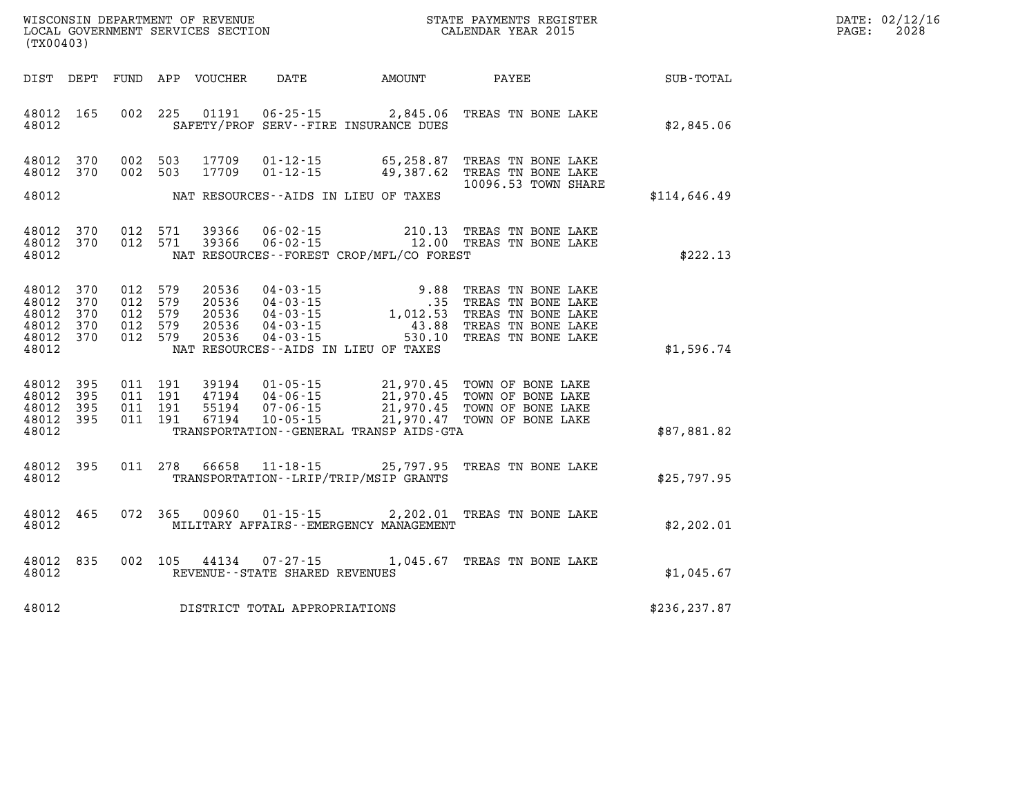| $\mathtt{DATE}$ : | 02/12/16 |
|-------------------|----------|
| $\texttt{PAGE:}$  | 2028     |

| WISCONSIN DEPARTMENT OF REVENUE<br>(TX00403)                                                                             | LOCAL GOVERNMENT SERVICES SECTION                                                                                                                                                                              | STATE PAYMENTS REGISTER<br>CALENDAR YEAR 2015    |                                                                                                            |              |  |
|--------------------------------------------------------------------------------------------------------------------------|----------------------------------------------------------------------------------------------------------------------------------------------------------------------------------------------------------------|--------------------------------------------------|------------------------------------------------------------------------------------------------------------|--------------|--|
| DIST<br>DEPT<br>FUND                                                                                                     | APP<br>VOUCHER<br>DATE                                                                                                                                                                                         | AMOUNT                                           | PAYEE                                                                                                      | SUB-TOTAL    |  |
| 165<br>002<br>48012<br>48012                                                                                             | 225<br>01191<br>SAFETY/PROF SERV--FIRE INSURANCE DUES                                                                                                                                                          | $06 - 25 - 15$ 2,845.06                          | TREAS TN BONE LAKE                                                                                         | \$2,845.06   |  |
| 002<br>48012<br>370<br>370<br>002<br>48012                                                                               | 503<br>17709<br>$01 - 12 - 15$<br>503<br>17709<br>$01 - 12 - 15$                                                                                                                                               | 65,258.87<br>49,387.62                           | TREAS TN BONE LAKE<br>TREAS TN BONE LAKE<br>10096.53 TOWN SHARE                                            |              |  |
| 48012                                                                                                                    | NAT RESOURCES -- AIDS IN LIEU OF TAXES                                                                                                                                                                         |                                                  |                                                                                                            | \$114,646.49 |  |
| 48012<br>370<br>012<br>012<br>48012<br>370<br>48012                                                                      | 571<br>39366<br>571<br>39366<br>NAT RESOURCES - - FOREST CROP/MFL/CO FOREST                                                                                                                                    | 06-02-15 210.13<br>06-02-15 12.00                | TREAS TN BONE LAKE<br>TREAS TN BONE LAKE                                                                   | \$222.13     |  |
| 012<br>48012<br>370<br>48012<br>370<br>012<br>48012<br>370<br>012<br>012<br>370<br>48012<br>012<br>48012<br>370<br>48012 | 579<br>20536<br>$04 - 03 - 15$<br>579<br>20536<br>04 - 03 - 15<br>579<br>$04 - 03 - 15$<br>20536<br>579<br>20536<br>$04 - 03 - 15$<br>579<br>20536<br>$04 - 03 - 15$<br>NAT RESOURCES -- AIDS IN LIEU OF TAXES | 9.88<br>.35<br>1,012.53<br>43.88<br>530.10       | TREAS TN BONE LAKE<br>TREAS TN BONE LAKE<br>TREAS TN BONE LAKE<br>TREAS TN BONE LAKE<br>TREAS TN BONE LAKE | \$1,596.74   |  |
| 48012<br>395<br>011<br>48012<br>395<br>011<br>48012<br>395<br>011<br>395<br>011<br>48012<br>48012                        | 191<br>39194<br>$01 - 05 - 15$<br>191<br>$04 - 06 - 15$<br>47194<br>191<br>55194<br>$07 - 06 - 15$<br>191<br>67194<br>$10 - 05 - 15$<br>TRANSPORTATION--GENERAL TRANSP AIDS-GTA                                | 21,970.45<br>21,970.45<br>21,970.45<br>21,970.47 | TOWN OF BONE LAKE<br>TOWN OF BONE LAKE<br>TOWN OF BONE LAKE<br>TOWN OF BONE LAKE                           | \$87,881.82  |  |
| 48012<br>395<br>011<br>48012                                                                                             | 278<br>66658<br>$11 - 18 - 15$<br>TRANSPORTATION--LRIP/TRIP/MSIP GRANTS                                                                                                                                        | 25,797.95                                        | TREAS TN BONE LAKE                                                                                         | \$25,797.95  |  |
| 465<br>072<br>48012<br>48012                                                                                             | 365<br>00960<br>$01 - 15 - 15$<br>MILITARY AFFAIRS - - EMERGENCY MANAGEMENT                                                                                                                                    | 2,202.01                                         | TREAS TN BONE LAKE                                                                                         | \$2, 202.01  |  |
| 835<br>002<br>48012<br>48012                                                                                             | 105<br>44134<br>$07 - 27 - 15$<br>REVENUE - - STATE SHARED REVENUES                                                                                                                                            | 1,045.67                                         | TREAS TN BONE LAKE                                                                                         | \$1,045.67   |  |
| 48012                                                                                                                    | DISTRICT TOTAL APPROPRIATIONS                                                                                                                                                                                  |                                                  |                                                                                                            | \$236,237.87 |  |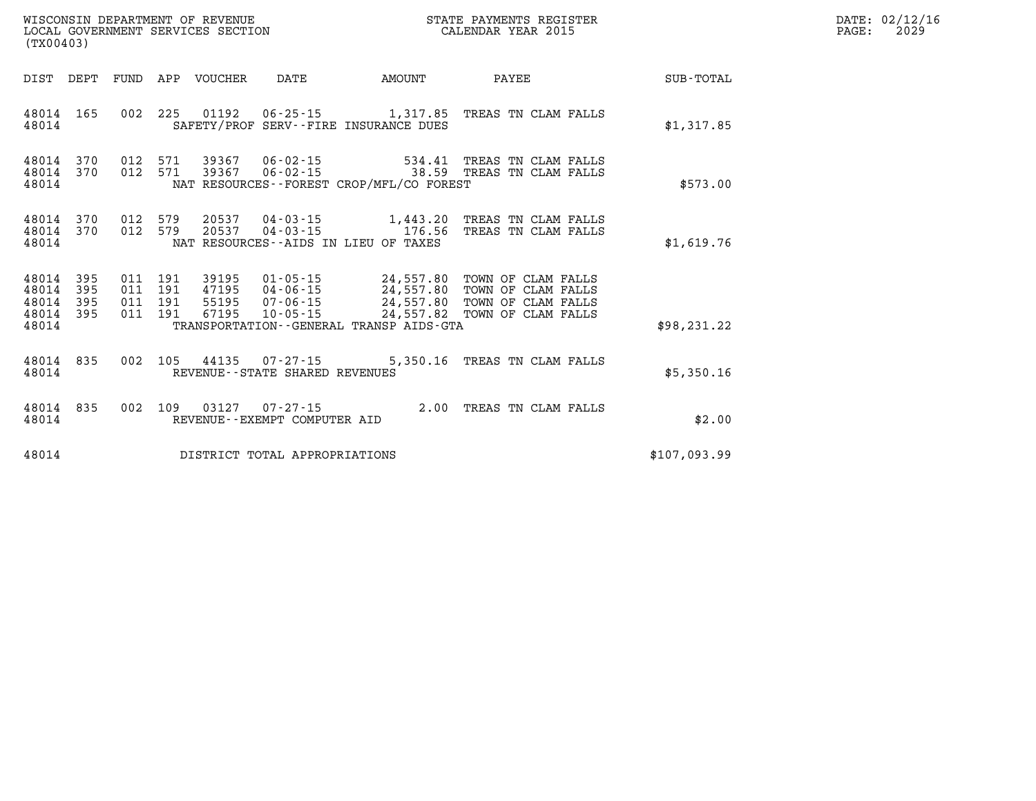| (TX00403)                                     |                        |  |  |                            |                                      |                                             | STATE PAYMENTS REGISTER                                                                                                                                                                                                  |              | DATE: 02/12/16<br>$\mathtt{PAGE:}$<br>2029 |
|-----------------------------------------------|------------------------|--|--|----------------------------|--------------------------------------|---------------------------------------------|--------------------------------------------------------------------------------------------------------------------------------------------------------------------------------------------------------------------------|--------------|--------------------------------------------|
|                                               |                        |  |  | DIST DEPT FUND APP VOUCHER | DATE AMOUNT                          |                                             | <b>PAYEE</b>                                                                                                                                                                                                             | SUB-TOTAL    |                                            |
| 48014                                         | 48014 165              |  |  |                            |                                      | SAFETY/PROF SERV--FIRE INSURANCE DUES       | 002 225 01192 06-25-15 1,317.85 TREAS TN CLAM FALLS                                                                                                                                                                      | \$1,317.85   |                                            |
| 48014                                         | 48014 370<br>48014 370 |  |  |                            |                                      | NAT RESOURCES - - FOREST CROP/MFL/CO FOREST | 012 571 39367 06-02-15 534.41 TREAS TN CLAM FALLS<br>012 571 39367 06-02-15 38.59 TREAS TN CLAM FALLS                                                                                                                    | \$573.00     |                                            |
| 48014                                         | 48014 370<br>48014 370 |  |  |                            | NAT RESOURCES--AIDS IN LIEU OF TAXES |                                             | 012 579 20537 04-03-15 1,443.20 TREAS TN CLAM FALLS<br>012 579 20537 04-03-15 176.56 TREAS TN CLAM FALLS                                                                                                                 | \$1,619.76   |                                            |
| 48014<br>48014<br>48014<br>48014 395<br>48014 | 395<br>395<br>395      |  |  |                            |                                      | TRANSPORTATION--GENERAL TRANSP AIDS-GTA     | 011 191 39195 01-05-15 24,557.80 TOWN OF CLAM FALLS<br>011 191 47195 04-06-15 24,557.80 TOWN OF CLAM FALLS<br>011 191 55195 07-06-15 24,557.80 TOWN OF CLAM FALLS<br>011 191 67195 10-05-15 24,557.82 TOWN OF CLAM FALLS | \$98, 231.22 |                                            |
| 48014 835<br>48014                            |                        |  |  |                            | REVENUE--STATE SHARED REVENUES       |                                             | 002 105 44135 07-27-15 5,350.16 TREAS TN CLAM FALLS                                                                                                                                                                      | \$5,350.16   |                                            |
| 48014 835<br>48014                            |                        |  |  |                            | REVENUE--EXEMPT COMPUTER AID         |                                             | 002 109 03127 07-27-15 2.00 TREAS TN CLAM FALLS                                                                                                                                                                          | \$2.00       |                                            |
| 48014                                         |                        |  |  |                            | DISTRICT TOTAL APPROPRIATIONS        |                                             |                                                                                                                                                                                                                          | \$107,093.99 |                                            |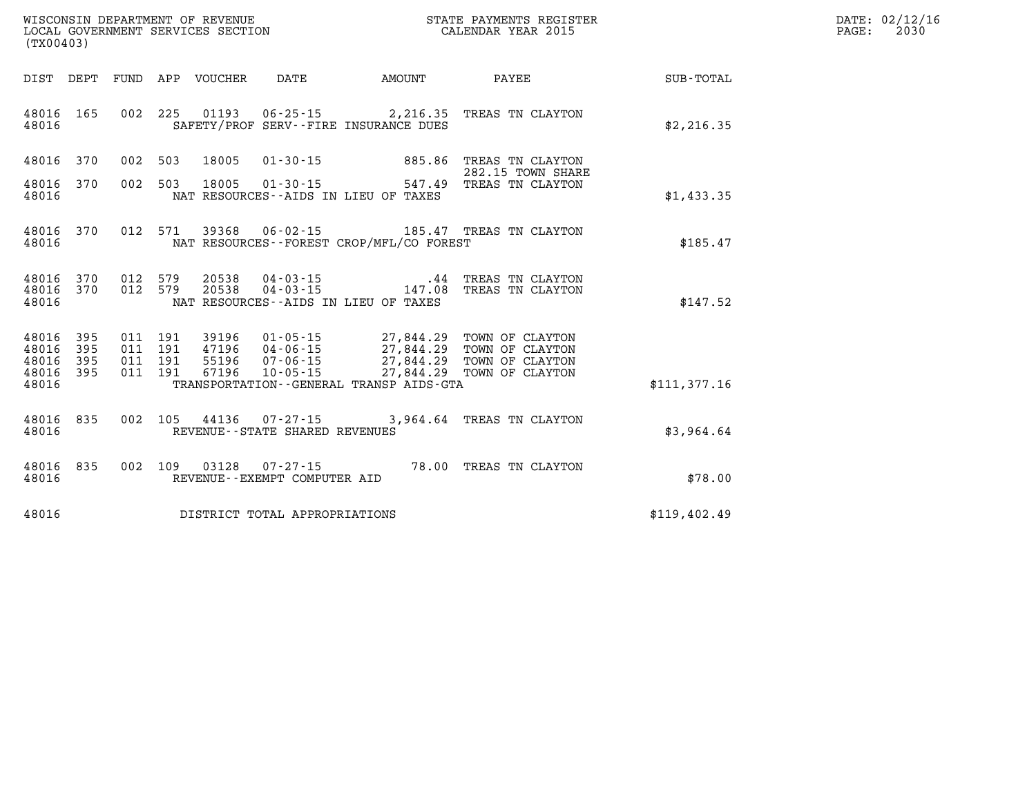| WISCONSIN DEPARTMENT OF REVENUE      | PAYMENTS REGISTER<br>3TATE | DATE: | 02/12/16 |
|--------------------------------------|----------------------------|-------|----------|
| GOVERNMENT SERVICES SECTION<br>LOCAL | CALENDAR YEAR 2015         | PAGE  | 2030     |

| (TX00403)                                         |                        |  | LOCAL GOVERNMENT SERVICES SECTION |                                | CALENDAR YEAR 2015                          |                                                                                                         |                  | PAGE: | 2030 |
|---------------------------------------------------|------------------------|--|-----------------------------------|--------------------------------|---------------------------------------------|---------------------------------------------------------------------------------------------------------|------------------|-------|------|
|                                                   |                        |  |                                   |                                | DIST DEPT FUND APP VOUCHER DATE AMOUNT      | PAYEE                                                                                                   | <b>SUB-TOTAL</b> |       |      |
| 48016                                             | 48016 165              |  |                                   |                                | SAFETY/PROF SERV--FIRE INSURANCE DUES       | 002 225 01193 06-25-15 2, 216.35 TREAS TN CLAYTON                                                       | \$2,216.35       |       |      |
| 48016 370                                         |                        |  | 002 503 18005                     |                                |                                             | 01-30-15 885.86 TREAS TN CLAYTON<br>282.15 TOWN SHARE                                                   |                  |       |      |
| 48016                                             | 48016 370              |  | 002 503 18005                     | $01 - 30 - 15$                 | NAT RESOURCES--AIDS IN LIEU OF TAXES        | 547.49 TREAS TN CLAYTON                                                                                 | \$1,433.35       |       |      |
| 48016                                             | 48016 370              |  |                                   |                                | NAT RESOURCES - - FOREST CROP/MFL/CO FOREST | 012 571 39368 06-02-15 185.47 TREAS TN CLAYTON                                                          | \$185.47         |       |      |
| 48016                                             | 48016 370<br>48016 370 |  |                                   |                                | NAT RESOURCES--AIDS IN LIEU OF TAXES        | $0.12$ 579 $20538$ $04 - 03 - 15$ $043 - 15$ $012$ 579 $20538$ $04 - 03 - 15$ $147.08$ TREAS TN CLAYTON | \$147.52         |       |      |
| 48016 395<br>48016<br>48016<br>48016 395<br>48016 | 395<br>395             |  |                                   |                                | TRANSPORTATION--GENERAL TRANSP AIDS-GTA     |                                                                                                         | \$111,377.16     |       |      |
|                                                   |                        |  |                                   |                                |                                             |                                                                                                         |                  |       |      |
| 48016                                             | 48016 835              |  |                                   | REVENUE--STATE SHARED REVENUES |                                             | 002 105 44136 07-27-15 3,964.64 TREAS TN CLAYTON                                                        | \$3,964.64       |       |      |
| 48016                                             | 48016 835              |  |                                   | REVENUE--EXEMPT COMPUTER AID   |                                             | 002 109 03128 07-27-15 78.00 TREAS TN CLAYTON                                                           | \$78.00          |       |      |
| 48016                                             |                        |  |                                   | DISTRICT TOTAL APPROPRIATIONS  |                                             |                                                                                                         | \$119,402.49     |       |      |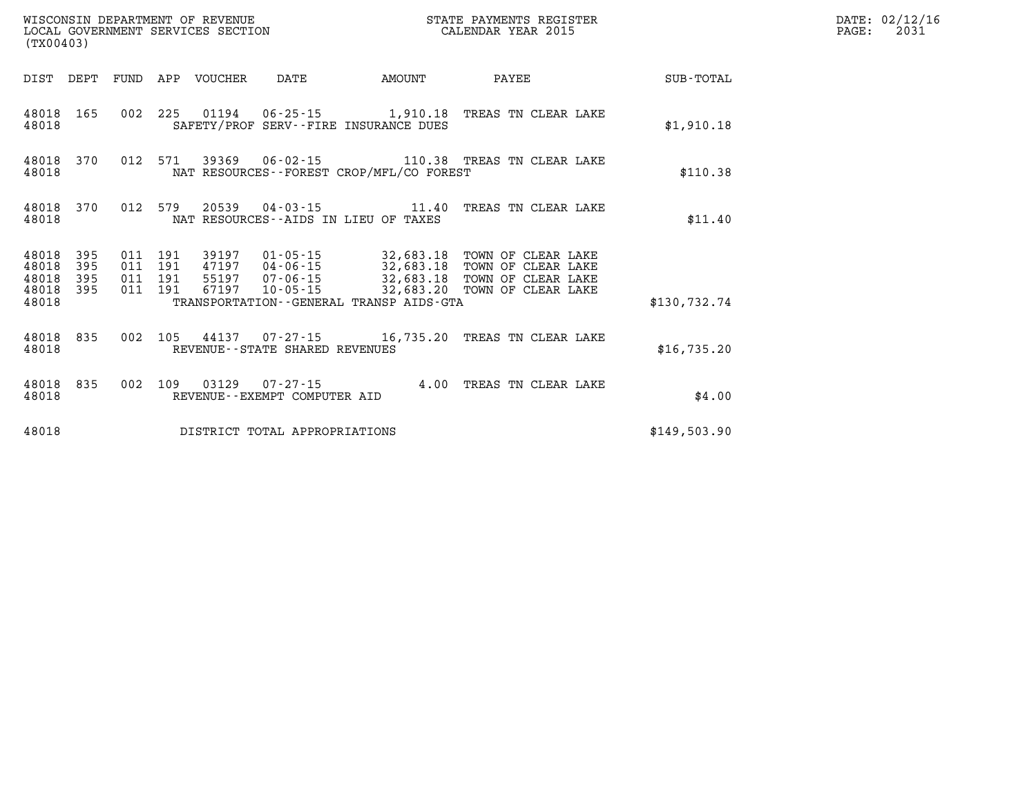| WISCONSIN DEPARTMENT OF REVENUE<br>MISCONSIN DEPARTMENT OF REVENCE<br>LOCAL GOVERNMENT SERVICES SECTION<br>(TX00403) |            |                    |         |                            |                                |                                             | STATE PAYMENTS REGISTER<br>CALENDAR YEAR 2015                                                 |              | DATE: 02/12/16<br>PAGE:<br>2031 |
|----------------------------------------------------------------------------------------------------------------------|------------|--------------------|---------|----------------------------|--------------------------------|---------------------------------------------|-----------------------------------------------------------------------------------------------|--------------|---------------------------------|
|                                                                                                                      |            |                    |         | DIST DEPT FUND APP VOUCHER | DATE                           | AMOUNT                                      | PAYEE                                                                                         | SUB-TOTAL    |                                 |
| 48018                                                                                                                | 48018 165  |                    |         |                            |                                | SAFETY/PROF SERV--FIRE INSURANCE DUES       | 002 225 01194 06-25-15 1,910.18 TREAS TN CLEAR LAKE                                           | \$1,910.18   |                                 |
| 48018                                                                                                                | 48018 370  |                    |         |                            |                                | NAT RESOURCES - - FOREST CROP/MFL/CO FOREST | 012 571 39369 06-02-15 110.38 TREAS TN CLEAR LAKE                                             | \$110.38     |                                 |
| 48018 370<br>48018                                                                                                   |            | 012 579            |         |                            |                                | NAT RESOURCES--AIDS IN LIEU OF TAXES        |                                                                                               | \$11.40      |                                 |
| 48018 395<br>48018<br>48018                                                                                          | 395<br>395 | 011 191<br>011 191 | 011 191 |                            |                                |                                             | 47197  04-06-15  32,683.18  TOWN OF CLEAR LAKE<br>55197 07-06-15 32,683.18 TOWN OF CLEAR LAKE |              |                                 |
| 48018 395<br>48018                                                                                                   |            | 011 191            |         | 67197                      |                                | TRANSPORTATION--GENERAL TRANSP AIDS-GTA     | 10-05-15 32,683.20 TOWN OF CLEAR LAKE                                                         | \$130.732.74 |                                 |
| 48018                                                                                                                | 48018 835  |                    |         |                            | REVENUE--STATE SHARED REVENUES |                                             | 002 105 44137 07-27-15 16,735.20 TREAS TN CLEAR LAKE                                          | \$16,735.20  |                                 |
| 48018                                                                                                                | 48018 835  |                    |         |                            | REVENUE--EXEMPT COMPUTER AID   |                                             | 002 109 03129 07-27-15 4.00 TREAS TN CLEAR LAKE                                               | \$4.00       |                                 |
| 48018                                                                                                                |            |                    |         |                            | DISTRICT TOTAL APPROPRIATIONS  |                                             |                                                                                               | \$149,503.90 |                                 |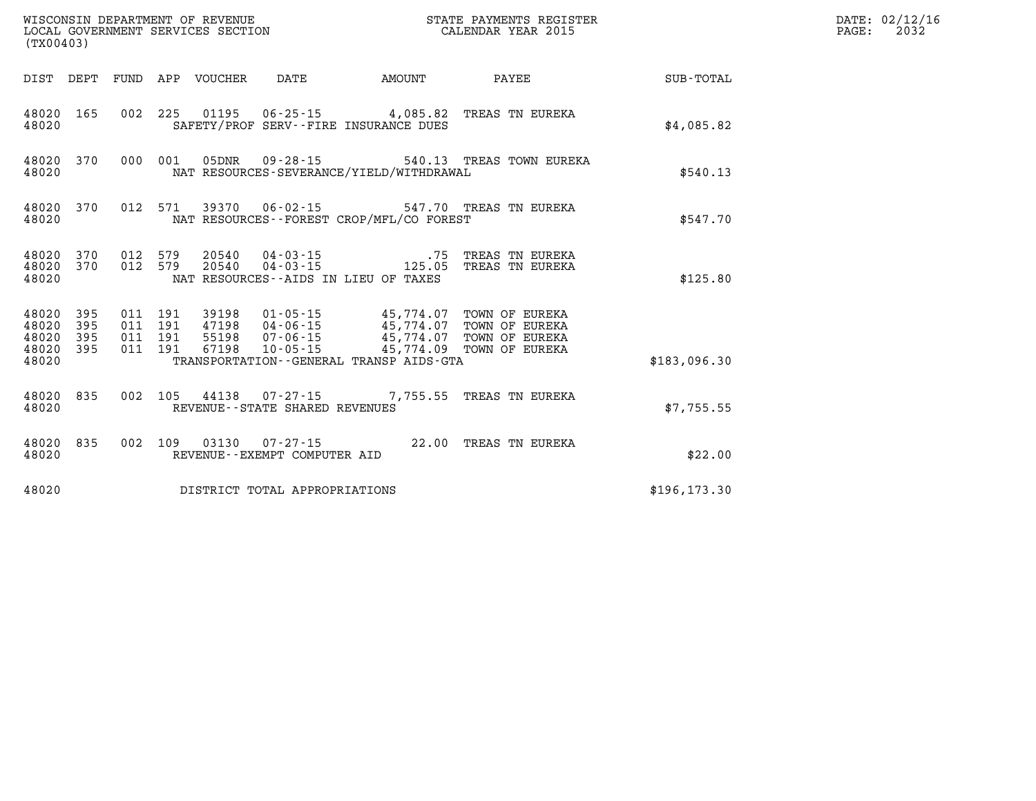| (TX00403)                                     |                        |  |               |                                |                                          |                                                                                                                                                                                                                                                                                                                                                       |               | DATE: 02/12/16<br>$\mathtt{PAGE:}$<br>2032 |
|-----------------------------------------------|------------------------|--|---------------|--------------------------------|------------------------------------------|-------------------------------------------------------------------------------------------------------------------------------------------------------------------------------------------------------------------------------------------------------------------------------------------------------------------------------------------------------|---------------|--------------------------------------------|
|                                               |                        |  |               |                                |                                          | DIST DEPT FUND APP VOUCHER DATE AMOUNT PAYEE                                                                                                                                                                                                                                                                                                          | SUB-TOTAL     |                                            |
| 48020 165<br>48020                            |                        |  |               |                                | SAFETY/PROF SERV--FIRE INSURANCE DUES    | 002 225 01195 06-25-15 4,085.82 TREAS TN EUREKA                                                                                                                                                                                                                                                                                                       | \$4.085.82    |                                            |
| 48020                                         |                        |  |               |                                | NAT RESOURCES-SEVERANCE/YIELD/WITHDRAWAL | 48020 370 000 001 05DNR 09-28-15 540.13 TREAS TOWN EUREKA                                                                                                                                                                                                                                                                                             | \$540.13      |                                            |
| 48020                                         | 48020 370              |  |               |                                | NAT RESOURCES--FOREST CROP/MFL/CO FOREST | 012 571 39370 06-02-15 547.70 TREAS TN EUREKA                                                                                                                                                                                                                                                                                                         | \$547.70      |                                            |
| 48020                                         | 48020 370<br>48020 370 |  | 012 579 20540 |                                | NAT RESOURCES -- AIDS IN LIEU OF TAXES   |                                                                                                                                                                                                                                                                                                                                                       | \$125.80      |                                            |
| 48020<br>48020<br>48020<br>48020 395<br>48020 | 395<br>395<br>395      |  |               |                                | TRANSPORTATION--GENERAL TRANSP AIDS-GTA  | $\begin{array}{cccc} 011 & 191 & 39198 & 01\cdot 05\cdot 15 & 45\,774\, .07 & \text{TOWN OF EURO} \\ 011 & 191 & 47198 & 04\cdot 06\cdot 15 & 45\,774\, .07 & \text{TOWN OF EURO} \\ 011 & 191 & 55198 & 07\cdot 06\cdot 15 & 45\,774\, .07 & \text{TOWN OF EURO} \\ 011 & 191 & 67198 & 10\cdot 05\cdot 15 & 45\,774\, .09 & \text{TOWN OF EURO} \\$ | \$183,096.30  |                                            |
| 48020                                         | 48020 835              |  |               | REVENUE--STATE SHARED REVENUES |                                          | 002  105  44138  07-27-15  7,755.55  TREAS TN EUREKA                                                                                                                                                                                                                                                                                                  | \$7,755.55    |                                            |
| 48020 835<br>48020                            |                        |  |               | REVENUE--EXEMPT COMPUTER AID   |                                          | 002 109 03130 07-27-15 22.00 TREAS TN EUREKA                                                                                                                                                                                                                                                                                                          | \$22.00       |                                            |
| 48020                                         |                        |  |               | DISTRICT TOTAL APPROPRIATIONS  |                                          |                                                                                                                                                                                                                                                                                                                                                       | \$196, 173.30 |                                            |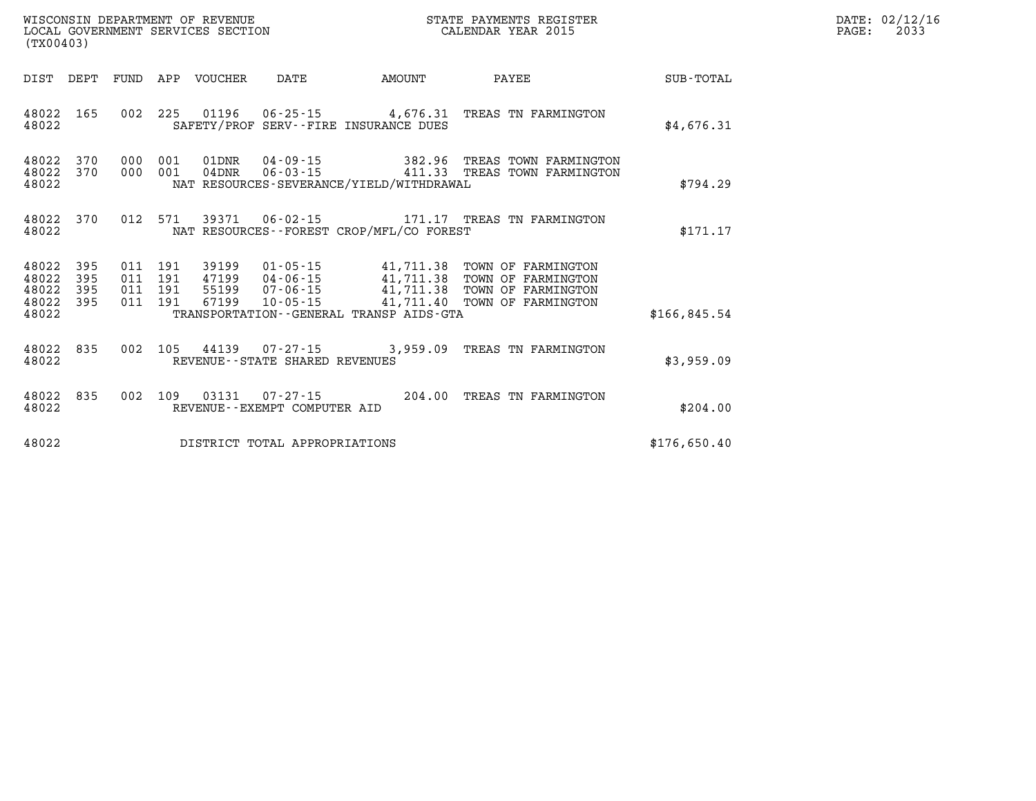| (TX00403)                                         |            |  |                         |                                |                                              | STATE PAYMENTS REGISTER                                                                                                                                                                                                  |              | DATE: 02/12/16<br>2033<br>$\mathtt{PAGE:}$ |
|---------------------------------------------------|------------|--|-------------------------|--------------------------------|----------------------------------------------|--------------------------------------------------------------------------------------------------------------------------------------------------------------------------------------------------------------------------|--------------|--------------------------------------------|
|                                                   |            |  |                         |                                | DIST DEPT FUND APP VOUCHER DATE AMOUNT       | <b>PAYEE</b>                                                                                                                                                                                                             | SUB-TOTAL    |                                            |
| 48022                                             | 48022 165  |  |                         |                                | SAFETY/PROF SERV--FIRE INSURANCE DUES        | 002 225 01196 06-25-15 4,676.31 TREAS TN FARMINGTON                                                                                                                                                                      | \$4,676.31   |                                            |
| 48022 370<br>48022                                |            |  | 48022 370 000 001 01DNR |                                | NAT RESOURCES-SEVERANCE/YIELD/WITHDRAWAL     | $\begin{tabular}{cccccc} 000 & 001 & 01DNR & 04-09-15 & & & 382.96 & \texttt{TERES TOWN FARMINGTON} \\ 000 & 001 & 04DNR & 06-03-15 & & & 411.33 & \texttt{TERES TOWN FARMINGTON} \end{tabular}$                         | \$794.29     |                                            |
| 48022 370<br>48022                                |            |  |                         |                                | NAT RESOURCES - - FOREST CROP/MFL/CO FOREST  | 012 571 39371 06-02-15 171.17 TREAS TN FARMINGTON                                                                                                                                                                        | \$171.17     |                                            |
| 48022 395<br>48022<br>48022<br>48022 395<br>48022 | 395<br>395 |  |                         |                                | TRANSPORTATION - - GENERAL TRANSP AIDS - GTA | 011 191 39199 01-05-15 41,711.38 TOWN OF FARMINGTON<br>011 191 47199 04-06-15 41,711.38 TOWN OF FARMINGTON<br>011 191 55199 07-06-15 41,711.38 TOWN OF FARMINGTON<br>011 191 67199 10-05-15 41,711.40 TOWN OF FARMINGTON | \$166,845.54 |                                            |
| 48022 835<br>48022                                |            |  |                         | REVENUE--STATE SHARED REVENUES |                                              | 002 105 44139 07-27-15 3,959.09 TREAS TN FARMINGTON                                                                                                                                                                      | \$3,959.09   |                                            |
| 48022 835<br>48022                                |            |  |                         | REVENUE--EXEMPT COMPUTER AID   |                                              | 002 109 03131 07-27-15 204.00 TREAS TN FARMINGTON                                                                                                                                                                        | \$204.00     |                                            |
| 48022                                             |            |  |                         | DISTRICT TOTAL APPROPRIATIONS  |                                              |                                                                                                                                                                                                                          | \$176,650.40 |                                            |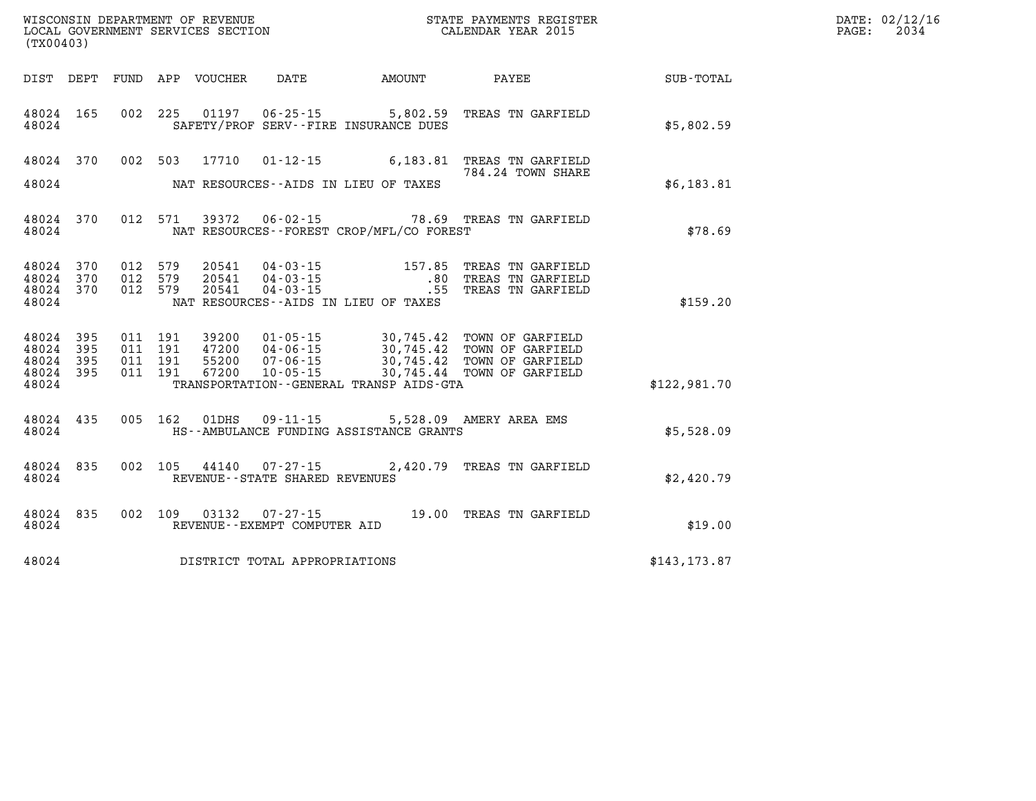| DATE: | 02/12/16 |
|-------|----------|
| PAGE: | 2034     |

| WISCONSIN DEPARTMENT OF REVENUE<br>LOCAL GOVERNMENT SERVICES SECTION<br>(TX00403) |                   |                   |                   |                         | STATE PAYMENTS REGISTER<br>CALENDAR YEAR 2015       |                                                      |                                                          |               |
|-----------------------------------------------------------------------------------|-------------------|-------------------|-------------------|-------------------------|-----------------------------------------------------|------------------------------------------------------|----------------------------------------------------------|---------------|
| DIST                                                                              | DEPT              | <b>FUND</b>       | APP               | VOUCHER                 | DATE                                                | <b>EXAMPLE THE AMOUNT</b>                            | <b>PAYEE</b>                                             | SUB-TOTAL     |
| 48024<br>48024                                                                    | 165               | 002               | 225               | 01197                   | $06 - 25 - 15$                                      | 5,802.59<br>SAFETY/PROF SERV--FIRE INSURANCE DUES    | TREAS TN GARFIELD                                        | \$5,802.59    |
| 48024                                                                             | 370               | 002               | 503               | 17710                   | $01 - 12 - 15$                                      | 6,183.81                                             | TREAS TN GARFIELD<br>784.24 TOWN SHARE                   |               |
| 48024                                                                             |                   |                   |                   |                         |                                                     | NAT RESOURCES--AIDS IN LIEU OF TAXES                 |                                                          | \$6,183.81    |
| 48024<br>48024                                                                    | 370               | 012               | 571               | 39372                   | $06 - 02 - 15$                                      | NAT RESOURCES - - FOREST CROP/MFL/CO FOREST          | 78.69 TREAS TN GARFIELD                                  | \$78.69       |
| 48024<br>48024                                                                    | 370<br>370        | 012<br>012        | 579<br>579        | 20541<br>20541          | $04 - 03 - 15$<br>$04 - 03 - 15$                    | 157.85<br>.80                                        | TREAS TN GARFIELD<br>TREAS TN GARFIELD                   |               |
| 48024<br>48024                                                                    | 370               | 012               | 579               | 20541                   | $04 - 03 - 15$                                      | .55<br>NAT RESOURCES -- AIDS IN LIEU OF TAXES        | TREAS TN GARFIELD                                        | \$159.20      |
| 48024<br>48024<br>48024                                                           | 395<br>395<br>395 | 011<br>011<br>011 | 191<br>191<br>191 | 39200<br>47200<br>55200 | $01 - 05 - 15$<br>04 - 06 - 15<br>07 - 06 - 15      | 30,745.42<br>30,745.42<br>30,745.42                  | TOWN OF GARFIELD<br>TOWN OF GARFIELD<br>TOWN OF GARFIELD |               |
| 48024<br>48024                                                                    | 395               | 011               | 191               | 67200                   | $10 - 05 - 15$                                      | 30,745.44<br>TRANSPORTATION--GENERAL TRANSP AIDS-GTA | TOWN OF GARFIELD                                         | \$122,981.70  |
| 48024<br>48024                                                                    | 435               | 005               | 162               | 01DHS                   | $09 - 11 - 15$                                      | HS--AMBULANCE FUNDING ASSISTANCE GRANTS              | 5,528.09 AMERY AREA EMS                                  | \$5,528.09    |
| 48024<br>48024                                                                    | 835               | 002               | 105               | 44140                   | $07 - 27 - 15$<br>REVENUE - - STATE SHARED REVENUES |                                                      | 2,420.79 TREAS TN GARFIELD                               | \$2,420.79    |
| 48024<br>48024                                                                    | 835               | 002               | 109               | 03132                   | $07 - 27 - 15$<br>REVENUE - - EXEMPT COMPUTER AID   |                                                      | 19.00 TREAS TN GARFIELD                                  | \$19.00       |
| 48024                                                                             |                   |                   |                   |                         | DISTRICT TOTAL APPROPRIATIONS                       |                                                      |                                                          | \$143, 173.87 |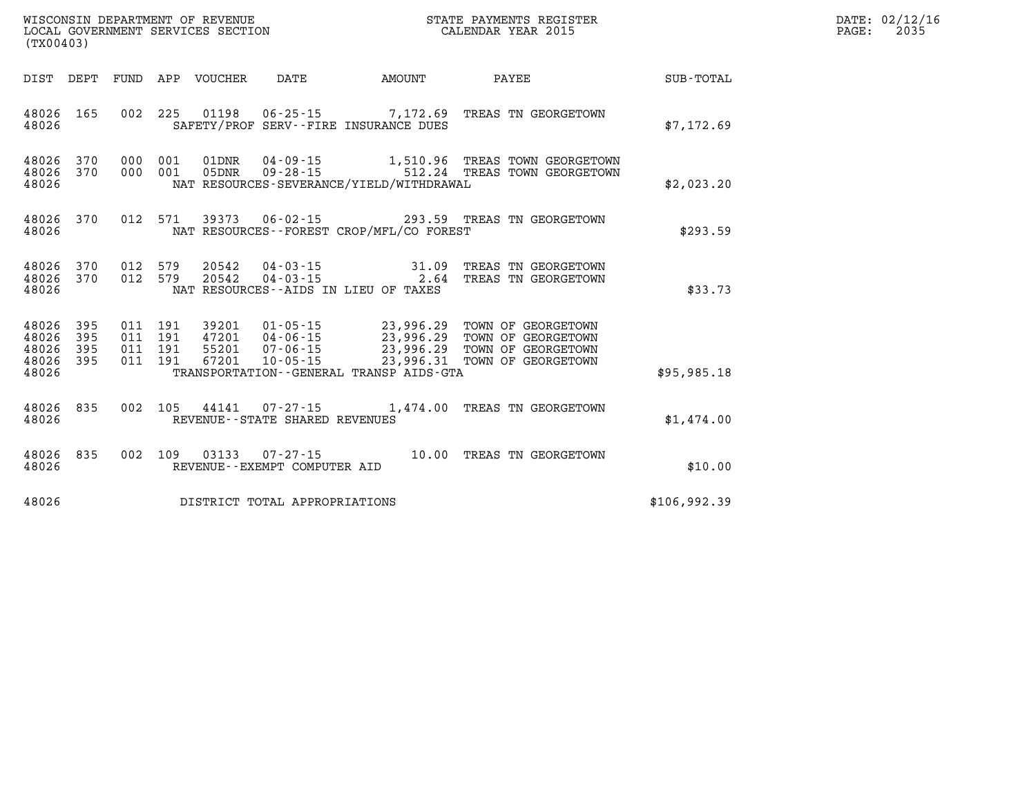|       | DATE: 02/12/16 |
|-------|----------------|
| PAGE: | 2035           |

| (TX00403)                                 |                          |                          | WISCONSIN DEPARTMENT OF REVENUE<br>LOCAL GOVERNMENT SERVICES SECTION |                                  |                                                                      |                                                                                             | STATE PAYMENTS REGISTER<br>CALENDAR YEAR 2015                                        |              |
|-------------------------------------------|--------------------------|--------------------------|----------------------------------------------------------------------|----------------------------------|----------------------------------------------------------------------|---------------------------------------------------------------------------------------------|--------------------------------------------------------------------------------------|--------------|
| DIST                                      | DEPT                     | FUND                     | APP                                                                  | VOUCHER                          | DATE                                                                 | AMOUNT                                                                                      | PAYEE                                                                                | SUB-TOTAL    |
| 48026<br>48026                            | 165                      | 002                      | 225                                                                  | 01198                            | $06 - 25 - 15$                                                       | 7,172.69<br>SAFETY/PROF SERV--FIRE INSURANCE DUES                                           | TREAS TN GEORGETOWN                                                                  | \$7,172.69   |
| 48026<br>48026<br>48026                   | 370<br>370               | 000<br>000               | 001<br>001                                                           | 01DNR<br>05DNR                   | $04 - 09 - 15$<br>$09 - 28 - 15$                                     | 1,510.96<br>512.24<br>NAT RESOURCES-SEVERANCE/YIELD/WITHDRAWAL                              | TREAS TOWN GEORGETOWN<br>TREAS TOWN GEORGETOWN                                       | \$2,023.20   |
| 48026<br>48026                            | 370                      | 012                      | 571                                                                  | 39373                            | $06 - 02 - 15$                                                       | 293.59<br>NAT RESOURCES - - FOREST CROP/MFL/CO FOREST                                       | TREAS TN GEORGETOWN                                                                  | \$293.59     |
| 48026<br>48026<br>48026                   | 370<br>370               | 012<br>012               | 579<br>579                                                           | 20542<br>20542                   | $04 - 03 - 15$<br>$04 - 03 - 15$                                     | 31.09<br>2.64<br>NAT RESOURCES -- AIDS IN LIEU OF TAXES                                     | TREAS TN GEORGETOWN<br>TREAS TN GEORGETOWN                                           | \$33.73      |
| 48026<br>48026<br>48026<br>48026<br>48026 | 395<br>395<br>395<br>395 | 011<br>011<br>011<br>011 | 191<br>191<br>191<br>191                                             | 39201<br>47201<br>55201<br>67201 | $01 - 05 - 15$<br>$04 - 06 - 15$<br>$07 - 06 - 15$<br>$10 - 05 - 15$ | 23,996.29<br>23,996.29<br>23,996.29<br>23,996.31<br>TRANSPORTATION--GENERAL TRANSP AIDS-GTA | TOWN OF GEORGETOWN<br>TOWN OF GEORGETOWN<br>TOWN OF GEORGETOWN<br>TOWN OF GEORGETOWN | \$95,985.18  |
| 48026<br>48026                            | 835                      | 002                      | 105                                                                  | 44141                            | $07 - 27 - 15$<br>REVENUE - - STATE SHARED REVENUES                  | 1,474.00                                                                                    | TREAS TN GEORGETOWN                                                                  | \$1,474.00   |
| 48026<br>48026                            | 835                      | 002                      | 109                                                                  | 03133                            | $07 - 27 - 15$<br>REVENUE--EXEMPT COMPUTER AID                       | 10.00                                                                                       | TREAS TN GEORGETOWN                                                                  | \$10.00      |
| 48026                                     |                          |                          |                                                                      |                                  | DISTRICT TOTAL APPROPRIATIONS                                        |                                                                                             |                                                                                      | \$106,992.39 |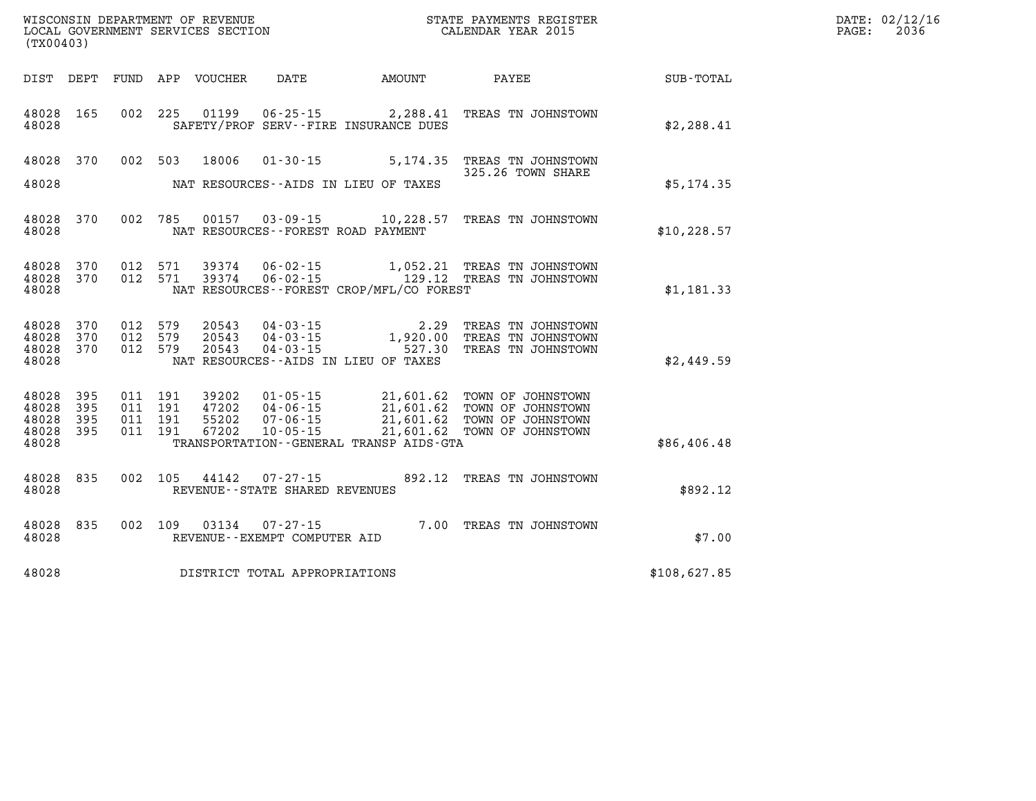|                                           | WISCONSIN DEPARTMENT OF REVENUE<br>LOCAL GOVERNMENT SERVICES SECTION<br>(TX00403) |                    |                               |                                  |                                                                        |                                          | STATE PAYMENTS REGISTER<br>CALENDAR YEAR 2015                                                                            |              | DATE: 02/12/16<br>2036<br>PAGE: |
|-------------------------------------------|-----------------------------------------------------------------------------------|--------------------|-------------------------------|----------------------------------|------------------------------------------------------------------------|------------------------------------------|--------------------------------------------------------------------------------------------------------------------------|--------------|---------------------------------|
|                                           |                                                                                   |                    |                               | DIST DEPT FUND APP VOUCHER       | DATE                                                                   | <b>AMOUNT</b>                            | PAYEE                                                                                                                    | SUB-TOTAL    |                                 |
| 48028 165<br>48028                        |                                                                                   |                    |                               |                                  |                                                                        | SAFETY/PROF SERV--FIRE INSURANCE DUES    | 002 225 01199 06-25-15 2,288.41 TREAS TN JOHNSTOWN                                                                       | \$2,288.41   |                                 |
| 48028 370<br>48028                        |                                                                                   |                    | 002 503                       | 18006                            |                                                                        | NAT RESOURCES--AIDS IN LIEU OF TAXES     | 01-30-15 5,174.35 TREAS TN JOHNSTOWN<br>325.26 TOWN SHARE                                                                | \$5,174.35   |                                 |
| 48028 370<br>48028                        |                                                                                   |                    | 002 785                       |                                  | NAT RESOURCES--FOREST ROAD PAYMENT                                     |                                          | 00157  03-09-15  10,228.57  TREAS TN JOHNSTOWN                                                                           | \$10, 228.57 |                                 |
| 48028<br>48028<br>48028                   | 370<br>370                                                                        |                    | 012 571<br>012 571            | 39374                            | $06 - 02 - 15$                                                         | NAT RESOURCES--FOREST CROP/MFL/CO FOREST | 1,052.21 TREAS TN JOHNSTOWN<br>39374  06-02-15    129.12    TREAS TN JOHNSTOWN                                           | \$1,181.33   |                                 |
| 48028<br>48028<br>48028<br>48028          | 370<br>370<br>370                                                                 | 012 579<br>012 579 | 012 579                       | 20543<br>20543<br>20543          | $04 - 03 - 15$                                                         | NAT RESOURCES--AIDS IN LIEU OF TAXES     | 04-03-15 2.29 TREAS TN JOHNSTOWN<br>04-03-15 1,920.00 TREAS TN JOHNSTOWN<br>04-03-15 527.30 TREAS TN JOHNSTOWN           | \$2,449.59   |                                 |
| 48028<br>48028<br>48028<br>48028<br>48028 | 395<br>395<br>395<br>395                                                          | 011 191            | 011 191<br>011 191<br>011 191 | 39202<br>47202<br>55202<br>67202 | 01-05-15<br>04-06-15<br>04 - 06 - 15<br>07 - 06 - 15<br>$10 - 05 - 15$ | TRANSPORTATION--GENERAL TRANSP AIDS-GTA  | 21,601.62 TOWN OF JOHNSTOWN<br>21,601.62 TOWN OF JOHNSTOWN<br>21,601.62 TOWN OF JOHNSTOWN<br>21,601.62 TOWN OF JOHNSTOWN | \$86,406.48  |                                 |
| 48028<br>48028                            | 835                                                                               |                    | 002 105                       | 44142                            | 07-27-15<br>REVENUE - - STATE SHARED REVENUES                          |                                          | 892.12 TREAS TN JOHNSTOWN                                                                                                | \$892.12     |                                 |
| 48028<br>48028                            | 835                                                                               |                    | 002 109                       | 03134                            | 07-27-15<br>REVENUE--EXEMPT COMPUTER AID                               |                                          | 7.00 TREAS TN JOHNSTOWN                                                                                                  | \$7.00       |                                 |
| 48028                                     |                                                                                   |                    |                               |                                  | DISTRICT TOTAL APPROPRIATIONS                                          |                                          |                                                                                                                          | \$108,627.85 |                                 |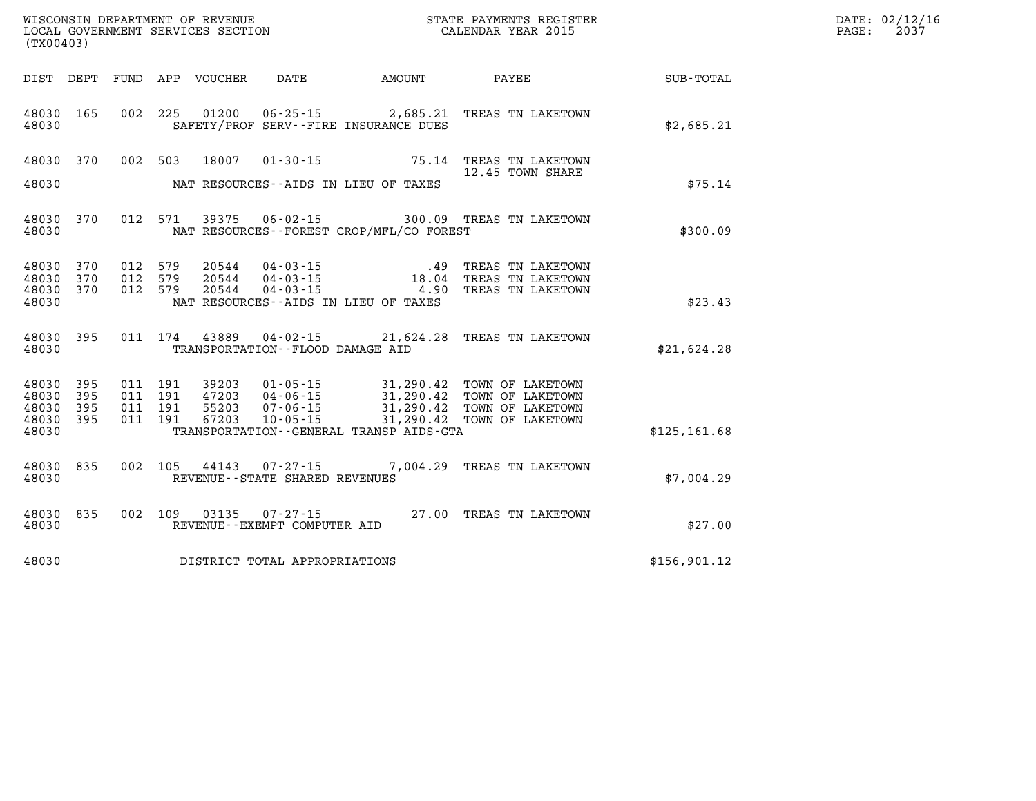| DATE: | 02/12/16 |
|-------|----------|
| PAGE: | 2037     |

| (TX00403)               |            |            |            | WISCONSIN DEPARTMENT OF REVENUE<br>LOCAL GOVERNMENT SERVICES SECTION |                                                      |                                                                   | STATE PAYMENTS REGISTER<br>CALENDAR YEAR 2015  |               |
|-------------------------|------------|------------|------------|----------------------------------------------------------------------|------------------------------------------------------|-------------------------------------------------------------------|------------------------------------------------|---------------|
| DIST                    | DEPT       | FUND       | APP        | VOUCHER                                                              | DATE                                                 | <b>AMOUNT</b>                                                     | PAYEE                                          | SUB-TOTAL     |
| 48030<br>48030          | 165        | 002        | 225        | 01200                                                                | $06 - 25 - 15$                                       | 2,685.21<br>SAFETY/PROF SERV--FIRE INSURANCE DUES                 | TREAS TN LAKETOWN                              | \$2,685.21    |
| 48030                   | 370        | 002        | 503        | 18007                                                                | $01 - 30 - 15$                                       | 75.14                                                             | TREAS TN LAKETOWN<br>12.45 TOWN SHARE          |               |
| 48030                   |            |            |            |                                                                      |                                                      | NAT RESOURCES -- AIDS IN LIEU OF TAXES                            |                                                | \$75.14       |
| 48030<br>48030          | 370        | 012        | 571        | 39375                                                                | $06 - 02 - 15$                                       | NAT RESOURCES - - FOREST CROP/MFL/CO FOREST                       | 300.09 TREAS TN LAKETOWN                       | \$300.09      |
| 48030<br>48030          | 370<br>370 | 012<br>012 | 579<br>579 | 20544<br>20544                                                       |                                                      | $04 - 03 - 15$ $18.04$<br>.49                                     | TREAS TN LAKETOWN<br>TREAS TN LAKETOWN         |               |
| 48030<br>48030          | 370        | 012        | 579        | 20544                                                                | $04 - 03 - 15$                                       | 4.90<br>NAT RESOURCES -- AIDS IN LIEU OF TAXES                    | TREAS TN LAKETOWN                              | \$23.43       |
| 48030<br>48030          | 395        | 011        | 174        | 43889                                                                | $04 - 02 - 15$<br>TRANSPORTATION -- FLOOD DAMAGE AID |                                                                   | 21,624.28 TREAS TN LAKETOWN                    | \$21,624.28   |
| 48030<br>48030          | 395<br>395 | 011<br>011 | 191<br>191 | 39203<br>47203                                                       | $01 - 05 - 15$<br>$04 - 06 - 15$                     | 31,290.42                                                         | 31,290.42 TOWN OF LAKETOWN<br>TOWN OF LAKETOWN |               |
| 48030<br>48030<br>48030 | 395<br>395 | 011<br>011 | 191<br>191 | 55203<br>67203                                                       | $07 - 06 - 15$<br>$10 - 05 - 15$                     | 31,290.42<br>31,290.42<br>TRANSPORTATION--GENERAL TRANSP AIDS-GTA | TOWN OF LAKETOWN<br>TOWN OF LAKETOWN           | \$125, 161.68 |
| 48030<br>48030          | 835        | 002        | 105        | 44143                                                                | $07 - 27 - 15$<br>REVENUE - - STATE SHARED REVENUES  | 7,004.29                                                          | TREAS TN LAKETOWN                              | \$7,004.29    |
| 48030<br>48030          | 835        | 002        | 109        | 03135                                                                | $07 - 27 - 15$<br>REVENUE--EXEMPT COMPUTER AID       |                                                                   | 27.00 TREAS TN LAKETOWN                        | \$27.00       |
| 48030                   |            |            |            |                                                                      | DISTRICT TOTAL APPROPRIATIONS                        |                                                                   |                                                | \$156,901.12  |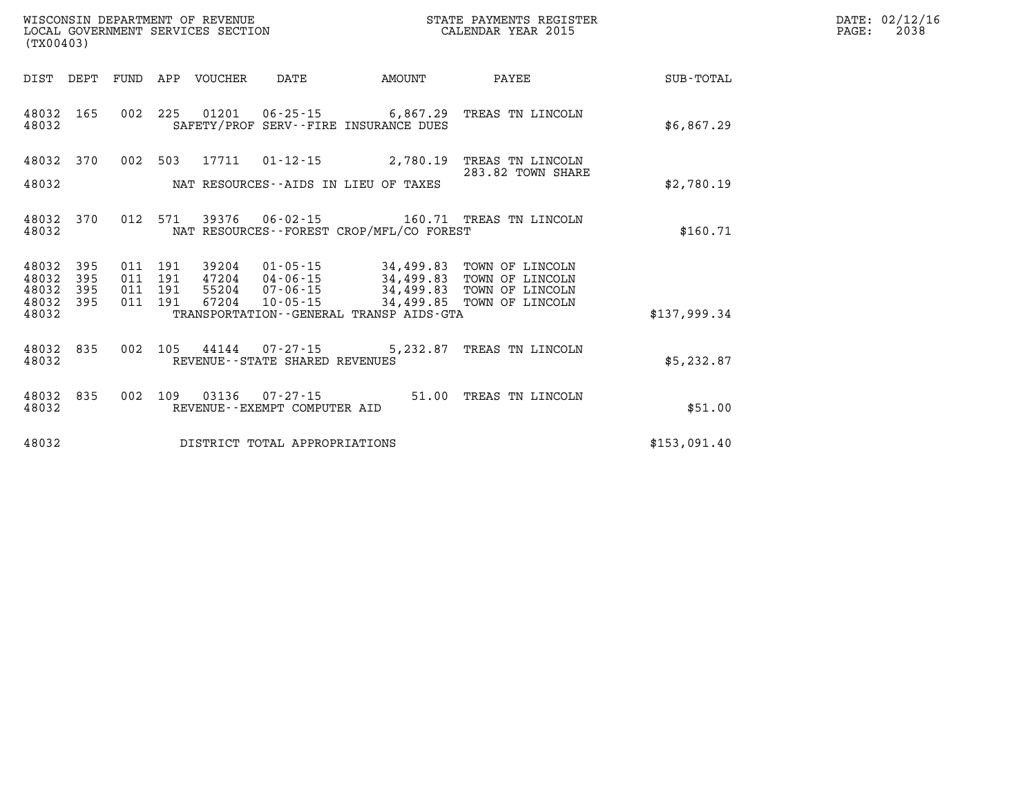| DATE: | 02/12/16 |
|-------|----------|
| PAGE: | 2038     |

| (TX00403)      |            |            |            | WISCONSIN DEPARTMENT OF REVENUE<br>LOCAL GOVERNMENT SERVICES SECTION |                                                     |                                                   | STATE PAYMENTS REGISTER<br>CALENDAR YEAR 2015 |                  |
|----------------|------------|------------|------------|----------------------------------------------------------------------|-----------------------------------------------------|---------------------------------------------------|-----------------------------------------------|------------------|
| DIST           | DEPT       | FUND       | APP        | VOUCHER                                                              | DATE                                                | AMOUNT                                            | PAYEE                                         | <b>SUB-TOTAL</b> |
| 48032<br>48032 | 165        | 002        | 225        | 01201                                                                | $06 - 25 - 15$                                      | 6,867.29<br>SAFETY/PROF SERV--FIRE INSURANCE DUES | TREAS TN LINCOLN                              | \$6,867.29       |
| 48032          | 370        | 002        | 503        | 17711                                                                | $01 - 12 - 15$                                      | 2,780.19                                          | TREAS TN LINCOLN                              |                  |
| 48032          |            |            |            |                                                                      |                                                     | NAT RESOURCES -- AIDS IN LIEU OF TAXES            | 283.82 TOWN SHARE                             | \$2,780.19       |
| 48032<br>48032 | 370        | 012        | 571        | 39376                                                                | 06-02-15                                            | NAT RESOURCES - - FOREST CROP/MFL/CO FOREST       | 160.71 TREAS TN LINCOLN                       | \$160.71         |
| 48032<br>48032 | 395<br>395 | 011<br>011 | 191<br>191 | 39204<br>47204                                                       | $01 - 05 - 15$<br>$04 - 06 - 15$                    | 34,499.83<br>34,499.83                            | TOWN OF LINCOLN<br>TOWN OF LINCOLN            |                  |
| 48032<br>48032 | 395<br>395 | 011<br>011 | 191<br>191 | 55204<br>67204                                                       | $07 - 06 - 15$<br>$10 - 05 - 15$                    | 34,499.83<br>34,499.85                            | TOWN OF LINCOLN<br>TOWN OF LINCOLN            |                  |
| 48032          |            |            |            |                                                                      |                                                     | TRANSPORTATION - - GENERAL TRANSP AIDS - GTA      |                                               | \$137,999.34     |
| 48032<br>48032 | 835        | 002        | 105        | 44144                                                                | $07 - 27 - 15$<br>REVENUE - - STATE SHARED REVENUES | 5,232.87                                          | TREAS TN LINCOLN                              | \$5,232.87       |
| 48032<br>48032 | 835        | 002        | 109        | 03136                                                                | $07 - 27 - 15$<br>REVENUE--EXEMPT COMPUTER AID      | 51.00                                             | TREAS TN LINCOLN                              | \$51.00          |
| 48032          |            |            |            |                                                                      | DISTRICT TOTAL APPROPRIATIONS                       |                                                   |                                               | \$153,091.40     |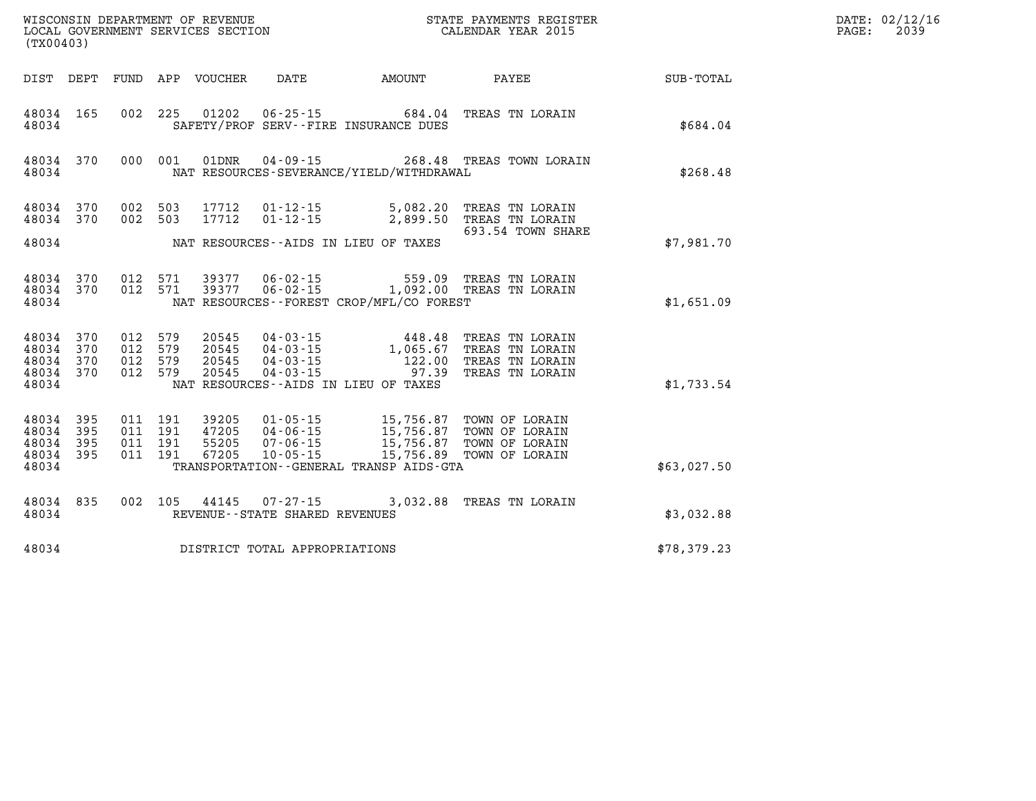| WISCONSIN DEPARTMENT OF REVENUE   | STATE PAYMENTS REGISTER | DATE: 02/12/16 |
|-----------------------------------|-------------------------|----------------|
| LOCAL GOVERNMENT SERVICES SECTION | CALENDAR YEAR 2015      | 2039<br>PAGE:  |
| (mv00103)                         |                         |                |

| (TX00403)                                                 |           |  | LOCAL GOVERNMENT SERVICES SECTION |                                     |                                            | CALENDAR YEAR 2015                                                                                                                                                                                       |                                                        | PAGE: | 2039 |
|-----------------------------------------------------------|-----------|--|-----------------------------------|-------------------------------------|--------------------------------------------|----------------------------------------------------------------------------------------------------------------------------------------------------------------------------------------------------------|--------------------------------------------------------|-------|------|
|                                                           |           |  |                                   |                                     |                                            |                                                                                                                                                                                                          | DIST DEPT FUND APP VOUCHER DATE AMOUNT PAYEE SUB-TOTAL |       |      |
| 48034 165<br>48034                                        |           |  |                                   |                                     | SAFETY/PROF SERV--FIRE INSURANCE DUES      | 002 225 01202 06-25-15 684.04 TREAS TN LORAIN                                                                                                                                                            | \$684.04                                               |       |      |
| 48034                                                     | 48034 370 |  |                                   |                                     | NAT RESOURCES-SEVERANCE/YIELD/WITHDRAWAL   | 000 001 01DNR 04-09-15 268.48 TREAS TOWN LORAIN                                                                                                                                                          | \$268.48                                               |       |      |
| 48034 370<br>48034 370                                    |           |  |                                   |                                     |                                            | 002 503 17712 01-12-15 5,082.20 TREAS TN LORAIN<br>002 503 17712 01-12-15 2,899.50 TREAS TN LORAIN<br>693.54 TOWN SHARE                                                                                  |                                                        |       |      |
|                                                           |           |  |                                   |                                     | 48034 NAT RESOURCES--AIDS IN LIEU OF TAXES |                                                                                                                                                                                                          | \$7,981.70                                             |       |      |
| 48034 370<br>48034                                        | 48034 370 |  |                                   |                                     | NAT RESOURCES--FOREST CROP/MFL/CO FOREST   | 012 571 39377 06-02-15 559.09 TREAS TN LORAIN<br>012 571 39377 06-02-15 1,092.00 TREAS TN LORAIN                                                                                                         | \$1,651.09                                             |       |      |
| 48034 370<br>48034 370<br>48034 370<br>48034 370<br>48034 |           |  |                                   |                                     | NAT RESOURCES -- AIDS IN LIEU OF TAXES     | 012 579 20545 04-03-15 448.48 TREAS TN LORAIN<br>012 579 20545 04-03-15 1,065.67 TREAS TN LORAIN<br>012 579 20545 04-03-15 122.00 TREAS TN LORAIN<br>012 579 20545 04-03-15 97.39 TREAS TN LORAIN        | \$1,733.54                                             |       |      |
| 48034 395<br>48034 395<br>48034 395<br>48034 395<br>48034 |           |  |                                   |                                     | TRANSPORTATION--GENERAL TRANSP AIDS-GTA    | 011 191 39205 01-05-15 15,756.87 TOWN OF LORAIN<br>011 191 47205 04-06-15 15,756.87 TOWN OF LORAIN<br>011 191 55205 07-06-15 15,756.87 TOWN OF LORAIN<br>011 191 67205 10-05-15 15,756.89 TOWN OF LORAIN | \$63,027.50                                            |       |      |
| 48034                                                     |           |  |                                   | REVENUE--STATE SHARED REVENUES      |                                            | 48034 835 002 105 44145 07-27-15 3,032.88 TREAS TN LORAIN                                                                                                                                                | \$3,032.88                                             |       |      |
|                                                           |           |  |                                   | 48034 DISTRICT TOTAL APPROPRIATIONS |                                            |                                                                                                                                                                                                          | \$78,379.23                                            |       |      |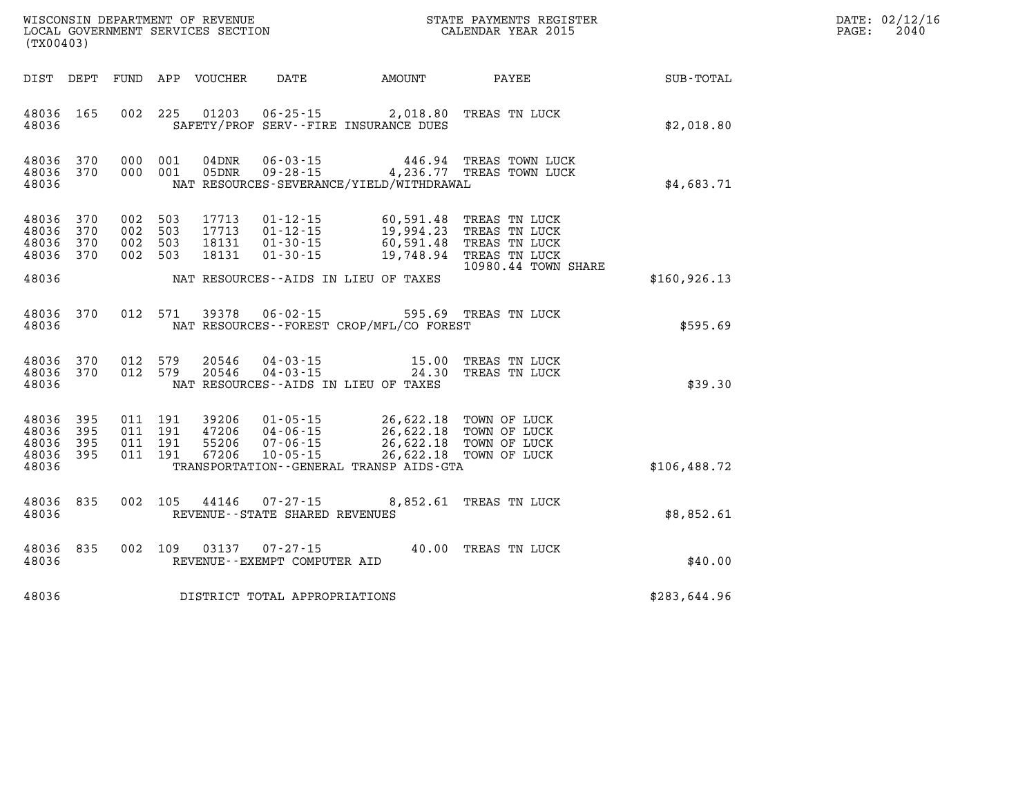| DATE: | 02/12/16 |
|-------|----------|
| PAGE: | 2040     |

| (TX00403)                                 |                          |                          |                          | WISCONSIN DEPARTMENT OF REVENUE<br>LOCAL GOVERNMENT SERVICES SECTION |                                                                      |                                                                                             | STATE PAYMENTS REGISTER<br>CALENDAR YEAR 2015                                           |                  |
|-------------------------------------------|--------------------------|--------------------------|--------------------------|----------------------------------------------------------------------|----------------------------------------------------------------------|---------------------------------------------------------------------------------------------|-----------------------------------------------------------------------------------------|------------------|
| DIST                                      | DEPT                     | FUND                     | APP                      | <b>VOUCHER</b>                                                       | DATE                                                                 | AMOUNT                                                                                      | PAYEE                                                                                   | <b>SUB-TOTAL</b> |
| 48036<br>48036                            | 165                      | 002                      | 225                      | 01203                                                                | $06 - 25 - 15$                                                       | 2,018.80<br>SAFETY/PROF SERV--FIRE INSURANCE DUES                                           | TREAS TN LUCK                                                                           | \$2,018.80       |
| 48036<br>48036<br>48036                   | 370<br>370               | 000<br>000               | 001<br>001               | 04DNR<br>05DNR                                                       | $06 - 03 - 15$<br>$09 - 28 - 15$                                     | 446.94<br>4,236.77<br>NAT RESOURCES-SEVERANCE/YIELD/WITHDRAWAL                              | TREAS TOWN LUCK<br>TREAS TOWN LUCK                                                      | \$4,683.71       |
| 48036<br>48036<br>48036<br>48036          | 370<br>370<br>370<br>370 | 002<br>002<br>002<br>002 | 503<br>503<br>503<br>503 | 17713<br>17713<br>18131<br>18131                                     | $01 - 12 - 15$<br>$01 - 12 - 15$<br>$01 - 30 - 15$<br>$01 - 30 - 15$ | 60,591.48<br>19,994.23<br>60,591.48<br>19,748.94                                            | TREAS TN LUCK<br>TREAS TN LUCK<br>TREAS TN LUCK<br>TREAS TN LUCK<br>10980.44 TOWN SHARE |                  |
| 48036                                     |                          |                          |                          |                                                                      |                                                                      | NAT RESOURCES -- AIDS IN LIEU OF TAXES                                                      |                                                                                         | \$160, 926.13    |
| 48036<br>48036                            | 370                      | 012                      | 571                      | 39378                                                                | $06 - 02 - 15$                                                       | 595.69<br>NAT RESOURCES--FOREST CROP/MFL/CO FOREST                                          | TREAS TN LUCK                                                                           | \$595.69         |
| 48036<br>48036<br>48036                   | 370<br>370               | 012<br>012               | 579<br>579               | 20546<br>20546                                                       | $04 - 03 - 15$<br>$04 - 03 - 15$                                     | 15.00<br>24.30<br>NAT RESOURCES--AIDS IN LIEU OF TAXES                                      | TREAS TN LUCK<br>TREAS TN LUCK                                                          | \$39.30          |
| 48036<br>48036<br>48036<br>48036<br>48036 | 395<br>395<br>395<br>395 | 011<br>011<br>011<br>011 | 191<br>191<br>191<br>191 | 39206<br>47206<br>55206<br>67206                                     | $01 - 05 - 15$<br>$04 - 06 - 15$<br>$07 - 06 - 15$<br>$10 - 05 - 15$ | 26,622.18<br>26,622.18<br>26,622.18<br>26,622.18<br>TRANSPORTATION--GENERAL TRANSP AIDS-GTA | TOWN OF LUCK<br>TOWN OF LUCK<br>TOWN OF LUCK<br>TOWN OF LUCK                            | \$106,488.72     |
| 48036<br>48036                            | 835                      | 002                      | 105                      | 44146                                                                | $07 - 27 - 15$<br>REVENUE--STATE SHARED REVENUES                     | 8,852.61                                                                                    | TREAS TN LUCK                                                                           | \$8,852.61       |
| 48036<br>48036                            | 835                      | 002                      | 109                      | 03137                                                                | $07 - 27 - 15$<br>REVENUE--EXEMPT COMPUTER AID                       | 40.00                                                                                       | TREAS TN LUCK                                                                           | \$40.00          |
| 48036                                     |                          |                          |                          |                                                                      | DISTRICT TOTAL APPROPRIATIONS                                        |                                                                                             |                                                                                         | \$283,644.96     |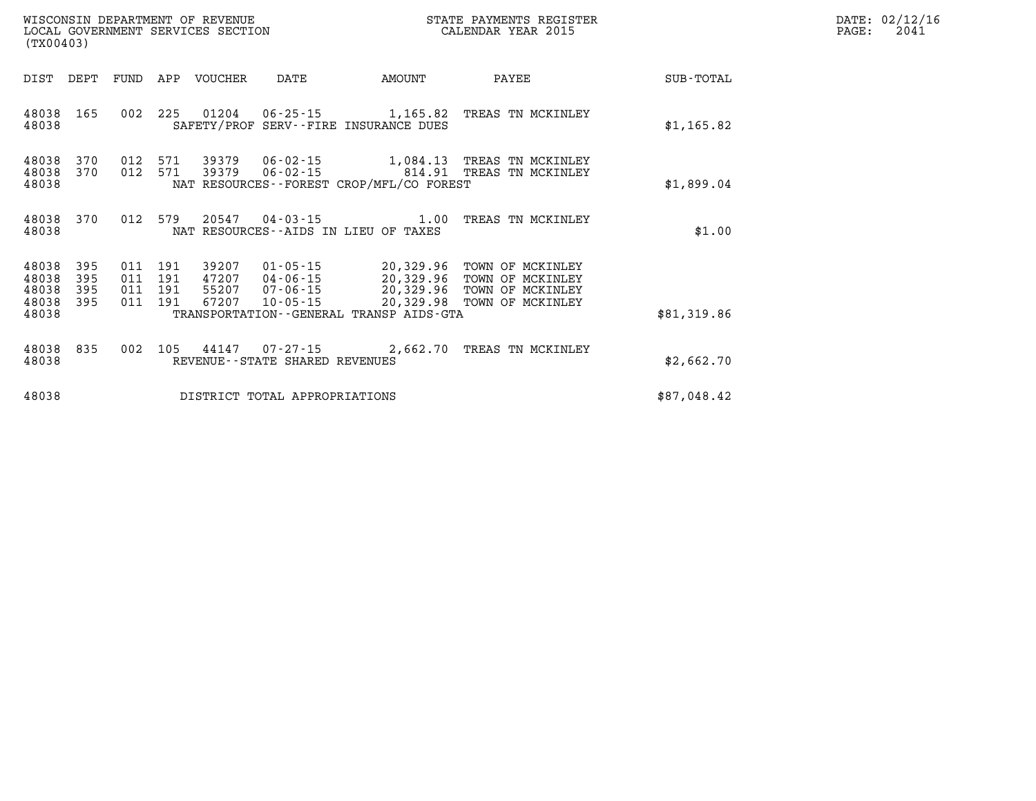| WISCONSIN DEPARTMENT OF REVENUE<br>LOCAL GOVERNMENT SERVICES SECTION<br>(TX00403) |      |         |     |         |                         |             | STATE PAYMENTS REGISTER<br>CALENDAR YEAR 2015 |           | DATE: 02/12/16<br>2041<br>PAGE: |
|-----------------------------------------------------------------------------------|------|---------|-----|---------|-------------------------|-------------|-----------------------------------------------|-----------|---------------------------------|
| DIST                                                                              | DEPT | FUND    | APP | VOUCHER | DATE                    | AMOUNT      | PAYEE                                         | SUB-TOTAL |                                 |
| $10020$ $165$                                                                     |      | ດດາ າາ⊑ |     |         | $0.1001$ $0.605$ $0.75$ | 1 1 2 5 0 7 | עם חורדשי/וא זוהם מספחה                       |           |                                 |

| DIST                                      | DEPT                     | FUND                     | APP                      | <b>VOUCHER</b>                   | DATE                                                     | AMOUNT                                                                                           | PAYEE                                                                        | SUB-TOTAL   |
|-------------------------------------------|--------------------------|--------------------------|--------------------------|----------------------------------|----------------------------------------------------------|--------------------------------------------------------------------------------------------------|------------------------------------------------------------------------------|-------------|
| 48038<br>48038                            | 165                      | 002                      | 225                      | 01204                            | $06 - 25 - 15$                                           | 1,165.82<br>SAFETY/PROF SERV--FIRE INSURANCE DUES                                                | TREAS TN MCKINLEY                                                            | \$1,165.82  |
| 48038<br>48038<br>48038                   | 370<br>370               | 012<br>012               | 571<br>571               | 39379<br>39379                   | 06-02-15<br>06-02-15                                     | 1,084.13<br>814.91<br>NAT RESOURCES--FOREST CROP/MFL/CO FOREST                                   | TREAS TN MCKINLEY<br>TREAS TN MCKINLEY                                       | \$1,899.04  |
| 48038<br>48038                            | 370                      | 012                      | 579                      | 20547                            | $04 - 03 - 15$                                           | 1.00<br>NAT RESOURCES -- AIDS IN LIEU OF TAXES                                                   | TREAS TN MCKINLEY                                                            | \$1.00      |
| 48038<br>48038<br>48038<br>48038<br>48038 | 395<br>395<br>395<br>395 | 011<br>011<br>011<br>011 | 191<br>191<br>191<br>191 | 39207<br>47207<br>55207<br>67207 | $01 - 05 - 15$<br>04-06-15<br>07-06-15<br>$10 - 05 - 15$ | 20,329.96<br>20,329.96<br>20,329.96<br>20,329.98<br>TRANSPORTATION - - GENERAL TRANSP AIDS - GTA | TOWN OF MCKINLEY<br>TOWN OF MCKINLEY<br>TOWN OF MCKINLEY<br>TOWN OF MCKINLEY | \$81,319.86 |
| 48038<br>48038                            | 835                      | 002                      | 105                      | 44147                            | $07 - 27 - 15$<br>REVENUE--STATE SHARED REVENUES         | 2,662.70                                                                                         | TREAS TN MCKINLEY                                                            | \$2,662.70  |
| 48038                                     |                          |                          |                          |                                  | DISTRICT TOTAL APPROPRIATIONS                            |                                                                                                  |                                                                              | \$87,048.42 |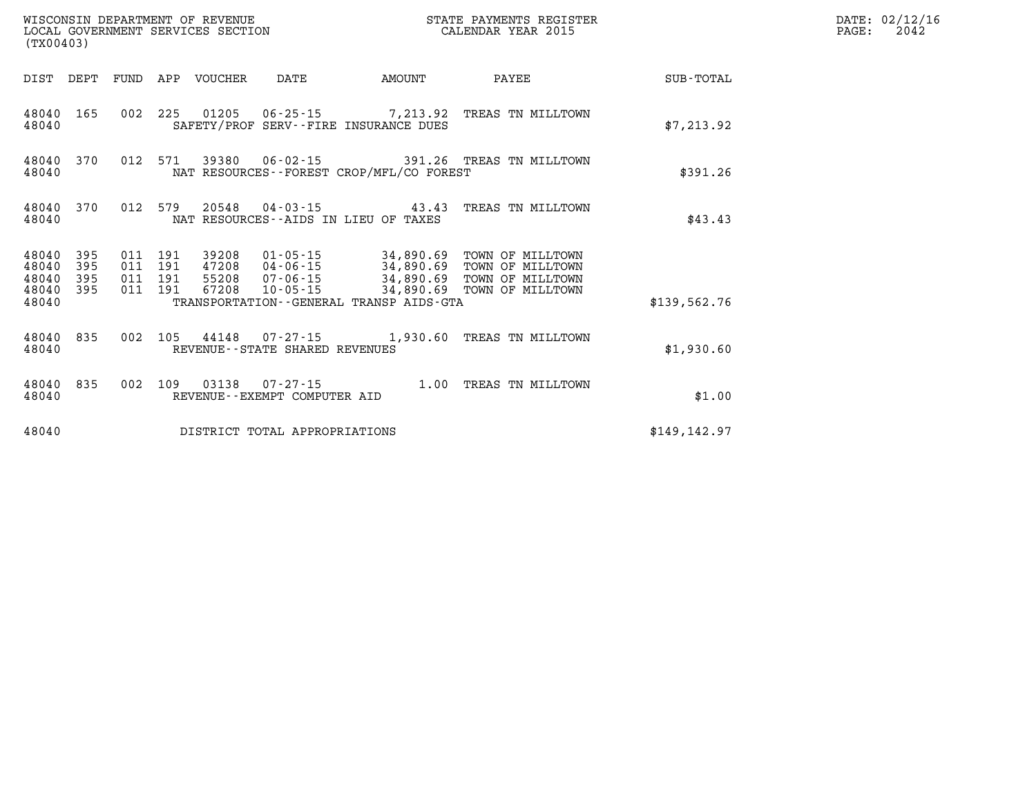| (TX00403)                   |            |                    |                            |                                |                                          | STATE PAYMENTS REGISTER                                                                                                                                                                                |               | DATE: 02/12/16<br>2042<br>$\mathtt{PAGE:}$ |
|-----------------------------|------------|--------------------|----------------------------|--------------------------------|------------------------------------------|--------------------------------------------------------------------------------------------------------------------------------------------------------------------------------------------------------|---------------|--------------------------------------------|
|                             |            |                    | DIST DEPT FUND APP VOUCHER | DATE                           | <b>EXAMPLE THE PROPERTY OF AMOUNT</b>    | <b>PAYEE</b>                                                                                                                                                                                           | SUB-TOTAL     |                                            |
| 48040 165<br>48040          |            |                    |                            |                                | SAFETY/PROF SERV--FIRE INSURANCE DUES    | 002 225 01205 06-25-15 7,213.92 TREAS TN MILLTOWN                                                                                                                                                      | \$7,213.92    |                                            |
| 48040 370<br>48040          |            |                    |                            |                                | NAT RESOURCES--FOREST CROP/MFL/CO FOREST | 012 571 39380 06-02-15 391.26 TREAS TN MILLTOWN                                                                                                                                                        | \$391.26      |                                            |
| 48040 370<br>48040          |            |                    |                            |                                | NAT RESOURCES--AIDS IN LIEU OF TAXES     | 012 579 20548 04-03-15 43.43 TREAS TN MILLTOWN                                                                                                                                                         | \$43.43       |                                            |
| 48040<br>48040<br>48040 395 | 395<br>395 | 011 191<br>011 191 |                            |                                |                                          | 39208  01-05-15  34,890.69  TOWN OF MILLTOWN<br>011 191 47208 04-06-15 34,890.69 TOWN OF MILLTOWN<br>011 191 55208 07-06-15 34,890.69 TOWN OF MILLTOWN<br>67208  10-05-15  34,890.69  TOWN OF MILLTOWN |               |                                            |
| 48040 395<br>48040          |            | 011 191            |                            |                                | TRANSPORTATION--GENERAL TRANSP AIDS-GTA  |                                                                                                                                                                                                        | \$139.562.76  |                                            |
| 48040                       | 48040 835  |                    |                            | REVENUE--STATE SHARED REVENUES |                                          | 002 105 44148 07-27-15 1,930.60 TREAS TN MILLTOWN                                                                                                                                                      | \$1,930.60    |                                            |
| 48040                       | 48040 835  |                    |                            | REVENUE--EXEMPT COMPUTER AID   |                                          | 002 109 03138 07-27-15 1.00 TREAS TN MILLTOWN                                                                                                                                                          | \$1.00        |                                            |
| 48040                       |            |                    |                            | DISTRICT TOTAL APPROPRIATIONS  |                                          |                                                                                                                                                                                                        | \$149, 142.97 |                                            |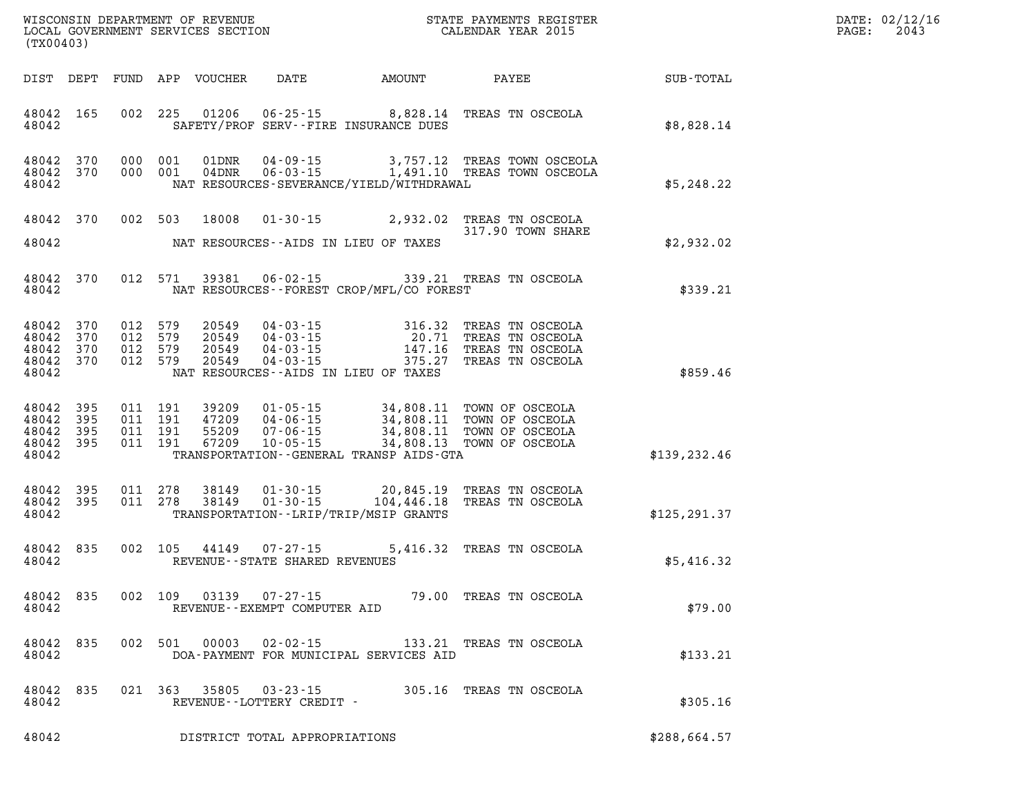| DATE: | 02/12/16 |
|-------|----------|
| PAGE: | 2043     |

| (TX00403)                                                 |  |  |                                                                  |                                                | WISCONSIN DEPARTMENT OF REVENUE<br>LOCAL GOVERNMENT SERVICES SECTION CALENDAR YEAR 2015                                                                                                                                                                                                                              |                                                              | DATE: 02/12/1<br>$\mathtt{PAGE:}$<br>2043 |
|-----------------------------------------------------------|--|--|------------------------------------------------------------------|------------------------------------------------|----------------------------------------------------------------------------------------------------------------------------------------------------------------------------------------------------------------------------------------------------------------------------------------------------------------------|--------------------------------------------------------------|-------------------------------------------|
|                                                           |  |  |                                                                  |                                                |                                                                                                                                                                                                                                                                                                                      | DIST DEPT FUND APP VOUCHER DATE AMOUNT PAYEE TOTAL SUB-TOTAL |                                           |
| 48042 165<br>48042                                        |  |  |                                                                  | SAFETY/PROF SERV--FIRE INSURANCE DUES          | 002 225 01206 06-25-15 8,828.14 TREAS TN OSCEOLA                                                                                                                                                                                                                                                                     | \$8,828.14                                                   |                                           |
| 48042                                                     |  |  |                                                                  | NAT RESOURCES-SEVERANCE/YIELD/WITHDRAWAL       | $\begin{array}{cccc} 4\,8\,0\,4\,2 & 3\,7\,0 & 0\,0\,0 & 0\,0\,1 & 0\,1\, \text{DNR} & 0\,4\, \text{-}\,0\,9\,\text{-}\,15 & 3\,,\,7\,5\,7\,\text{-}\,12 & \text{TREAS TOWN OSCEOLA} \\ 4\,8\,0\,4\,2 & 3\,7\,0 & 0\,0\,0 & 0\,0\,1 & 0\,4\, \text{DNR} & 0\,6\,\text{-}\,0\,3\,\text{-}\,15 & 1\,,\,4\,9\,1\,\text$ | \$5,248.22                                                   |                                           |
|                                                           |  |  |                                                                  |                                                | 48042 370 002 503 18008 01-30-15 2,932.02 TREAS TN OSCEOLA<br>317.90 TOWN SHARE                                                                                                                                                                                                                                      |                                                              |                                           |
|                                                           |  |  |                                                                  | 48042 NAT RESOURCES--AIDS IN LIEU OF TAXES     |                                                                                                                                                                                                                                                                                                                      | \$2,932.02                                                   |                                           |
|                                                           |  |  |                                                                  | 48042 NAT RESOURCES--FOREST CROP/MFL/CO FOREST | 48042 370 012 571 39381 06-02-15 339.21 TREAS TN OSCEOLA                                                                                                                                                                                                                                                             | \$339.21                                                     |                                           |
| 48042                                                     |  |  |                                                                  | NAT RESOURCES--AIDS IN LIEU OF TAXES           | $\begin{array}{cccccc} 4\,8\,0\,4\,2 & 3\,7\,0 & 0\,1\,2 & 5\,7\,9 & 2\,0\,5\,4\,9 & 0\,4\,0\,3\,0\,1\,1\,5 & 3\,1\,6\,\,3\,2 & \text{TREAS TN OSCEOLA} \\ 4\,8\,0\,4\,2 & 3\,7\,0 & 0\,1\,2 & 5\,7\,9 & 2\,0\,5\,4\,9 & 0\,4\,0\,3\,0\,1\,5 & 1\,4\,7\,\,1\,6 & \text{TREAS TN OSC$                                 | \$859.46                                                     |                                           |
| 48042 395<br>48042 395<br>48042 395<br>48042 395<br>48042 |  |  |                                                                  | TRANSPORTATION--GENERAL TRANSP AIDS-GTA        | 011 191 39209 01-05-15 34,808.11 TOWN OF OSCEOLA<br>011 191 47209 04-06-15 34,808.11 TOWN OF OSCEOLA<br>011 191 55209 07-06-15 34,808.11 TOWN OF OSCEOLA<br>011 191 67209 10-05-15 34,808.13 TOWN OF OSCEOLA                                                                                                         | \$139, 232.46                                                |                                           |
| 48042 395<br>48042 395<br>48042                           |  |  |                                                                  | TRANSPORTATION - - LRIP/TRIP/MSIP GRANTS       | 011  278  38149  01-30-15  20,845.19  TREAS TN OSCEOLA<br>011  278  38149  01-30-15  104,446.18  TREAS TN OSCEOLA                                                                                                                                                                                                    | \$125, 291.37                                                |                                           |
| 48042 835                                                 |  |  | 48042 REVENUE--STATE SHARED REVENUES                             |                                                | 002 105 44149 07-27-15 5,416.32 TREAS TN OSCEOLA                                                                                                                                                                                                                                                                     | \$5,416.32                                                   |                                           |
| 48042                                                     |  |  | 48042 835 002 109 03139 07-27-15<br>REVENUE--EXEMPT COMPUTER AID |                                                | 79.00 TREAS TN OSCEOLA                                                                                                                                                                                                                                                                                               | \$79.00                                                      |                                           |
| 48042 835<br>48042                                        |  |  | 002 501 00003 02-02-15                                           | DOA-PAYMENT FOR MUNICIPAL SERVICES AID         | 133.21 TREAS TN OSCEOLA                                                                                                                                                                                                                                                                                              | \$133.21                                                     |                                           |
| 48042 835<br>48042                                        |  |  | 021 363 35805 03-23-15<br>REVENUE--LOTTERY CREDIT -              |                                                | 305.16 TREAS TN OSCEOLA                                                                                                                                                                                                                                                                                              | \$305.16                                                     |                                           |

**48042 DISTRICT TOTAL APPROPRIATIONS \$288,664.57**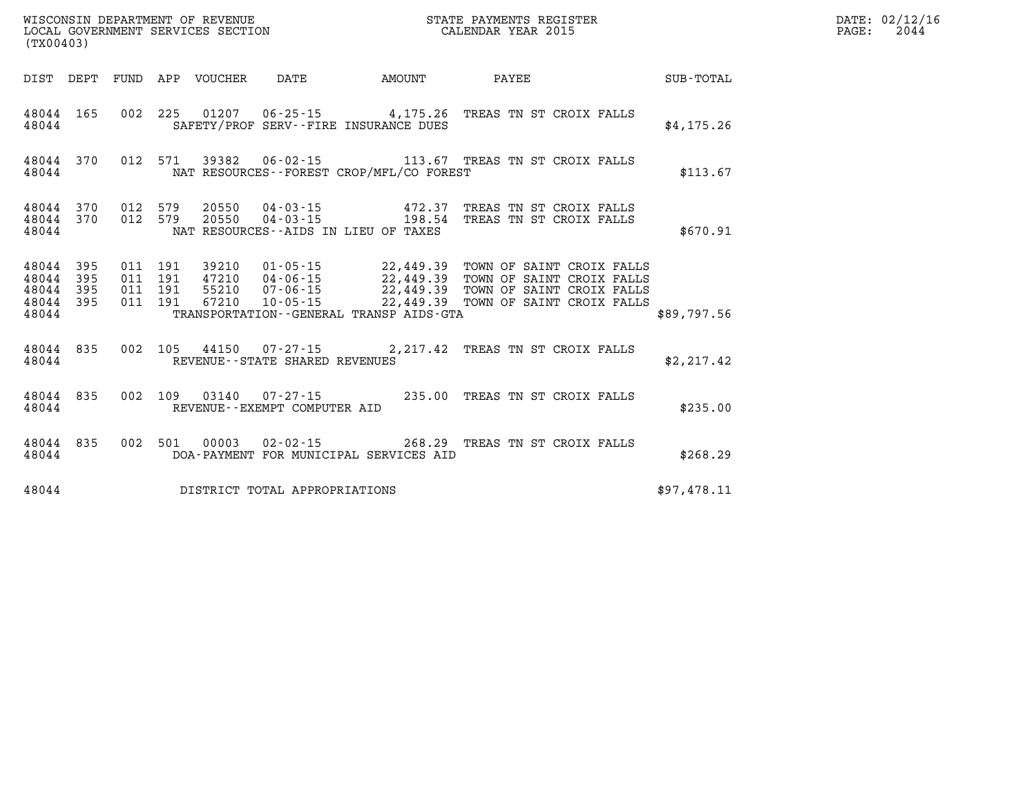| (TX00403)                       |     |  |  |               |                                |                                          |                                                                                                                                                                                                                                         |             | DATE: 02/12/16<br>$\mathtt{PAGE}$ :<br>2044 |
|---------------------------------|-----|--|--|---------------|--------------------------------|------------------------------------------|-----------------------------------------------------------------------------------------------------------------------------------------------------------------------------------------------------------------------------------------|-------------|---------------------------------------------|
|                                 |     |  |  |               |                                | DIST DEPT FUND APP VOUCHER DATE AMOUNT   | <b>PAYEE</b>                                                                                                                                                                                                                            | SUB-TOTAL   |                                             |
| 48044 165<br>48044              |     |  |  |               |                                | SAFETY/PROF SERV--FIRE INSURANCE DUES    | 002 225 01207 06-25-15 4,175.26 TREAS TN ST CROIX FALLS                                                                                                                                                                                 | \$4,175.26  |                                             |
| 48044 370<br>48044              |     |  |  |               |                                | NAT RESOURCES--FOREST CROP/MFL/CO FOREST | 012 571 39382 06-02-15 113.67 TREAS TN ST CROIX FALLS                                                                                                                                                                                   | \$113.67    |                                             |
| 48044 370<br>48044 370<br>48044 |     |  |  |               |                                | NAT RESOURCES--AIDS IN LIEU OF TAXES     | 012 579 20550 04-03-15 472.37 TREAS TN ST CROIX FALLS<br>012 579 20550 04-03-15 198.54 TREAS TN ST CROIX FALLS                                                                                                                          | \$670.91    |                                             |
| 48044 395<br>48044<br>48044 395 | 395 |  |  |               |                                |                                          | 011 191 39210 01-05-15 22,449.39 TOWN OF SAINT CROIX FALLS<br>011 191 47210 04-06-15 22,449.39 TOWN OF SAINT CROIX FALLS<br>011 191 67210 10-05-15 22,449.39 TOWN OF SAINT CROIX FALLS<br>011 191 67210 10-05-15 22,449.39 TOWN OF SAIN |             |                                             |
| 48044 395<br>48044              |     |  |  |               |                                | TRANSPORTATION--GENERAL TRANSP AIDS-GTA  |                                                                                                                                                                                                                                         | \$89,797.56 |                                             |
| 48044 835<br>48044              |     |  |  |               | REVENUE--STATE SHARED REVENUES |                                          | 002 105 44150 07-27-15 2,217.42 TREAS TN ST CROIX FALLS                                                                                                                                                                                 | \$2, 217.42 |                                             |
| 48044 835<br>48044              |     |  |  |               | REVENUE--EXEMPT COMPUTER AID   |                                          | 002 109 03140 07-27-15 235.00 TREAS TN ST CROIX FALLS                                                                                                                                                                                   | \$235.00    |                                             |
| 48044 835<br>48044              |     |  |  | 002 501 00003 |                                | DOA-PAYMENT FOR MUNICIPAL SERVICES AID   | 02-02-15 268.29 TREAS TN ST CROIX FALLS                                                                                                                                                                                                 | \$268.29    |                                             |
| 48044                           |     |  |  |               | DISTRICT TOTAL APPROPRIATIONS  |                                          |                                                                                                                                                                                                                                         | \$97,478.11 |                                             |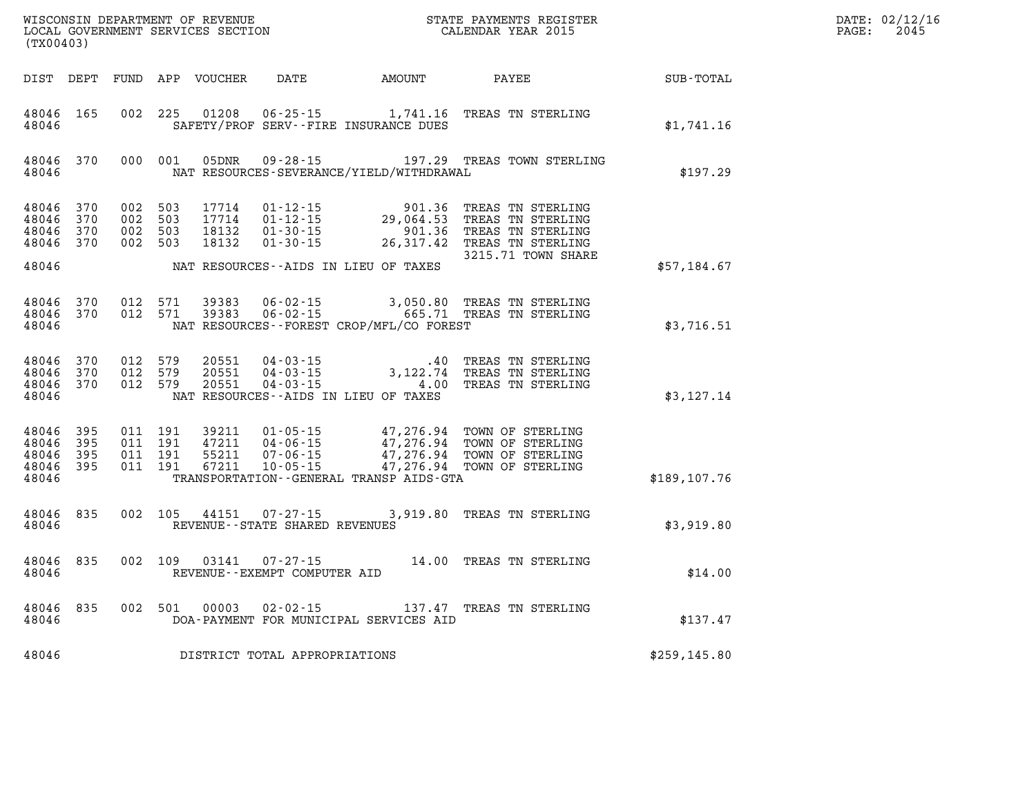| DATE: | 02/12/16 |
|-------|----------|
| PAGE: | 2045     |

| (TX00403)                                         |                   |         |                                          | WISCONSIN DEPARTMENT OF REVENUE<br>LOCAL GOVERNMENT SERVICES SECTION |                                                                          |                                                             | STATE PAYMENTS REGISTER<br>CALENDAR YEAR 2015                                                                           |                      | DATE: 02/12/1<br>2045<br>PAGE: |
|---------------------------------------------------|-------------------|---------|------------------------------------------|----------------------------------------------------------------------|--------------------------------------------------------------------------|-------------------------------------------------------------|-------------------------------------------------------------------------------------------------------------------------|----------------------|--------------------------------|
|                                                   |                   |         |                                          | DIST DEPT FUND APP VOUCHER                                           |                                                                          | DATE AMOUNT                                                 | PAYEE                                                                                                                   | $\texttt{SUB-TOTAL}$ |                                |
| 48046 165<br>48046                                |                   |         | 002 225                                  | 01208                                                                |                                                                          | SAFETY/PROF SERV--FIRE INSURANCE DUES                       | 06-25-15 1,741.16 TREAS TN STERLING                                                                                     | \$1,741.16           |                                |
| 48046                                             | 48046 370         |         | 000 001                                  |                                                                      |                                                                          | NAT RESOURCES-SEVERANCE/YIELD/WITHDRAWAL                    | 05DNR  09-28-15    197.29    TREAS TOWN STERLING                                                                        | \$197.29             |                                |
| 48046<br>48046<br>48046<br>48046 370<br>48046     | 370<br>370<br>370 |         | 002 503<br>002 503<br>002 503<br>002 503 | 17714<br>17714<br>18132<br>18132                                     | $01 - 12 - 15$<br>$01 - 12 - 15$ 29,<br>$01 - 30 - 15$<br>$01 - 30 - 15$ | 901.36<br>29,064.53<br>NAT RESOURCES--AIDS IN LIEU OF TAXES | TREAS TN STERLING<br>TREAS TN STERLING<br>901.36 TREAS TN STERLING<br>26,317.42 TREAS TN STERLING<br>3215.71 TOWN SHARE | \$57,184.67          |                                |
| 48046 370<br>48046                                | 48046 370         |         | 012 571<br>012 571                       | 39383<br>39383                                                       |                                                                          | NAT RESOURCES--FOREST CROP/MFL/CO FOREST                    | 06-02-15 3,050.80 TREAS TN STERLING<br>06-02-15 665.71 TREAS TN STERLING                                                | \$3,716.51           |                                |
| 48046 370<br>48046<br>48046 370<br>48046          | 370               | 012 579 | 012 579<br>012 579                       | 20551<br>20551<br>20551                                              | $04 - 03 - 15$                                                           | NAT RESOURCES--AIDS IN LIEU OF TAXES                        | .40 TREAS TN STERLING<br>04-03-15 3,122.74 TREAS TN STERLING<br>04-03-15 4.00 TREAS TN STERLING                         | \$3,127.14           |                                |
| 48046 395<br>48046<br>48046<br>48046 395<br>48046 | 395<br>395        |         | 011 191<br>011 191<br>011 191<br>011 191 | 39211<br>47211<br>55211<br>67211                                     | $01 - 05 - 15$<br>04-06-15<br>$07 - 06 - 15$<br>$10 - 05 - 15$           | TRANSPORTATION--GENERAL TRANSP AIDS-GTA                     | 47,276.94 TOWN OF STERLING<br>47,276.94 TOWN OF STERLING<br>47,276.94 TOWN OF STERLING<br>47,276.94 TOWN OF STERLING    | \$189,107.76         |                                |
| 48046 835<br>48046                                |                   |         | 002 105                                  | 44151                                                                | 07-27-15<br>REVENUE - - STATE SHARED REVENUES                            |                                                             | 3,919.80 TREAS TN STERLING                                                                                              | \$3,919.80           |                                |
| 48046 835<br>48046                                |                   |         | 002 109                                  | 03141                                                                | $07 - 27 - 15$<br>REVENUE--EXEMPT COMPUTER AID                           |                                                             | 14.00 TREAS TN STERLING                                                                                                 | \$14.00              |                                |
| 48046 835<br>48046                                |                   |         |                                          | 002 501 00003                                                        | $02 - 02 - 15$                                                           | DOA-PAYMENT FOR MUNICIPAL SERVICES AID                      | 137.47 TREAS TN STERLING                                                                                                | \$137.47             |                                |
| 48046                                             |                   |         |                                          |                                                                      | DISTRICT TOTAL APPROPRIATIONS                                            |                                                             |                                                                                                                         | \$259, 145.80        |                                |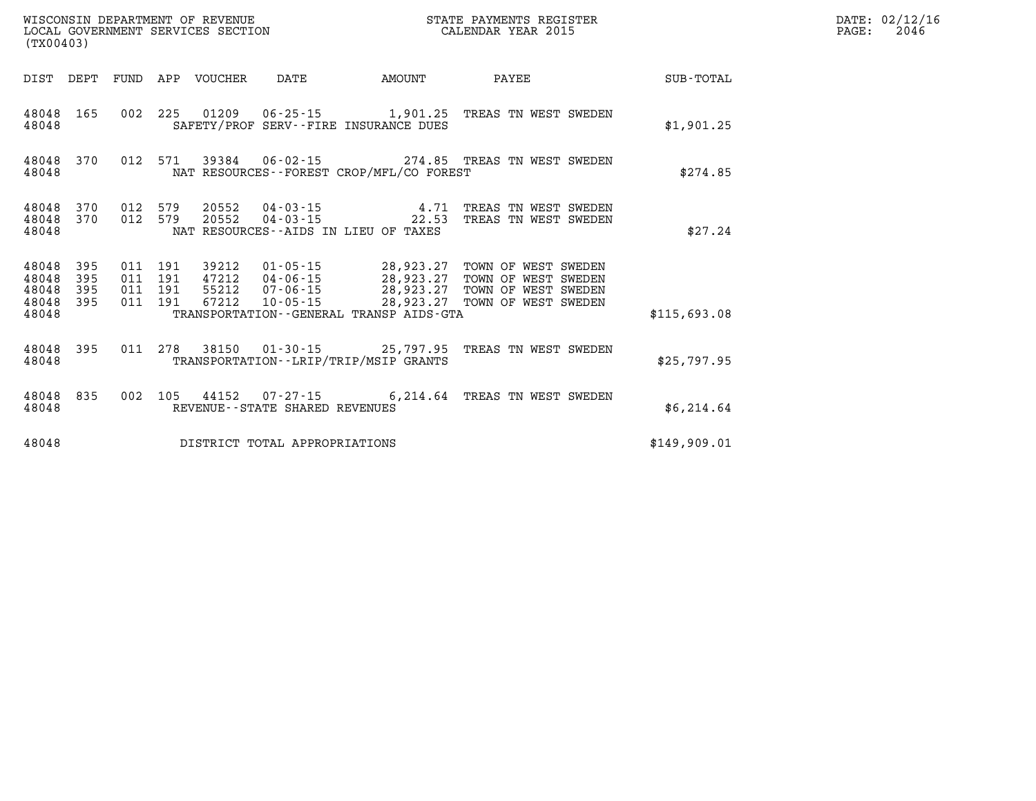| (TX00403)          |  |  |  |                                 |                                          |                                          | STATE PAYMENTS REGISTER                                                                                                                                                                                                                                                                                                  |                  | DATE: 02/12/16<br>2046<br>$\mathtt{PAGE:}$ |
|--------------------|--|--|--|---------------------------------|------------------------------------------|------------------------------------------|--------------------------------------------------------------------------------------------------------------------------------------------------------------------------------------------------------------------------------------------------------------------------------------------------------------------------|------------------|--------------------------------------------|
|                    |  |  |  | DIST DEPT FUND APP VOUCHER DATE |                                          | AMOUNT                                   | <b>PAYEE</b>                                                                                                                                                                                                                                                                                                             | <b>SUB-TOTAL</b> |                                            |
| 48048              |  |  |  |                                 | SAFETY/PROF SERV--FIRE INSURANCE DUES    |                                          | 48048 165 002 225 01209 06-25-15 1,901.25 TREAS TN WEST SWEDEN                                                                                                                                                                                                                                                           | \$1,901.25       |                                            |
| 48048              |  |  |  |                                 |                                          | NAT RESOURCES--FOREST CROP/MFL/CO FOREST | 48048 370 012 571 39384 06-02-15 274.85 TREAS TN WEST SWEDEN                                                                                                                                                                                                                                                             | \$274.85         |                                            |
| 48048              |  |  |  |                                 | NAT RESOURCES--AIDS IN LIEU OF TAXES     |                                          | $48048$ 370 012 579 20552 04-03-15 4.71 TREAS TN WEST SWEDEN<br>$48048$ 370 012 579 20552 04-03-15 22.53 TREAS TN WEST SWEDEN                                                                                                                                                                                            | \$27.24          |                                            |
| 48048              |  |  |  |                                 |                                          | TRANSPORTATION--GENERAL TRANSP AIDS-GTA  | $\begin{array}{cccccccc} 4\,8\,0\,4\,8 & 3\,9\,5 & 011 & 191 & 39212 & 01\cdot05\cdot15 & 28\,9\,23\,.27 & \text{TOWN OF WEST SWEDEN} \\ 4\,8\,0\,4\,8 & 395 & 011 & 191 & 47212 & 04\cdot06\cdot15 & 28\,9\,23\,.27 & \text{TOWN OF WEST SWEDEN} \\ 4\,8\,0\,4\,8 & 395 & 011 & 191 & 55212 & 07\cdot06\cdot15 & 28\,9$ | \$115,693.08     |                                            |
| 48048              |  |  |  |                                 | TRANSPORTATION - - LRIP/TRIP/MSIP GRANTS |                                          | 48048 395 011 278 38150 01-30-15 25,797.95 TREAS TN WEST SWEDEN                                                                                                                                                                                                                                                          | \$25,797.95      |                                            |
| 48048 835<br>48048 |  |  |  |                                 | REVENUE--STATE SHARED REVENUES           |                                          | 002 105 44152 07-27-15 6,214.64 TREAS TN WEST SWEDEN                                                                                                                                                                                                                                                                     | \$6,214.64       |                                            |
| 48048              |  |  |  |                                 | DISTRICT TOTAL APPROPRIATIONS            |                                          |                                                                                                                                                                                                                                                                                                                          | \$149,909.01     |                                            |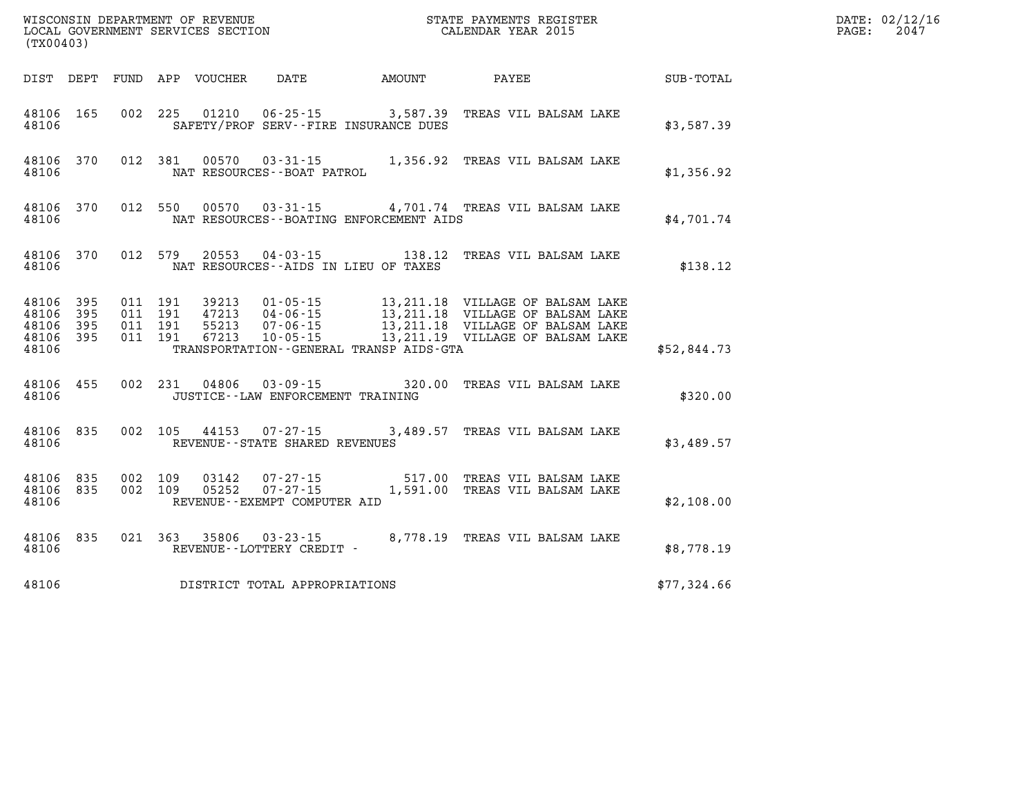| (TX00403)          |                                     |                    |                |                                       |                                         | WISCONSIN DEPARTMENT OF REVENUE<br>LOCAL GOVERNMENT SERVICES SECTION THE STATE PAYMENTS REGIST<br>STATE PAYMENTS REGISTER                                                                               |             | DATE: 02/12/16<br>$\mathtt{PAGE:}$<br>2047 |
|--------------------|-------------------------------------|--------------------|----------------|---------------------------------------|-----------------------------------------|---------------------------------------------------------------------------------------------------------------------------------------------------------------------------------------------------------|-------------|--------------------------------------------|
|                    |                                     |                    |                |                                       |                                         | DIST DEPT FUND APP VOUCHER DATE AMOUNT PAYEE                                                                                                                                                            | SUB-TOTAL   |                                            |
| 48106              |                                     |                    |                | SAFETY/PROF SERV--FIRE INSURANCE DUES |                                         | 48106 165 002 225 01210 06-25-15 3,587.39 TREAS VIL BALSAM LAKE                                                                                                                                         | \$3,587.39  |                                            |
| 48106              |                                     |                    |                | NAT RESOURCES--BOAT PATROL            |                                         | 48106 370 012 381 00570 03-31-15 1,356.92 TREAS VIL BALSAM LAKE                                                                                                                                         | \$1,356.92  |                                            |
| 48106              |                                     |                    |                |                                       | NAT RESOURCES--BOATING ENFORCEMENT AIDS | 48106 370 012 550 00570 03-31-15 4,701.74 TREAS VIL BALSAM LAKE                                                                                                                                         | \$4,701.74  |                                            |
| 48106              |                                     | 48106 370 012 579  |                | NAT RESOURCES--AIDS IN LIEU OF TAXES  |                                         | 20553  04-03-15   138.12  TREAS VIL BALSAM LAKE                                                                                                                                                         | \$138.12    |                                            |
| 48106 395<br>48106 | 48106 395<br>48106 395<br>48106 395 |                    |                |                                       | TRANSPORTATION--GENERAL TRANSP AIDS-GTA |                                                                                                                                                                                                         | \$52,844.73 |                                            |
| 48106              |                                     |                    |                | JUSTICE--LAW ENFORCEMENT TRAINING     |                                         | 48106 455 002 231 04806 03-09-15 320.00 TREAS VIL BALSAM LAKE                                                                                                                                           | \$320.00    |                                            |
| 48106              | 48106 835                           |                    |                | REVENUE--STATE SHARED REVENUES        |                                         | 002 105 44153 07-27-15 3,489.57 TREAS VIL BALSAM LAKE                                                                                                                                                   | \$3,489.57  |                                            |
| 48106 835<br>48106 | 48106 835                           | 002 109<br>002 109 | 03142<br>05252 | REVENUE--EXEMPT COMPUTER AID          |                                         | 07-27-15 517.00 TREAS VIL BALSAM LAKE<br>07-27-15 1,591.00 TREAS VIL BALSAM LAKE                                                                                                                        | \$2,108.00  |                                            |
|                    |                                     |                    |                |                                       |                                         | $\begin{tabular}{lllllll} 48106 & 835 & 021 & 363 & 35806 & 03-23-15 & & 8,778.19 & \texttt{TREAS} & \texttt{VIL BALSAM LAKE} \\ 48106 & & \texttt{REVENUE--LOTTERY CREDIT -} & & & & \\ \end{tabular}$ | \$8,778.19  |                                            |
| 48106              |                                     |                    |                | DISTRICT TOTAL APPROPRIATIONS         |                                         |                                                                                                                                                                                                         | \$77,324.66 |                                            |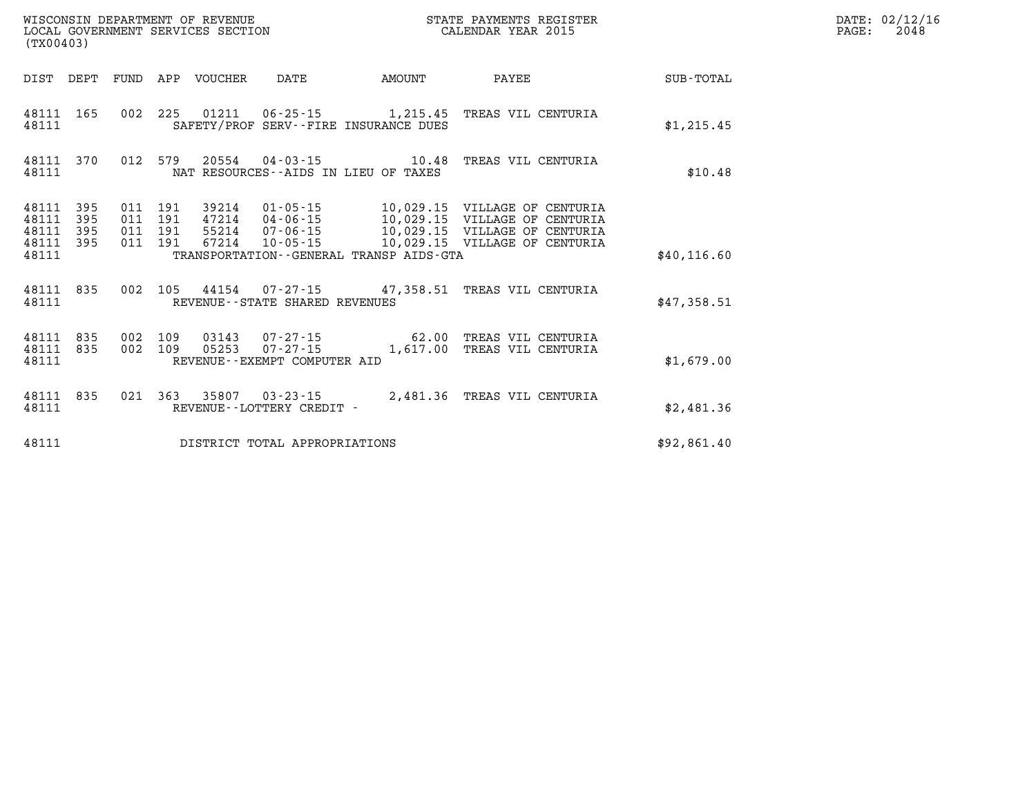| (TX00403)                                 |                          |                          |                          | WISCONSIN DEPARTMENT OF REVENUE<br>LOCAL GOVERNMENT SERVICES SECTION |                                                                                                           |                   | STATE PAYMENTS REGISTER<br>CALENDAR YEAR 2015                                                                                    |                  |
|-------------------------------------------|--------------------------|--------------------------|--------------------------|----------------------------------------------------------------------|-----------------------------------------------------------------------------------------------------------|-------------------|----------------------------------------------------------------------------------------------------------------------------------|------------------|
| DIST                                      | DEPT                     | FUND                     | APP                      | VOUCHER                                                              | DATE                                                                                                      | AMOUNT            | PAYEE                                                                                                                            | <b>SUB-TOTAL</b> |
| 48111<br>48111                            | 165                      | 002                      | 225                      |                                                                      | SAFETY/PROF SERV--FIRE INSURANCE DUES                                                                     | 1,215.45          | TREAS VIL CENTURIA                                                                                                               | \$1,215.45       |
| 48111<br>48111                            | 370                      | 012                      | 579                      |                                                                      | 20554 04-03-15<br>NAT RESOURCES--AIDS IN LIEU OF TAXES                                                    | 10.48             | TREAS VIL CENTURIA                                                                                                               | \$10.48          |
| 48111<br>48111<br>48111<br>48111<br>48111 | 395<br>395<br>395<br>395 | 011<br>011<br>011<br>011 | 191<br>191<br>191<br>191 | 39214<br>47214<br>55214<br>67214                                     | $01 - 05 - 15$<br>$04 - 06 - 15$<br>07-06-15<br>$10 - 05 - 15$<br>TRANSPORTATION--GENERAL TRANSP AIDS-GTA |                   | 10,029.15 VILLAGE OF CENTURIA<br>10,029.15 VILLAGE OF CENTURIA<br>10,029.15 VILLAGE OF CENTURIA<br>10,029.15 VILLAGE OF CENTURIA | \$40, 116.60     |
| 48111<br>48111                            | 835                      | 002                      | 105                      |                                                                      | 44154 07-27-15 47,358.51<br>REVENUE - - STATE SHARED REVENUES                                             |                   | TREAS VIL CENTURIA                                                                                                               | \$47,358.51      |
| 48111<br>48111<br>48111                   | 835<br>835               | 002<br>002               | 109<br>109               | 03143<br>05253                                                       | 07-27-15<br>$07 - 27 - 15$<br>REVENUE--EXEMPT COMPUTER AID                                                | 62.00<br>1,617.00 | TREAS VIL CENTURIA<br>TREAS VIL CENTURIA                                                                                         | \$1,679.00       |
| 48111<br>48111                            | 835                      | 021                      | 363                      | 35807                                                                | $03 - 23 - 15$<br>REVENUE--LOTTERY CREDIT -                                                               | 2,481.36          | TREAS VIL CENTURIA                                                                                                               | \$2,481.36       |
| 48111                                     |                          |                          |                          |                                                                      | DISTRICT TOTAL APPROPRIATIONS                                                                             |                   |                                                                                                                                  | \$92,861.40      |

**DATE: 02/12/16<br>PAGE: 2048**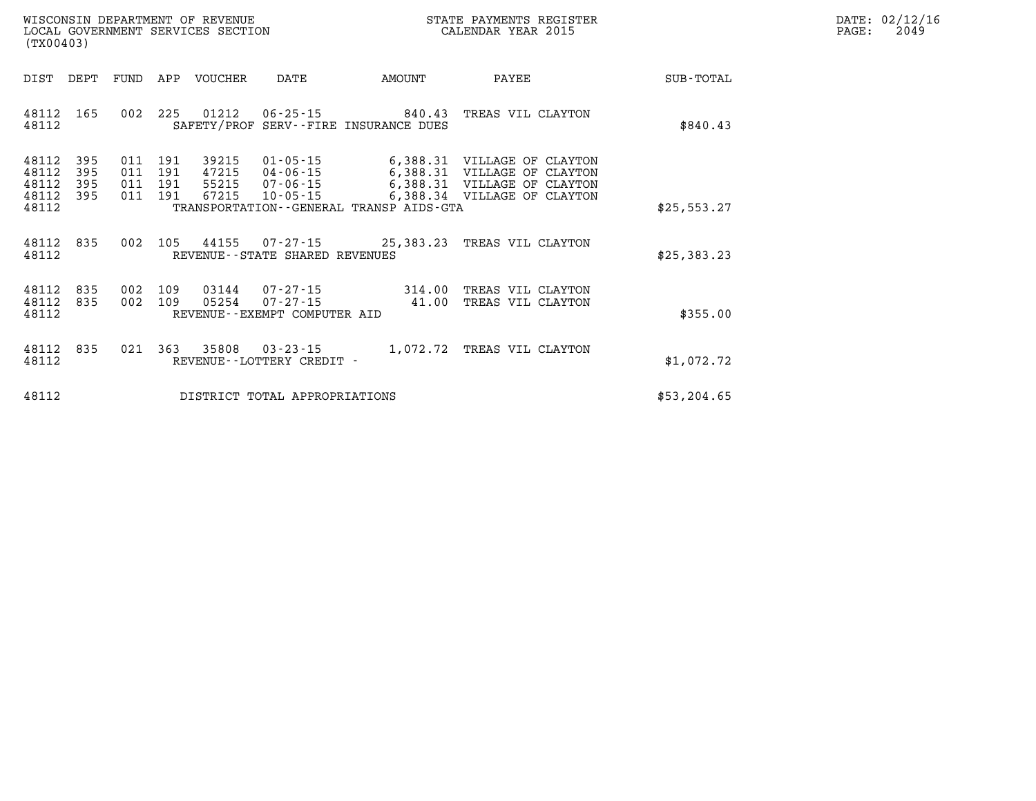| WISCONSIN DEPARTMENT OF REVENUE      | PAYMENTS REGISTER<br>3TATE | DATE: | 02/12/16 |
|--------------------------------------|----------------------------|-------|----------|
| GOVERNMENT SERVICES SECTION<br>LOCAL | CALENDAR YEAR 2015         | PAGE  | 2049     |

| (TX00403)               |                   |                |                | LOCAL GOVERNMENT SERVICES SECTION |                                                        |                                         | CALENDAR YEAR 2015                                                                        |             | PAGE: | 2049 |
|-------------------------|-------------------|----------------|----------------|-----------------------------------|--------------------------------------------------------|-----------------------------------------|-------------------------------------------------------------------------------------------|-------------|-------|------|
| DIST                    | DEPT              | FUND           |                | APP VOUCHER                       | DATE                                                   | AMOUNT                                  | PAYEE                                                                                     | SUB-TOTAL   |       |      |
| 48112<br>48112          | 165               |                | 002 225        |                                   |                                                        | SAFETY/PROF SERV--FIRE INSURANCE DUES   | 01212  06-25-15  840.43  TREAS VIL CLAYTON                                                | \$840.43    |       |      |
| 48112<br>48112<br>48112 | 395<br>395<br>395 | 011<br>011 191 | 191<br>011 191 | 39215<br>47215                    | 01-05-15<br>04-06-15<br>55215 07-06-15                 |                                         | 6,388.31 VILLAGE OF CLAYTON<br>6,388.31 VILLAGE OF CLAYTON<br>6,388.31 VILLAGE OF CLAYTON |             |       |      |
| 48112<br>48112          | 395               |                | 011 191        | 67215                             | $10 - 05 - 15$                                         | TRANSPORTATION--GENERAL TRANSP AIDS-GTA | 6,388.34 VILLAGE OF CLAYTON                                                               | \$25,553.27 |       |      |
| 48112<br>48112          | 835               |                |                |                                   | REVENUE--STATE SHARED REVENUES                         |                                         | 002 105 44155 07-27-15 25,383.23 TREAS VIL CLAYTON                                        | \$25,383.23 |       |      |
| 48112<br>48112<br>48112 | 835<br>835        | 002            | 002 109<br>109 | 03144<br>05254                    | 07-27-15<br>07-27-15<br>REVENUE--EXEMPT COMPUTER AID   | 314.00<br>41.00                         | TREAS VIL CLAYTON<br>TREAS VIL CLAYTON                                                    | \$355.00    |       |      |
| 48112<br>48112          | 835               |                |                |                                   | 021 363 35808 03-23-15<br>REVENUE - - LOTTERY CREDIT - |                                         | 1,072.72 TREAS VIL CLAYTON                                                                | \$1,072.72  |       |      |
| 48112                   |                   |                |                |                                   | DISTRICT TOTAL APPROPRIATIONS                          |                                         |                                                                                           | \$53,204.65 |       |      |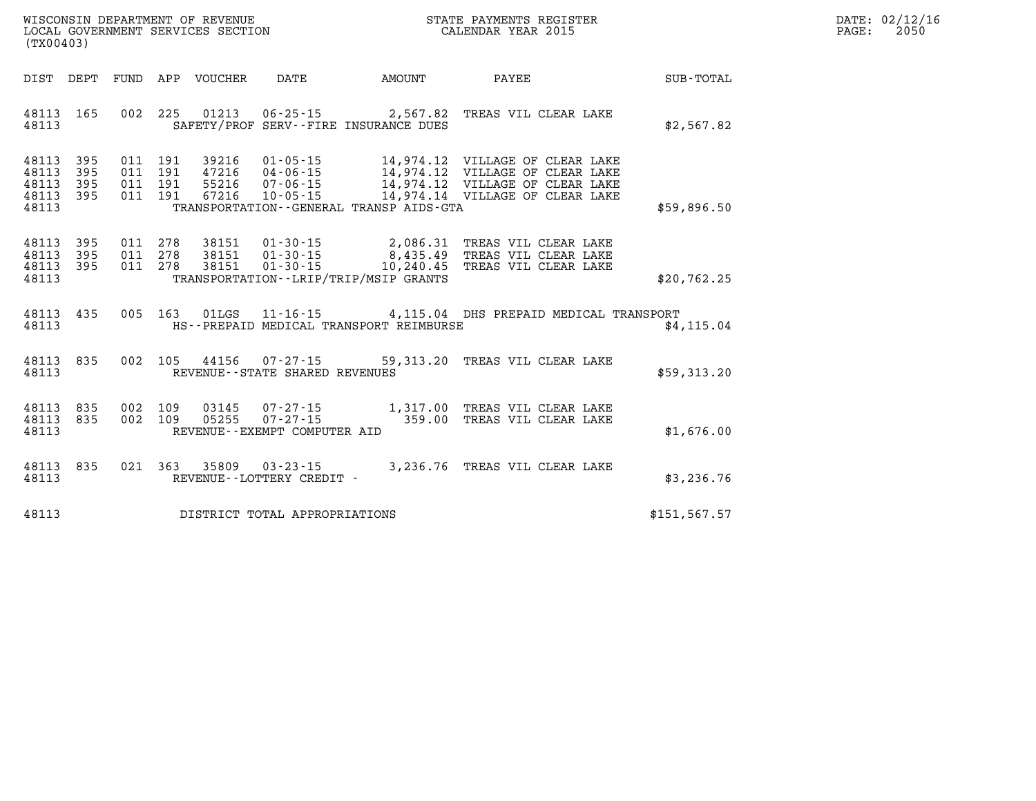| $\mathtt{DATE}$ : | 02/12/16 |
|-------------------|----------|
| $\texttt{PAGE:}$  | 2050     |

| (TX00403)                                 |                          |            |                                  |                                  |                                                                      |                                                                  |                                                                                                                                          |               |
|-------------------------------------------|--------------------------|------------|----------------------------------|----------------------------------|----------------------------------------------------------------------|------------------------------------------------------------------|------------------------------------------------------------------------------------------------------------------------------------------|---------------|
| DIST                                      | DEPT                     | FUND       | APP                              | VOUCHER                          | DATE                                                                 | AMOUNT                                                           | <b>PAYEE</b>                                                                                                                             | SUB-TOTAL     |
| 48113<br>48113                            | 165                      | 002        | 225                              | 01213                            |                                                                      | $06 - 25 - 15$ 2,567.82<br>SAFETY/PROF SERV--FIRE INSURANCE DUES | TREAS VIL CLEAR LAKE                                                                                                                     | \$2,567.82    |
| 48113<br>48113<br>48113<br>48113<br>48113 | 395<br>395<br>395<br>395 | 011<br>011 | 011 191<br>191<br>011 191<br>191 | 39216<br>47216<br>55216<br>67216 | $01 - 05 - 15$<br>$04 - 06 - 15$<br>$07 - 06 - 15$<br>$10 - 05 - 15$ | TRANSPORTATION - - GENERAL TRANSP AIDS - GTA                     | 14,974.12 VILLAGE OF CLEAR LAKE<br>14,974.12 VILLAGE OF CLEAR LAKE<br>14,974.12 VILLAGE OF CLEAR LAKE<br>14,974.14 VILLAGE OF CLEAR LAKE | \$59,896.50   |
| 48113<br>48113<br>48113<br>48113          | 395<br>395<br>395        | 011        | 011 278<br>278<br>011 278        | 38151<br>38151                   | 38151  01-30-15<br>$01 - 30 - 15$                                    | TRANSPORTATION - - LRIP/TRIP/MSIP GRANTS                         | 01-30-15 2,086.31 TREAS VIL CLEAR LAKE<br>8,435.49 TREAS VIL CLEAR LAKE<br>10,240.45 TREAS VIL CLEAR LAKE                                | \$20,762.25   |
| 48113<br>48113                            | 435                      | 005        | 163                              | 01LGS                            |                                                                      | HS--PREPAID MEDICAL TRANSPORT REIMBURSE                          | 11-16-15 4,115.04 DHS PREPAID MEDICAL TRANSPORT                                                                                          | \$4.115.04    |
| 48113<br>48113                            | 835                      | 002        | 105                              | 44156                            | $07 - 27 - 15$<br>REVENUE - - STATE SHARED REVENUES                  |                                                                  | 59,313.20 TREAS VIL CLEAR LAKE                                                                                                           | \$59,313.20   |
| 48113<br>48113<br>48113                   | 835<br>835               | 002        | 002 109<br>109                   | 03145<br>05255                   | REVENUE--EXEMPT COMPUTER AID                                         |                                                                  | 07-27-15 1,317.00 TREAS VIL CLEAR LAKE<br>07-27-15 359.00 TREAS VIL CLEAR LAKE                                                           | \$1,676.00    |
| 48113<br>48113                            | 835                      | 021        | 363                              | 35809                            | $03 - 23 - 15$<br>REVENUE - - LOTTERY CREDIT -                       |                                                                  | 3,236.76 TREAS VIL CLEAR LAKE                                                                                                            | \$3,236.76    |
| 48113                                     |                          |            |                                  |                                  | DISTRICT TOTAL APPROPRIATIONS                                        |                                                                  |                                                                                                                                          | \$151, 567.57 |

WISCONSIN DEPARTMENT OF REVENUE **STATE PAYMENTS REGISTER**<br>LOCAL GOVERNMENT SERVICES SECTION

LOCAL GOVERNMENT SERVICES SECTION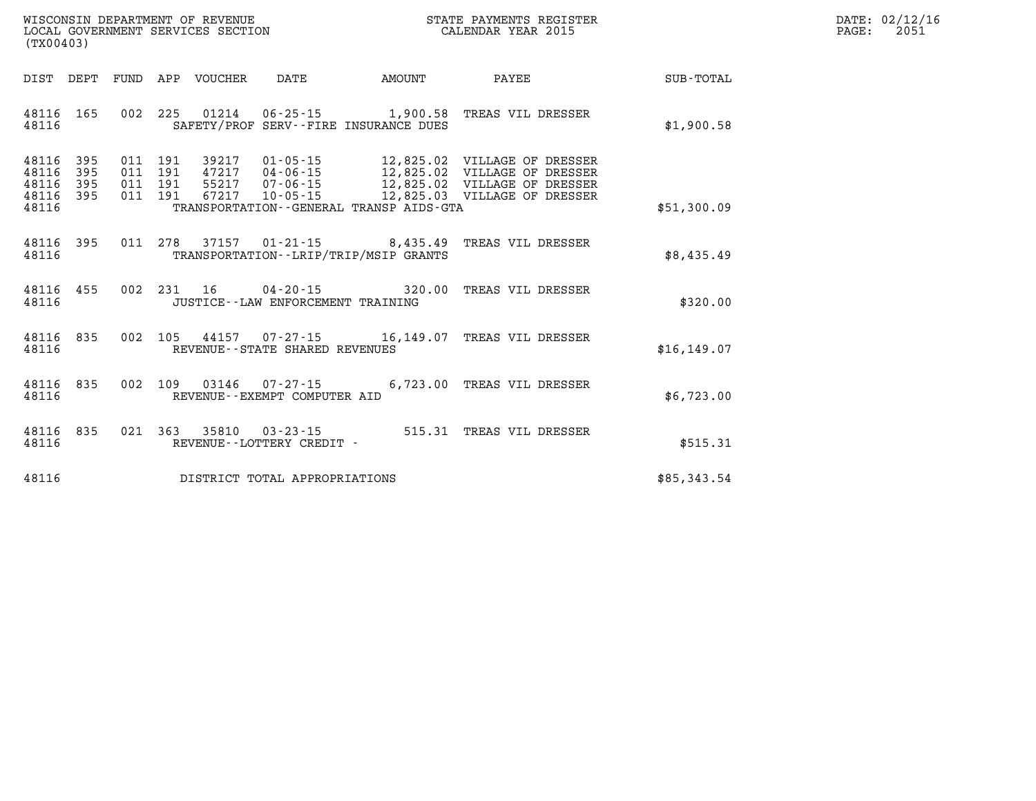| WISCONSIN DEPARTMENT OF REVENUE   | R PAYMENTS REGISTER<br>STATE | 02/12/16<br>$\mathtt{DATE}$ : |
|-----------------------------------|------------------------------|-------------------------------|
| LOCAL GOVERNMENT SERVICES SECTION | CALENDAR YEAR 2015           | 2051<br>PAGE                  |

| (TX00403)                                 |                          |                          |                                                     |                                                                                                           |                         |                                                                                                                              |              |
|-------------------------------------------|--------------------------|--------------------------|-----------------------------------------------------|-----------------------------------------------------------------------------------------------------------|-------------------------|------------------------------------------------------------------------------------------------------------------------------|--------------|
| DIST                                      | DEPT                     | FUND                     | APP<br>VOUCHER                                      | DATE                                                                                                      | AMOUNT                  | PAYEE                                                                                                                        | SUB-TOTAL    |
| 48116<br>48116                            | 165                      | 002                      | 225<br>01214                                        | SAFETY/PROF SERV--FIRE INSURANCE DUES                                                                     | $06 - 25 - 15$ 1,900.58 | TREAS VIL DRESSER                                                                                                            | \$1,900.58   |
| 48116<br>48116<br>48116<br>48116<br>48116 | 395<br>395<br>395<br>395 | 011<br>011<br>011<br>011 | 191<br>39217<br>191<br>191<br>55217<br>67217<br>191 | $01 - 05 - 15$<br>47217 04-06-15<br>07-06-15<br>$10 - 05 - 15$<br>TRANSPORTATION--GENERAL TRANSP AIDS-GTA |                         | 12,825.02 VILLAGE OF DRESSER<br>12,825.02 VILLAGE OF DRESSER<br>12,825.02 VILLAGE OF DRESSER<br>12,825.03 VILLAGE OF DRESSER | \$51,300.09  |
| 48116<br>48116                            | 395                      | 011                      | 278<br>37157                                        | TRANSPORTATION - - LRIP/TRIP/MSIP GRANTS                                                                  | $01 - 21 - 15$ 8,435.49 | TREAS VIL DRESSER                                                                                                            | \$8,435.49   |
| 48116<br>48116                            | 455                      | 002                      | 231<br>16                                           | $04 - 20 - 15$<br>JUSTICE - - LAW ENFORCEMENT TRAINING                                                    | 320.00                  | TREAS VIL DRESSER                                                                                                            | \$320.00     |
| 48116<br>48116                            | 835                      | 002                      | 105                                                 | 44157 07-27-15 16,149.07<br>REVENUE - - STATE SHARED REVENUES                                             |                         | TREAS VIL DRESSER                                                                                                            | \$16, 149.07 |
| 48116<br>48116                            | 835                      | 002                      | 109<br>03146                                        | $07 - 27 - 15$<br>REVENUE - - EXEMPT COMPUTER AID                                                         | 6,723.00                | TREAS VIL DRESSER                                                                                                            | \$6,723.00   |
| 48116<br>48116                            | 835                      | 021                      | 363<br>35810                                        | $03 - 23 - 15$<br>REVENUE - - LOTTERY CREDIT -                                                            | 515.31                  | TREAS VIL DRESSER                                                                                                            | \$515.31     |
| 48116                                     |                          |                          |                                                     | DISTRICT TOTAL APPROPRIATIONS                                                                             |                         |                                                                                                                              | \$85,343.54  |

WISCONSIN DEPARTMENT OF REVENUE **STATE PAYMENTS REGISTER** LOCAL GOVERNMENT SERVICES SECTION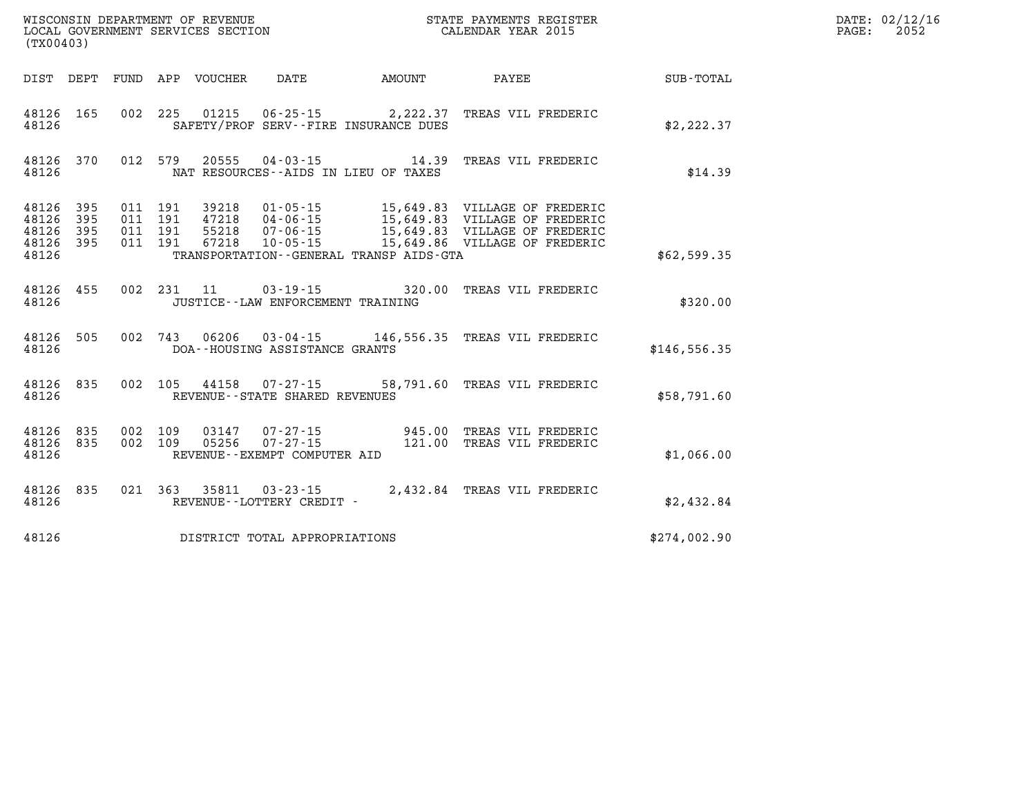| (TX00403)                                    |           |                                |                                     |                                              | WISCONSIN DEPARTMENT OF REVENUE<br>LOCAL GOVERNMENT SERVICES SECTION<br>CALENDAR YEAR 2015                                                                                                                                                               |              | DATE: 02/12/16<br>PAGE: 2052 |
|----------------------------------------------|-----------|--------------------------------|-------------------------------------|----------------------------------------------|----------------------------------------------------------------------------------------------------------------------------------------------------------------------------------------------------------------------------------------------------------|--------------|------------------------------|
|                                              |           |                                |                                     |                                              | DIST DEPT FUND APP VOUCHER DATE AMOUNT PAYEE TOTAL                                                                                                                                                                                                       |              |                              |
| 48126                                        |           |                                |                                     | SAFETY/PROF SERV--FIRE INSURANCE DUES        | 48126 165 002 225 01215 06-25-15 2,222.37 TREAS VIL FREDERIC                                                                                                                                                                                             | \$2,222.37   |                              |
| 48126                                        |           |                                |                                     | NAT RESOURCES -- AIDS IN LIEU OF TAXES       | 48126 370 012 579 20555 04-03-15 14.39 TREAS VIL FREDERIC                                                                                                                                                                                                | \$14.39      |                              |
| 48126 395<br>48126<br>48126 395<br>48126 395 | 395       |                                |                                     |                                              |                                                                                                                                                                                                                                                          |              |                              |
| 48126                                        |           |                                |                                     | TRANSPORTATION - - GENERAL TRANSP AIDS - GTA |                                                                                                                                                                                                                                                          | \$62,599.35  |                              |
| 48126                                        |           |                                | JUSTICE -- LAW ENFORCEMENT TRAINING |                                              | 48126 455 002 231 11 03-19-15 320.00 TREAS VIL FREDERIC                                                                                                                                                                                                  | \$320.00     |                              |
| 48126                                        | 48126 505 | DOA--HOUSING ASSISTANCE GRANTS |                                     |                                              | 002 743 06206 03-04-15 146,556.35 TREAS VIL FREDERIC                                                                                                                                                                                                     | \$146,556.35 |                              |
| 48126                                        |           | REVENUE--STATE SHARED REVENUES |                                     |                                              | 48126 835 002 105 44158 07-27-15 58,791.60 TREAS VIL FREDERIC                                                                                                                                                                                            | \$58,791.60  |                              |
| 48126                                        |           | REVENUE--EXEMPT COMPUTER AID   |                                     |                                              | $\begin{array}{cccc} 48126 & 835 & 002 & 109 & 03147 & 07\text{-}27\text{-}15 & & & 945.00 & \text{TREAS VII} \text{ FREDERIC} \\ 48126 & 835 & 002 & 109 & 05256 & 07\text{-}27\text{-}15 & & & 121.00 & \text{TREAS VII} \text{ FREDERIC} \end{array}$ | \$1,066.00   |                              |
| 48126                                        | 48126 835 |                                |                                     |                                              |                                                                                                                                                                                                                                                          | \$2,432.84   |                              |
| 48126                                        |           | DISTRICT TOTAL APPROPRIATIONS  |                                     |                                              |                                                                                                                                                                                                                                                          | \$274,002.90 |                              |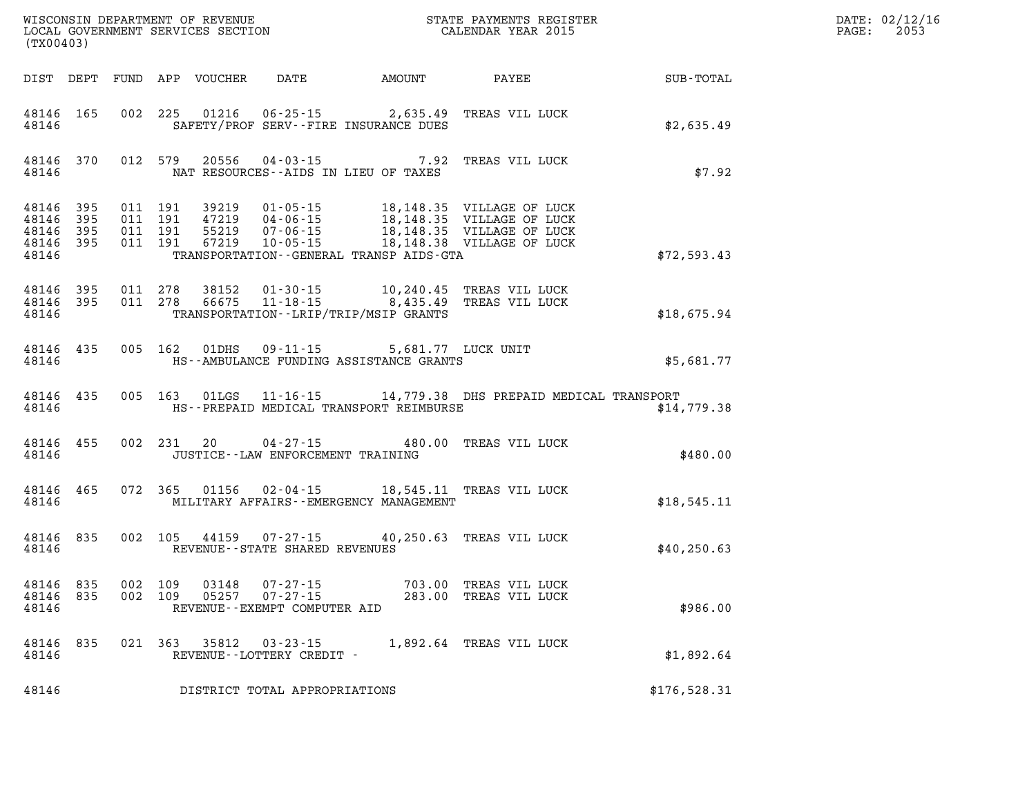| (TX00403)                                         |            |                                          |            | WISCONSIN DEPARTMENT OF REVENUE<br>LOCAL GOVERNMENT SERVICES SECTION |                                                  |                                                                                         | STATE PAYMENTS REGISTER<br>CALENDAR YEAR 2015                  |              | DATE: 02/12/16<br>$\mathtt{PAGE:}$<br>2053 |
|---------------------------------------------------|------------|------------------------------------------|------------|----------------------------------------------------------------------|--------------------------------------------------|-----------------------------------------------------------------------------------------|----------------------------------------------------------------|--------------|--------------------------------------------|
|                                                   |            |                                          |            | DIST DEPT FUND APP VOUCHER                                           |                                                  | DATE AMOUNT PAYEE                                                                       |                                                                | SUB-TOTAL    |                                            |
| 48146                                             | 48146 165  |                                          |            |                                                                      |                                                  | 002 225 01216 06-25-15 2,635.49<br>SAFETY/PROF SERV--FIRE INSURANCE DUES                | TREAS VIL LUCK                                                 | \$2,635.49   |                                            |
| 48146 370<br>48146                                |            |                                          | 012 579    |                                                                      |                                                  | 20556 04-03-15 7.92<br>NAT RESOURCES--AIDS IN LIEU OF TAXES                             | TREAS VIL LUCK                                                 | \$7.92       |                                            |
| 48146 395<br>48146<br>48146<br>48146 395<br>48146 | 395<br>395 | 011 191<br>011 191<br>011 191<br>011 191 |            | 39219<br>47219<br>55219<br>67219                                     |                                                  | TRANSPORTATION - - GENERAL TRANSP AIDS - GTA                                            |                                                                | \$72,593.43  |                                            |
| 48146<br>48146 395<br>48146                       | 395        | 011 278<br>011 278                       |            | 38152<br>66675                                                       |                                                  | 01-30-15 10,240.45<br>11-18-15 8,435.49<br>TRANSPORTATION - - LRIP/TRIP/MSIP GRANTS     | TREAS VIL LUCK<br>TREAS VIL LUCK                               | \$18,675.94  |                                            |
| 48146                                             | 48146 435  |                                          |            |                                                                      |                                                  | 005 162 01DHS 09-11-15 5,681.77 LUCK UNIT<br>HS--AMBULANCE FUNDING ASSISTANCE GRANTS    |                                                                | \$5,681.77   |                                            |
| 48146                                             | 48146 435  |                                          |            |                                                                      |                                                  | HS--PREPAID MEDICAL TRANSPORT REIMBURSE                                                 | 005 163 01LGS 11-16-15 14,779.38 DHS PREPAID MEDICAL TRANSPORT | \$14,779.38  |                                            |
| 48146                                             | 48146 455  |                                          | 002 231 20 |                                                                      |                                                  | 04-27-15 480.00 TREAS VIL LUCK<br>JUSTICE - - LAW ENFORCEMENT TRAINING                  |                                                                | \$480.00     |                                            |
| 48146 465<br>48146                                |            |                                          | 072 365    |                                                                      |                                                  | 01156  02-04-15  18,545.11  TREAS VIL LUCK<br>MILITARY AFFAIRS - - EMERGENCY MANAGEMENT |                                                                | \$18,545.11  |                                            |
| 48146 835<br>48146                                |            |                                          | 002 105    |                                                                      | 44159 07-27-15<br>REVENUE--STATE SHARED REVENUES |                                                                                         | 40,250.63 TREAS VIL LUCK                                       | \$40, 250.63 |                                            |
| 48146<br>48146 835<br>48146                       | 835        | 002 109<br>002 109                       |            | 03148<br>05257                                                       | $07 - 27 - 15$<br>REVENUE--EXEMPT COMPUTER AID   | 07-27-15 703.00 TREAS VIL LUCK                                                          | 283.00 TREAS VIL LUCK                                          | \$986.00     |                                            |
| 48146 835<br>48146                                |            |                                          | 021 363    |                                                                      | 35812 03-23-15<br>REVENUE--LOTTERY CREDIT -      | 1,892.64 TREAS VIL LUCK                                                                 |                                                                | \$1,892.64   |                                            |
| 48146                                             |            |                                          |            |                                                                      | DISTRICT TOTAL APPROPRIATIONS                    |                                                                                         |                                                                | \$176,528.31 |                                            |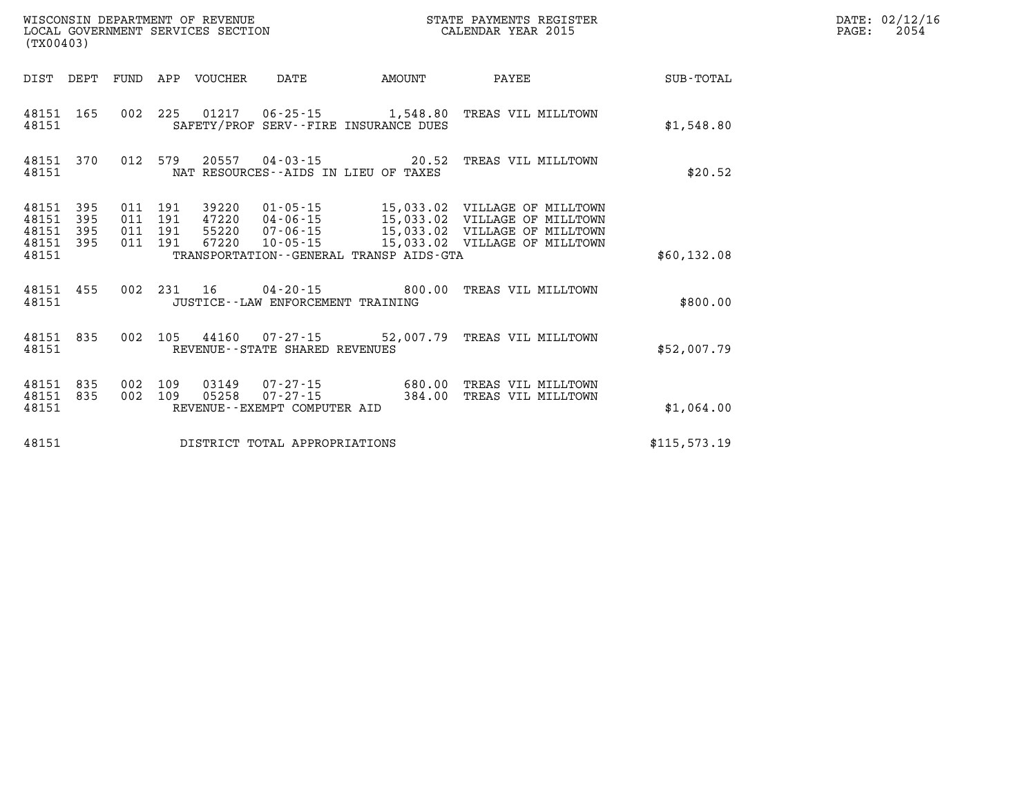| (TX00403)                                     |                   |     |                                      | LOCAL GOVERNMENT SERVICES SECTION |                                                          |                                         | CALENDAR YEAR 2015                                                                                                                                          |               | PAGE: | 2054 |
|-----------------------------------------------|-------------------|-----|--------------------------------------|-----------------------------------|----------------------------------------------------------|-----------------------------------------|-------------------------------------------------------------------------------------------------------------------------------------------------------------|---------------|-------|------|
|                                               | DIST DEPT         |     |                                      | FUND APP VOUCHER                  | DATE                                                     | AMOUNT                                  | PAYEE                                                                                                                                                       | SUB-TOTAL     |       |      |
| 48151                                         | 48151 165         |     |                                      |                                   |                                                          | SAFETY/PROF SERV--FIRE INSURANCE DUES   | 002 225 01217 06-25-15 1,548.80 TREAS VIL MILLTOWN                                                                                                          | \$1,548.80    |       |      |
| 48151 370<br>48151                            |                   |     |                                      |                                   |                                                          | NAT RESOURCES--AIDS IN LIEU OF TAXES    | 012 579 20557 04-03-15 20.52 TREAS VIL MILLTOWN                                                                                                             | \$20.52       |       |      |
| 48151<br>48151<br>48151<br>48151 395<br>48151 | 395<br>395<br>395 | 011 | 191<br>011 191<br>011 191<br>011 191 | 39220<br>47220<br>55220<br>67220  | 10-05-15                                                 | TRANSPORTATION--GENERAL TRANSP AIDS-GTA | 01-05-15 15,033.02 VILLAGE OF MILLTOWN<br>04-06-15 15,033.02 VILLAGE OF MILLTOWN<br>07-06-15 15,033.02 VILLAGE OF MILLTOWN<br>15,033.02 VILLAGE OF MILLTOWN | \$60,132.08   |       |      |
| 48151 455<br>48151                            |                   | 002 | 231 16                               |                                   | JUSTICE - - LAW ENFORCEMENT TRAINING                     |                                         | 04-20-15  800.00 TREAS VIL MILLTOWN                                                                                                                         | \$800.00      |       |      |
| 48151 835<br>48151                            |                   |     |                                      |                                   | 002 105 44160 07-27-15<br>REVENUE--STATE SHARED REVENUES |                                         | 52,007.79 TREAS VIL MILLTOWN                                                                                                                                | \$52,007.79   |       |      |
| 48151<br>48151<br>48151                       | 835<br>835        |     | 002 109<br>002 109                   | 03149<br>05258                    | $07 - 27 - 15$<br>REVENUE--EXEMPT COMPUTER AID           | $07 - 27 - 15$ 680.00<br>384.00         | TREAS VIL MILLTOWN<br>TREAS VIL MILLTOWN                                                                                                                    | \$1,064.00    |       |      |
| 48151                                         |                   |     |                                      |                                   | DISTRICT TOTAL APPROPRIATIONS                            |                                         |                                                                                                                                                             | \$115, 573.19 |       |      |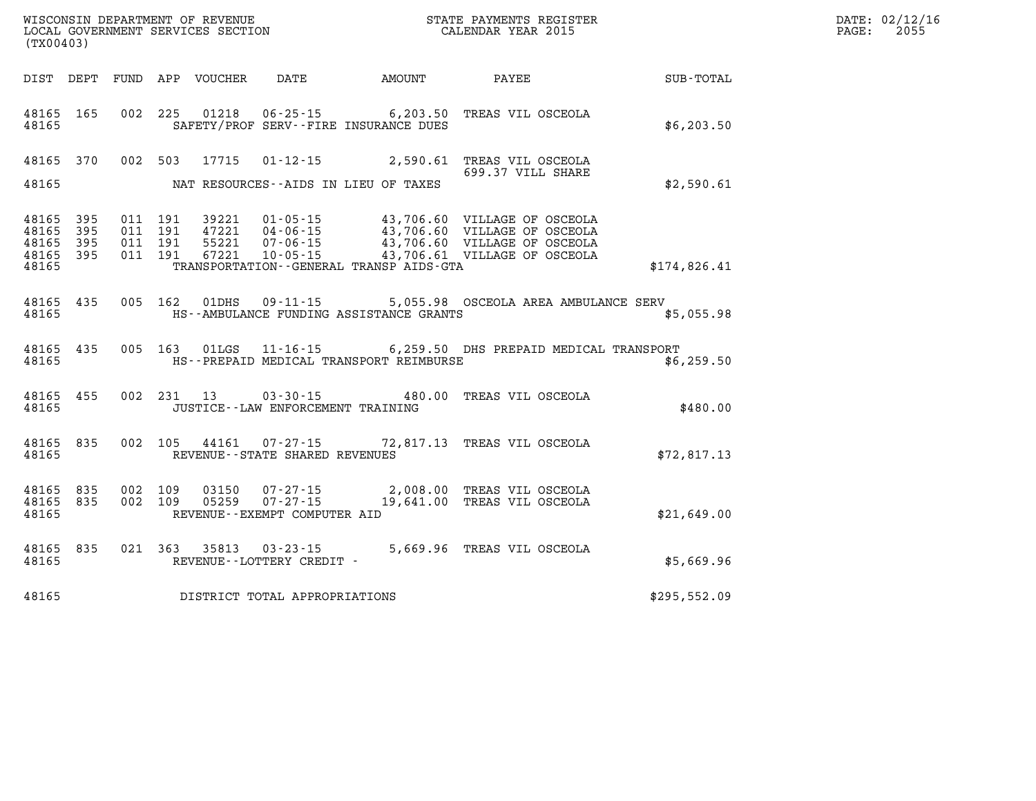| DATE: | 02/12/16 |
|-------|----------|
| PAGE: | 2055     |

| WISCONSIN DEPARTMENT OF REVENUE<br>LOCAL GOVERNMENT SERVICES SECTION<br>(TX00403) |                          |                          |                          |                                  |                                                                |                                                                   | STATE PAYMENTS REGISTER<br>CALENDAR YEAR 2015                                                                                |              |
|-----------------------------------------------------------------------------------|--------------------------|--------------------------|--------------------------|----------------------------------|----------------------------------------------------------------|-------------------------------------------------------------------|------------------------------------------------------------------------------------------------------------------------------|--------------|
| DIST                                                                              | DEPT                     | <b>FUND</b>              | APP                      | VOUCHER                          | DATE                                                           | AMOUNT                                                            | PAYEE                                                                                                                        | SUB-TOTAL    |
| 48165<br>48165                                                                    | 165                      | 002                      | 225                      | 01218                            |                                                                | $06 - 25 - 15$ 6, 203.50<br>SAFETY/PROF SERV--FIRE INSURANCE DUES | TREAS VIL OSCEOLA                                                                                                            | \$6, 203.50  |
| 48165                                                                             | 370                      | 002                      | 503                      | 17715                            | $01 - 12 - 15$                                                 | 2,590.61                                                          | TREAS VIL OSCEOLA<br>699.37 VILL SHARE                                                                                       |              |
| 48165                                                                             |                          |                          |                          |                                  |                                                                | NAT RESOURCES--AIDS IN LIEU OF TAXES                              |                                                                                                                              | \$2,590.61   |
| 48165<br>48165<br>48165<br>48165<br>48165                                         | 395<br>395<br>395<br>395 | 011<br>011<br>011<br>011 | 191<br>191<br>191<br>191 | 39221<br>47221<br>55221<br>67221 | $01 - 05 - 15$<br>04-06-15<br>$07 - 06 - 15$<br>$10 - 05 - 15$ | TRANSPORTATION - - GENERAL TRANSP AIDS - GTA                      | 43,706.60 VILLAGE OF OSCEOLA<br>43,706.60 VILLAGE OF OSCEOLA<br>43,706.60 VILLAGE OF OSCEOLA<br>43,706.61 VILLAGE OF OSCEOLA | \$174,826.41 |
| 48165<br>48165                                                                    | 435                      | 005                      | 162                      | 01DHS                            | $09 - 11 - 15$                                                 | HS--AMBULANCE FUNDING ASSISTANCE GRANTS                           | 5,055.98 OSCEOLA AREA AMBULANCE SERV                                                                                         | \$5,055.98   |
| 48165<br>48165                                                                    | 435                      | 005                      | 163                      | 01LGS                            |                                                                | HS--PREPAID MEDICAL TRANSPORT REIMBURSE                           | 11-16-15 6,259.50 DHS PREPAID MEDICAL TRANSPORT                                                                              | \$6,259.50   |
| 48165<br>48165                                                                    | 455                      | 002                      | 231                      | 13                               | $03 - 30 - 15$<br>JUSTICE - - LAW ENFORCEMENT TRAINING         | 480.00                                                            | TREAS VIL OSCEOLA                                                                                                            | \$480.00     |
| 48165<br>48165                                                                    | 835                      | 002                      | 105                      | 44161                            | $07 - 27 - 15$<br>REVENUE--STATE SHARED REVENUES               |                                                                   | 72,817.13 TREAS VIL OSCEOLA                                                                                                  | \$72,817.13  |
| 48165<br>48165<br>48165                                                           | 835<br>835               | 002<br>002               | 109<br>109               | 03150<br>05259                   | $07 - 27 - 15$<br>REVENUE--EXEMPT COMPUTER AID                 | 2,008.00<br>$07 - 27 - 15$ 19,641.00                              | TREAS VIL OSCEOLA<br>TREAS VIL OSCEOLA                                                                                       | \$21,649.00  |
| 48165<br>48165                                                                    | 835                      | 021                      | 363                      | 35813                            | $03 - 23 - 15$<br>REVENUE--LOTTERY CREDIT -                    | 5,669.96                                                          | TREAS VIL OSCEOLA                                                                                                            | \$5,669.96   |
| 48165                                                                             |                          |                          |                          |                                  | DISTRICT TOTAL APPROPRIATIONS                                  |                                                                   |                                                                                                                              | \$295,552.09 |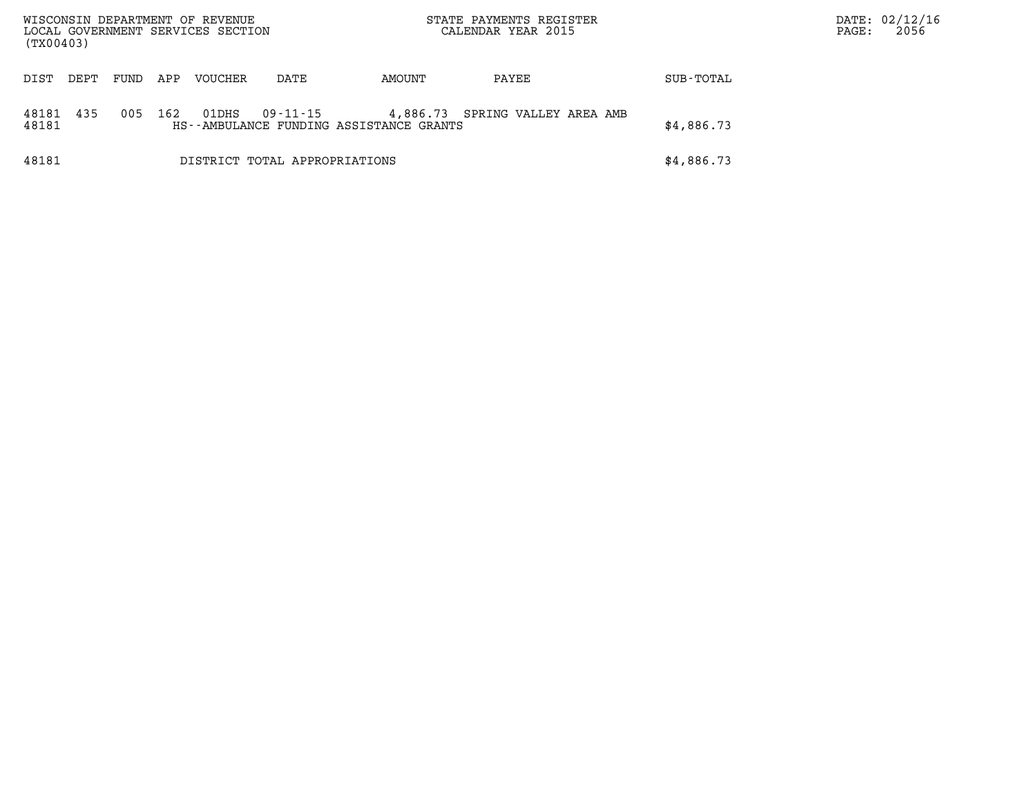| WISCONSIN DEPARTMENT OF REVENUE<br>LOCAL GOVERNMENT SERVICES SECTION<br>(TX00403) |      |      |     |         |                               |                                                     | STATE PAYMENTS REGISTER<br>CALENDAR YEAR 2015 |            | PAGE: | DATE: 02/12/16<br>2056 |
|-----------------------------------------------------------------------------------|------|------|-----|---------|-------------------------------|-----------------------------------------------------|-----------------------------------------------|------------|-------|------------------------|
| DIST                                                                              | DEPT | FUND | APP | VOUCHER | DATE                          | AMOUNT                                              | PAYEE                                         | SUB-TOTAL  |       |                        |
| 48181<br>48181                                                                    | 435  | 005  | 162 | 01DHS   | 09-11-15                      | 4,886.73<br>HS--AMBULANCE FUNDING ASSISTANCE GRANTS | SPRING VALLEY AREA AMB                        | \$4,886.73 |       |                        |
| 48181                                                                             |      |      |     |         | DISTRICT TOTAL APPROPRIATIONS |                                                     |                                               | \$4,886.73 |       |                        |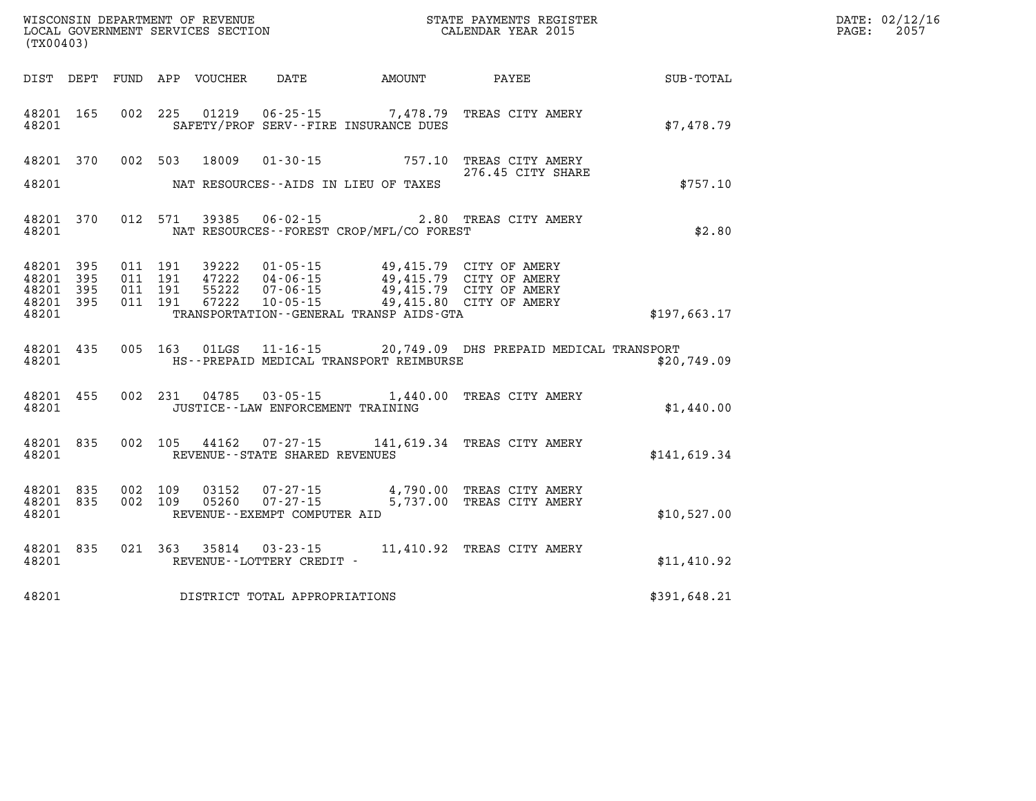| WISCONSIN DEPARTMENT OF REVENUE<br>LOCAL GOVERNMENT SERVICES SECTION<br>CALENDAR YEAR 2015<br>(TX00403)                                                                                                                                                                                                      |                   |              | DATE: 02/12/16<br>$\mathtt{PAGE:}$<br>2057 |
|--------------------------------------------------------------------------------------------------------------------------------------------------------------------------------------------------------------------------------------------------------------------------------------------------------------|-------------------|--------------|--------------------------------------------|
| DIST DEPT FUND APP VOUCHER DATE AMOUNT PAYEE PAYER SUB-TOTAL                                                                                                                                                                                                                                                 |                   |              |                                            |
| 002 225 01219 06-25-15 7,478.79 TREAS CITY AMERY<br>48201 165<br>48201<br>SAFETY/PROF SERV--FIRE INSURANCE DUES                                                                                                                                                                                              |                   | \$7,478.79   |                                            |
| 48201 370 002 503 18009 01-30-15 757.10 TREAS CITY AMERY 767.10<br>48201<br>NAT RESOURCES--AIDS IN LIEU OF TAXES                                                                                                                                                                                             | 276.45 CITY SHARE | \$757.10     |                                            |
| 012 571 39385 06-02-15 2.80 TREAS CITY AMERY<br>48201 370<br>NAT RESOURCES--FOREST CROP/MFL/CO FOREST<br>48201                                                                                                                                                                                               |                   | \$2.80       |                                            |
| 48201 395<br>011 191 39222 01-05-15 49,415.79 CITY OF AMERY<br>011 191 47222 04-06-15 49,415.79 CITY OF AMERY<br>011 191 55222 07-06-15 49,415.79 CITY OF AMERY<br>011 191 67222 10-05-15 49,415.80 CITY OF AMERY<br>48201 395<br>48201 395<br>48201 395<br>48201<br>TRANSPORTATION--GENERAL TRANSP AIDS-GTA |                   | \$197,663.17 |                                            |
| 005 163 01LGS 11-16-15 20,749.09 DHS PREPAID MEDICAL TRANSPORT<br>48201 435<br>HS--PREPAID MEDICAL TRANSPORT REIMBURSE<br>48201                                                                                                                                                                              |                   | \$20,749.09  |                                            |
| 002 231 04785 03-05-15 1,440.00 TREAS CITY AMERY<br>48201 455<br>48201 JUSTICE - LAW ENFORCEMENT TRAINING                                                                                                                                                                                                    |                   | \$1,440.00   |                                            |
| 002 105 44162 07-27-15 141,619.34 TREAS CITY AMERY<br>48201 835<br>48201 REVENUE - - STATE SHARED REVENUES                                                                                                                                                                                                   |                   | \$141,619.34 |                                            |
| 002 109 03152 07-27-15 4,790.00 TREAS CITY AMERY<br>002 109 05260 07-27-15 5,737.00 TREAS CITY AMERY<br>48201 835<br>48201 835<br>48201<br>REVENUE--EXEMPT COMPUTER AID                                                                                                                                      |                   | \$10,527.00  |                                            |
| 48201 835 021 363 35814 03-23-15 11,410.92 TREAS CITY AMERY<br>REVENUE--LOTTERY CREDIT -<br>48201                                                                                                                                                                                                            |                   | \$11,410.92  |                                            |
| 48201 DISTRICT TOTAL APPROPRIATIONS                                                                                                                                                                                                                                                                          |                   | \$391,648.21 |                                            |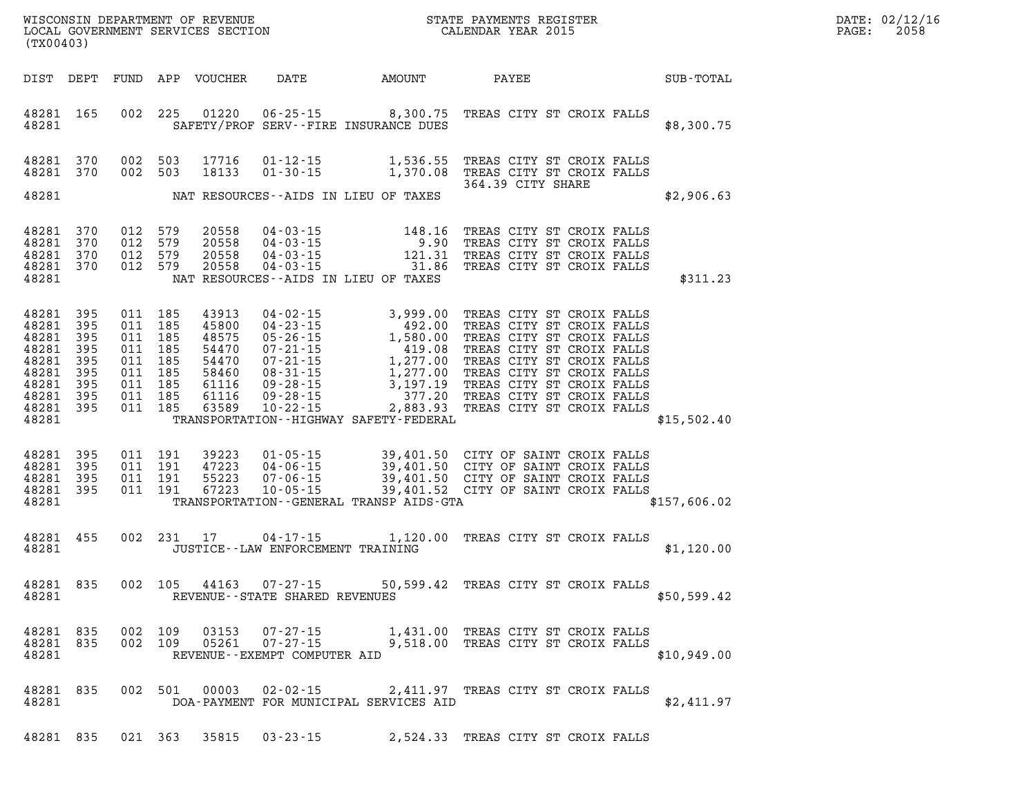| $\mathtt{DATE}$ : | 02/12/16 |
|-------------------|----------|
| PAGE:             | 2058     |

| (TX00403) |                                                                                                                                   |  |                                                                           |         |                                                                               |                                                                    |                                                                                                                                                                                                                                                                                                       |                                     |                            |  |  |
|-----------|-----------------------------------------------------------------------------------------------------------------------------------|--|---------------------------------------------------------------------------|---------|-------------------------------------------------------------------------------|--------------------------------------------------------------------|-------------------------------------------------------------------------------------------------------------------------------------------------------------------------------------------------------------------------------------------------------------------------------------------------------|-------------------------------------|----------------------------|--|--|
|           |                                                                                                                                   |  |                                                                           |         |                                                                               |                                                                    | DIST DEPT FUND APP VOUCHER DATE AMOUNT PAYEE SUB-TOTAL                                                                                                                                                                                                                                                |                                     |                            |  |  |
|           |                                                                                                                                   |  |                                                                           |         |                                                                               |                                                                    | 48281 165 002 225 01220 06-25-15 8,300.75 TREAS CITY ST CROIX FALLS<br>48281 SAFETY/PROF SERV--FIRE INSURANCE DUES                                                                                                                                                                                    |                                     | \$8,300.75                 |  |  |
|           | 48281 370 002 503                                                                                                                 |  | 48281 370 002 503                                                         |         |                                                                               |                                                                    | 17716  01-12-15   1,536.55   TREAS CITY ST CROIX FALLS<br>18133  01-30-15   1,370.08   TREAS CITY ST CROIX FALLS<br>364.39   CITY SHARE<br>48281 NAT RESOURCES--AIDS IN LIEU OF TAXES                                                                                                                 |                                     | 9 CITY SHARE<br>\$2,906.63 |  |  |
|           |                                                                                                                                   |  |                                                                           |         |                                                                               |                                                                    |                                                                                                                                                                                                                                                                                                       |                                     |                            |  |  |
|           | 48281 370<br>48281 370<br>48281 370 012 579<br>48281 370 012 579                                                                  |  | 012 579<br>012 579                                                        |         | 20558<br>20558<br>20558<br>20558                                              |                                                                    | 04-03-15 148.16 TREAS CITY ST CROIX FALLS<br>04-03-15 9.90 TREAS CITY ST CROIX FALLS<br>04-03-15 121.31 TREAS CITY ST CROIX FALLS<br>04-03-15 2010 231.86 TREAS CITY ST CROIX FALLS<br>48281 NAT RESOURCES--AIDS IN LIEU OF TAXES                                                                     |                                     | \$311.23                   |  |  |
|           | 48281 395<br>48281 395<br>48281 395<br>48281 395<br>48281 395<br>48281 395<br>48281 395<br>48281 395 011 185<br>48281 395 011 185 |  | 011 185<br>011 185<br>011 185<br>011 185<br>011 185<br>011 185<br>011 185 |         | 43913<br>45800<br>48575<br>54470<br>54470<br>58460<br>61116<br>61116<br>63589 |                                                                    | 04-02-15<br>04-23-15<br>04-23-15<br>05-26-15<br>1,580.00 TREAS CITY ST CROIX FALLS<br>07-21-15<br>1,277.00 TREAS CITY ST CROIX FALLS<br>07-21-15<br>1,277.00 TREAS CITY ST CROIX FALLS<br>09-28-15<br>3,197.19 TREAS CITY ST CROIX FALLS<br>09-28-15<br>48281 TRANSPORTATION - HIGHWAY SAFETY FEDERAL |                                     | \$15,502.40                |  |  |
|           | 48281 395<br>48281 395<br>48281 395<br>48281 395 011 191                                                                          |  | 011 191<br>011 191<br>011 191                                             |         |                                                                               |                                                                    | 39223  01-05-15  39,401.50  CITY OF SAINT CROIX FALLS<br>47223  04-06-15  39,401.50  CITY OF SAINT CROIX FALLS<br>55223  07-06-15  39,401.50  CITY OF SAINT CROIX FALLS<br>67223  10-05-15  39,401.52  CITY OF SAINT CROIX FALLS<br>48281 TRANSPORTATION - GENERAL TRANSP AIDS - GTA                  |                                     | \$157,606.02               |  |  |
|           |                                                                                                                                   |  |                                                                           |         |                                                                               |                                                                    | 48281 455 002 231 17 04-17-15 1,120.00 TREAS CITY ST CROIX FALLS<br>48281 JUSTICE - LAW ENFORCEMENT TRAINING                                                                                                                                                                                          |                                     | \$1,120.00                 |  |  |
|           | 48281                                                                                                                             |  |                                                                           |         |                                                                               | 48281 835 002 105 44163 07-27-15<br>REVENUE--STATE SHARED REVENUES |                                                                                                                                                                                                                                                                                                       | 50,599.42 TREAS CITY ST CROIX FALLS | \$50,599.42                |  |  |
|           | 48281 835 002 109<br>48281 835<br>48281                                                                                           |  |                                                                           | 002 109 |                                                                               | REVENUE--EXEMPT COMPUTER AID                                       | 03153   07-27-15   1,431.00 TREAS CITY ST CROIX FALLS<br>05261   07-27-15   9,518.00 TREAS CITY ST CROIX FALLS                                                                                                                                                                                        |                                     | \$10,949.00                |  |  |
|           | 48281 835<br>48281                                                                                                                |  |                                                                           |         |                                                                               |                                                                    | 002 501 00003 02-02-15 2,411.97 TREAS CITY ST CROIX FALLS<br>DOA-PAYMENT FOR MUNICIPAL SERVICES AID                                                                                                                                                                                                   |                                     | \$2,411.97                 |  |  |
|           | 48281 835                                                                                                                         |  |                                                                           | 021 363 | 35815                                                                         | $03 - 23 - 15$                                                     |                                                                                                                                                                                                                                                                                                       | 2,524.33 TREAS CITY ST CROIX FALLS  |                            |  |  |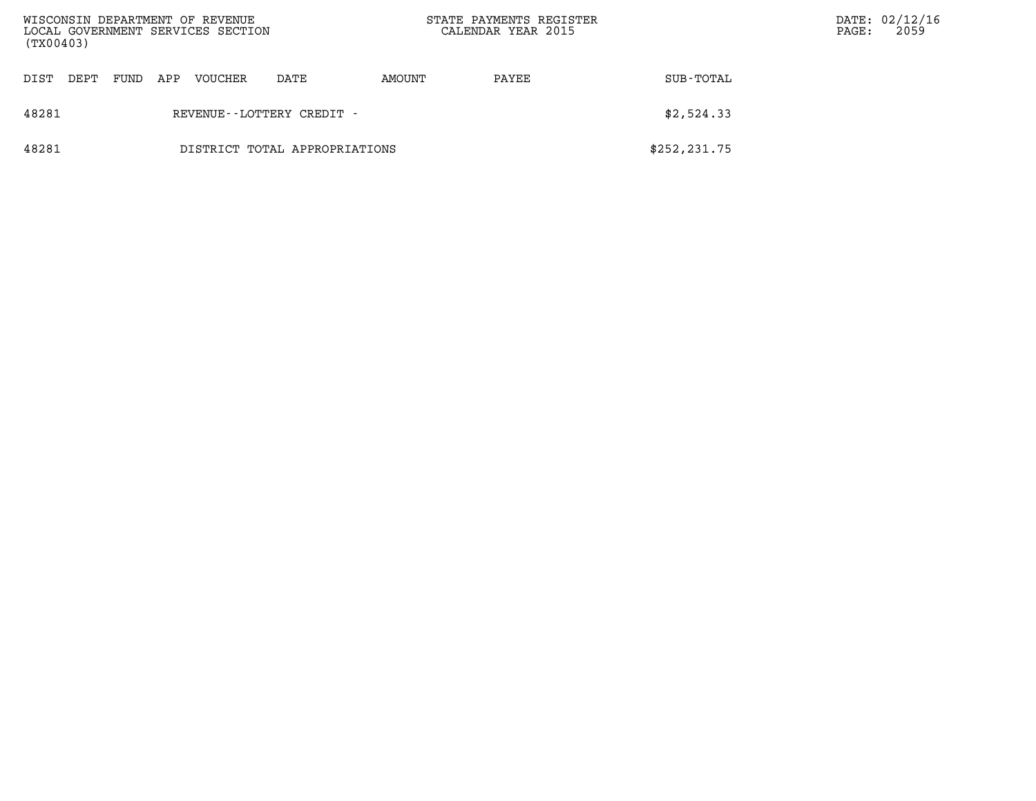| WISCONSIN DEPARTMENT OF REVENUE<br>LOCAL GOVERNMENT SERVICES SECTION<br>(TX00403) |      |      |     |         |                               |        | STATE PAYMENTS REGISTER<br>CALENDAR YEAR 2015 |               | PAGE: | DATE: 02/12/16<br>2059 |
|-----------------------------------------------------------------------------------|------|------|-----|---------|-------------------------------|--------|-----------------------------------------------|---------------|-------|------------------------|
| DIST                                                                              | DEPT | FUND | APP | VOUCHER | DATE                          | AMOUNT | PAYEE                                         | SUB-TOTAL     |       |                        |
| 48281                                                                             |      |      |     |         | REVENUE - - LOTTERY CREDIT -  |        |                                               | \$2,524.33    |       |                        |
| 48281                                                                             |      |      |     |         | DISTRICT TOTAL APPROPRIATIONS |        |                                               | \$252, 231.75 |       |                        |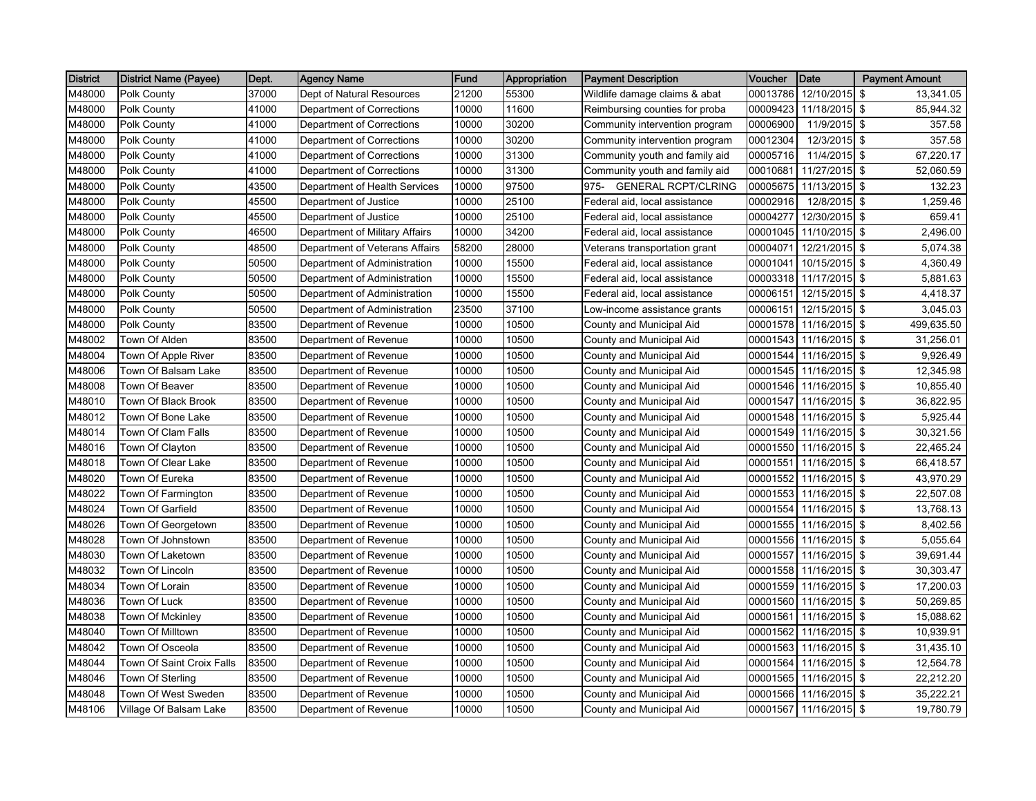| <b>District</b> | <b>District Name (Payee)</b> | Dept. | <b>Agency Name</b>             | <b>Fund</b> | Appropriation | <b>Payment Description</b>         | <b>Voucher</b> | Date            | <b>Payment Amount</b> |
|-----------------|------------------------------|-------|--------------------------------|-------------|---------------|------------------------------------|----------------|-----------------|-----------------------|
| M48000          | Polk County                  | 37000 | Dept of Natural Resources      | 21200       | 55300         | Wildlife damage claims & abat      | 00013786       | 12/10/2015      | \$<br>13,341.05       |
| M48000          | Polk County                  | 41000 | Department of Corrections      | 10000       | 11600         | Reimbursing counties for proba     | 00009423       | 11/18/2015 \$   | 85,944.32             |
| M48000          | Polk County                  | 41000 | Department of Corrections      | 10000       | 30200         | Community intervention program     | 00006900       | $11/9/2015$ \$  | 357.58                |
| M48000          | Polk County                  | 41000 | Department of Corrections      | 10000       | 30200         | Community intervention program     | 00012304       | $12/3/2015$ \$  | 357.58                |
| M48000          | Polk County                  | 41000 | Department of Corrections      | 10000       | 31300         | Community youth and family aid     | 00005716       | 11/4/2015 \$    | 67,220.17             |
| M48000          | Polk County                  | 41000 | Department of Corrections      | 10000       | 31300         | Community youth and family aid     | 00010681       | 11/27/2015 \$   | 52,060.59             |
| M48000          | Polk County                  | 43500 | Department of Health Services  | 10000       | 97500         | <b>GENERAL RCPT/CLRING</b><br>975- | 00005675       | 11/13/2015 \$   | 132.23                |
| M48000          | <b>Polk County</b>           | 45500 | Department of Justice          | 10000       | 25100         | Federal aid, local assistance      | 00002916       | 12/8/2015 \$    | 1,259.46              |
| M48000          | Polk County                  | 45500 | Department of Justice          | 10000       | 25100         | Federal aid, local assistance      | 00004277       | 12/30/2015 \$   | 659.41                |
| M48000          | Polk County                  | 46500 | Department of Military Affairs | 10000       | 34200         | Federal aid, local assistance      | 00001045       | 11/10/2015 \$   | 2,496.00              |
| M48000          | Polk County                  | 48500 | Department of Veterans Affairs | 58200       | 28000         | Veterans transportation grant      | 00004071       | 12/21/2015 \$   | 5,074.38              |
| M48000          | Polk County                  | 50500 | Department of Administration   | 10000       | 15500         | Federal aid, local assistance      | 00001041       | 10/15/2015 \$   | 4,360.49              |
| M48000          | Polk County                  | 50500 | Department of Administration   | 10000       | 15500         | Federal aid, local assistance      | 00003318       | $11/17/2015$ \$ | 5,881.63              |
| M48000          | Polk County                  | 50500 | Department of Administration   | 10000       | 15500         | Federal aid, local assistance      | 00006151       | 12/15/2015 \$   | 4,418.37              |
| M48000          | Polk County                  | 50500 | Department of Administration   | 23500       | 37100         | Low-income assistance grants       | 00006151       | 12/15/2015 \$   | 3,045.03              |
| M48000          | Polk County                  | 83500 | Department of Revenue          | 10000       | 10500         | County and Municipal Aid           | 00001578       | 11/16/2015 \$   | 499,635.50            |
| M48002          | Town Of Alden                | 83500 | Department of Revenue          | 10000       | 10500         | County and Municipal Aid           | 00001543       | 11/16/2015 \$   | 31,256.01             |
| M48004          | Town Of Apple River          | 83500 | Department of Revenue          | 10000       | 10500         | County and Municipal Aid           | 00001544       | 11/16/2015 \$   | 9,926.49              |
| M48006          | Town Of Balsam Lake          | 83500 | Department of Revenue          | 10000       | 10500         | County and Municipal Aid           | 00001545       | 11/16/2015 \$   | 12,345.98             |
| M48008          | Town Of Beaver               | 83500 | Department of Revenue          | 10000       | 10500         | County and Municipal Aid           | 00001546       | 11/16/2015 \$   | 10,855.40             |
| M48010          | Town Of Black Brook          | 83500 | Department of Revenue          | 10000       | 10500         | County and Municipal Aid           | 00001547       | 11/16/2015 \$   | 36,822.95             |
| M48012          | Town Of Bone Lake            | 83500 | Department of Revenue          | 10000       | 10500         | County and Municipal Aid           | 00001548       | 11/16/2015 \$   | 5,925.44              |
| M48014          | Town Of Clam Falls           | 83500 | Department of Revenue          | 10000       | 10500         | County and Municipal Aid           | 00001549       | $11/16/2015$ \$ | 30,321.56             |
| M48016          | Town Of Clayton              | 83500 | Department of Revenue          | 10000       | 10500         | County and Municipal Aid           | 00001550       | 11/16/2015 \$   | 22,465.24             |
| M48018          | Town Of Clear Lake           | 83500 | Department of Revenue          | 10000       | 10500         | County and Municipal Aid           | 00001551       | 11/16/2015 \$   | 66,418.57             |
| M48020          | Town Of Eureka               | 83500 | Department of Revenue          | 10000       | 10500         | County and Municipal Aid           | 00001552       | 11/16/2015 \$   | 43,970.29             |
| M48022          | Town Of Farmington           | 83500 | Department of Revenue          | 10000       | 10500         | County and Municipal Aid           | 00001553       | 11/16/2015 \$   | 22,507.08             |
| M48024          | Town Of Garfield             | 83500 | Department of Revenue          | 10000       | 10500         | County and Municipal Aid           | 00001554       | 11/16/2015 \$   | 13,768.13             |
| M48026          | Town Of Georgetown           | 83500 | Department of Revenue          | 10000       | 10500         | County and Municipal Aid           | 00001555       | 11/16/2015 \$   | 8,402.56              |
| M48028          | Town Of Johnstown            | 83500 | Department of Revenue          | 10000       | 10500         | County and Municipal Aid           | 00001556       | 11/16/2015 \$   | 5,055.64              |
| M48030          | Town Of Laketown             | 83500 | Department of Revenue          | 10000       | 10500         | County and Municipal Aid           | 00001557       | 11/16/2015 \$   | 39,691.44             |
| M48032          | Town Of Lincoln              | 83500 | Department of Revenue          | 10000       | 10500         | County and Municipal Aid           | 00001558       | 11/16/2015 \$   | 30,303.47             |
| M48034          | Town Of Lorain               | 83500 | Department of Revenue          | 10000       | 10500         | County and Municipal Aid           | 00001559       | 11/16/2015 \$   | 17,200.03             |
| M48036          | Town Of Luck                 | 83500 | Department of Revenue          | 10000       | 10500         | County and Municipal Aid           | 00001560       | 11/16/2015 \$   | 50,269.85             |
| M48038          | Town Of Mckinley             | 83500 | Department of Revenue          | 10000       | 10500         | County and Municipal Aid           | 00001561       | 11/16/2015 \$   | 15,088.62             |
| M48040          | Town Of Milltown             | 83500 | Department of Revenue          | 10000       | 10500         | County and Municipal Aid           | 00001562       | 11/16/2015 \$   | 10,939.91             |
| M48042          | Town Of Osceola              | 83500 | Department of Revenue          | 10000       | 10500         | County and Municipal Aid           | 00001563       | 11/16/2015 \$   | 31,435.10             |
| M48044          | Town Of Saint Croix Falls    | 83500 | Department of Revenue          | 10000       | 10500         | County and Municipal Aid           | 00001564       | 11/16/2015 \$   | 12,564.78             |
| M48046          | Town Of Sterling             | 83500 | Department of Revenue          | 10000       | 10500         | County and Municipal Aid           | 00001565       | 11/16/2015 \$   | 22,212.20             |
| M48048          | Town Of West Sweden          | 83500 | Department of Revenue          | 10000       | 10500         | County and Municipal Aid           | 00001566       | 11/16/2015 \$   | 35,222.21             |
| M48106          | Village Of Balsam Lake       | 83500 | Department of Revenue          | 10000       | 10500         | County and Municipal Aid           | 00001567       | 11/16/2015 \$   | 19,780.79             |